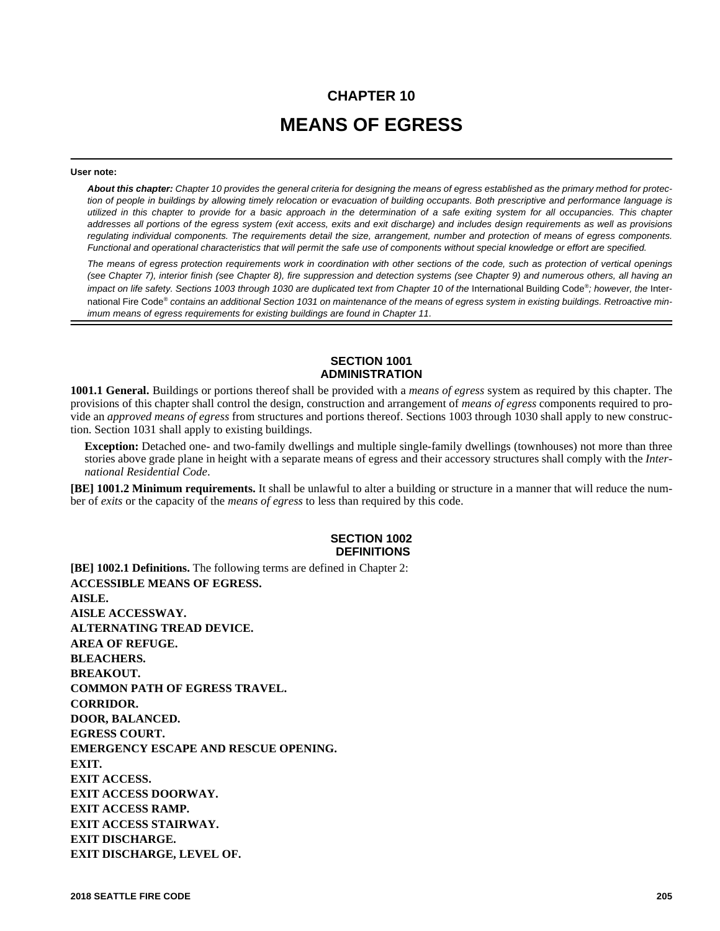# **CHAPTER 10 MEANS OF EGRESS**

#### **User note:**

*About this chapter: Chapter 10 provides the general criteria for designing the means of egress established as the primary method for protection of people in buildings by allowing timely relocation or evacuation of building occupants. Both prescriptive and performance language is utilized in this chapter to provide for a basic approach in the determination of a safe exiting system for all occupancies. This chapter addresses all portions of the egress system (exit access, exits and exit discharge) and includes design requirements as well as provisions regulating individual components. The requirements detail the size, arrangement, number and protection of means of egress components. Functional and operational characteristics that will permit the safe use of components without special knowledge or effort are specified.* 

*The means of egress protection requirements work in coordination with other sections of the code, such as protection of vertical openings (see Chapter 7), interior finish (see Chapter 8), fire suppression and detection systems (see Chapter 9) and numerous others, all having an* impact on life safety. Sections 1003 through 1030 are duplicated text from Chapter 10 of the International Building Code®; however, the International Fire Code® *contains an additional Section 1031 on maintenance of the means of egress system in existing buildings. Retroactive minimum means of egress requirements for existing buildings are found in Chapter 11.*

# **SECTION 1001 ADMINISTRATION**

**1001.1 General.** Buildings or portions thereof shall be provided with a *means of egress* system as required by this chapter. The provisions of this chapter shall control the design, construction and arrangement of *means of egress* components required to provide an *approved means of egress* from structures and portions thereof. Sections 1003 through 1030 shall apply to new construction. Section 1031 shall apply to existing buildings.

**Exception:** Detached one- and two-family dwellings and multiple single-family dwellings (townhouses) not more than three stories above grade plane in height with a separate means of egress and their accessory structures shall comply with the *International Residential Code*.

**[BE] 1001.2 Minimum requirements.** It shall be unlawful to alter a building or structure in a manner that will reduce the number of *exits* or the capacity of the *means of egress* to less than required by this code.

#### **SECTION 1002 DEFINITIONS**

**[BE] 1002.1 Definitions.** The following terms are defined in Chapter 2: **ACCESSIBLE MEANS OF EGRESS. AISLE. AISLE ACCESSWAY. ALTERNATING TREAD DEVICE. AREA OF REFUGE. BLEACHERS. BREAKOUT. COMMON PATH OF EGRESS TRAVEL. CORRIDOR. DOOR, BALANCED. EGRESS COURT. EMERGENCY ESCAPE AND RESCUE OPENING. EXIT. EXIT ACCESS. EXIT ACCESS DOORWAY. EXIT ACCESS RAMP. EXIT ACCESS STAIRWAY. EXIT DISCHARGE. EXIT DISCHARGE, LEVEL OF.**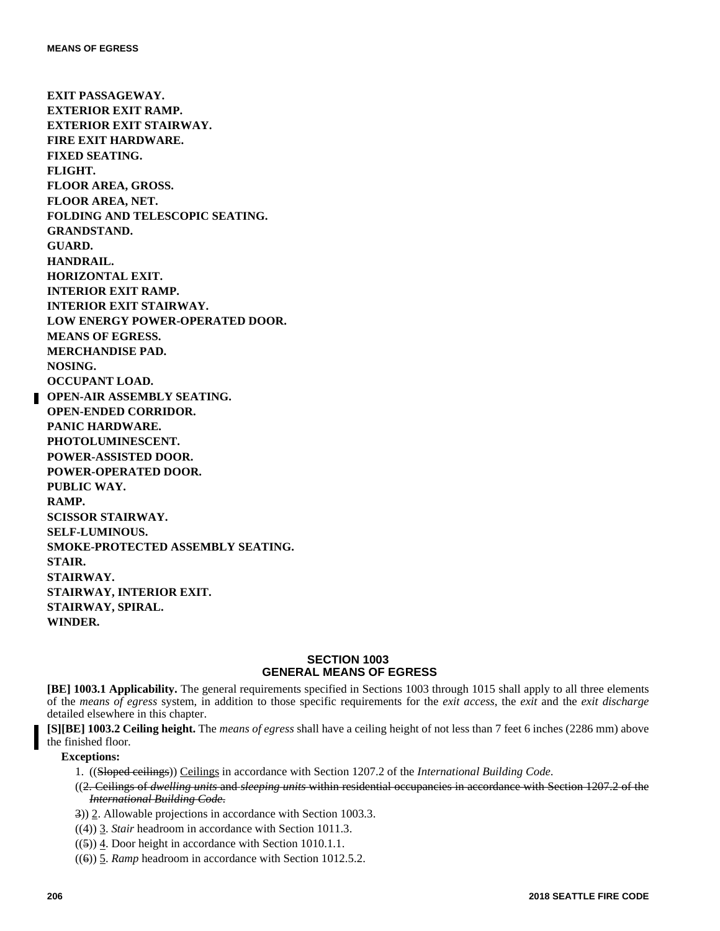**EXIT PASSAGEWAY. EXTERIOR EXIT RAMP. EXTERIOR EXIT STAIRWAY. FIRE EXIT HARDWARE. FIXED SEATING. FLIGHT. FLOOR AREA, GROSS. FLOOR AREA, NET. FOLDING AND TELESCOPIC SEATING. GRANDSTAND. GUARD. HANDRAIL. HORIZONTAL EXIT. INTERIOR EXIT RAMP. INTERIOR EXIT STAIRWAY. LOW ENERGY POWER-OPERATED DOOR. MEANS OF EGRESS. MERCHANDISE PAD. NOSING. OCCUPANT LOAD. OPEN-AIR ASSEMBLY SEATING. OPEN-ENDED CORRIDOR. PANIC HARDWARE. PHOTOLUMINESCENT. POWER-ASSISTED DOOR. POWER-OPERATED DOOR. PUBLIC WAY. RAMP. SCISSOR STAIRWAY. SELF-LUMINOUS. SMOKE-PROTECTED ASSEMBLY SEATING. STAIR. STAIRWAY. STAIRWAY, INTERIOR EXIT. STAIRWAY, SPIRAL. WINDER.**

# **SECTION 1003 GENERAL MEANS OF EGRESS**

**[BE] 1003.1 Applicability.** The general requirements specified in Sections 1003 through 1015 shall apply to all three elements of the *means of egress* system, in addition to those specific requirements for the *exit access*, the *exit* and the *exit discharge* detailed elsewhere in this chapter.

**[S][BE] 1003.2 Ceiling height.** The *means of egress* shall have a ceiling height of not less than 7 feet 6 inches (2286 mm) above the finished floor.

- 1. ((Sloped ceilings)) Ceilings in accordance with Section 1207.2 of the *International Building Code*.
- ((2. Ceilings of *dwelling units* and *sleeping units* within residential occupancies in accordance with Section 1207.2 of the *International Building Code*.
- 3)) 2. Allowable projections in accordance with Section 1003.3.
- ((4)) 3. *Stair* headroom in accordance with Section 1011.3.
- $((5))$  4. Door height in accordance with Section 1010.1.1.
- ((6)) 5. *Ramp* headroom in accordance with Section 1012.5.2.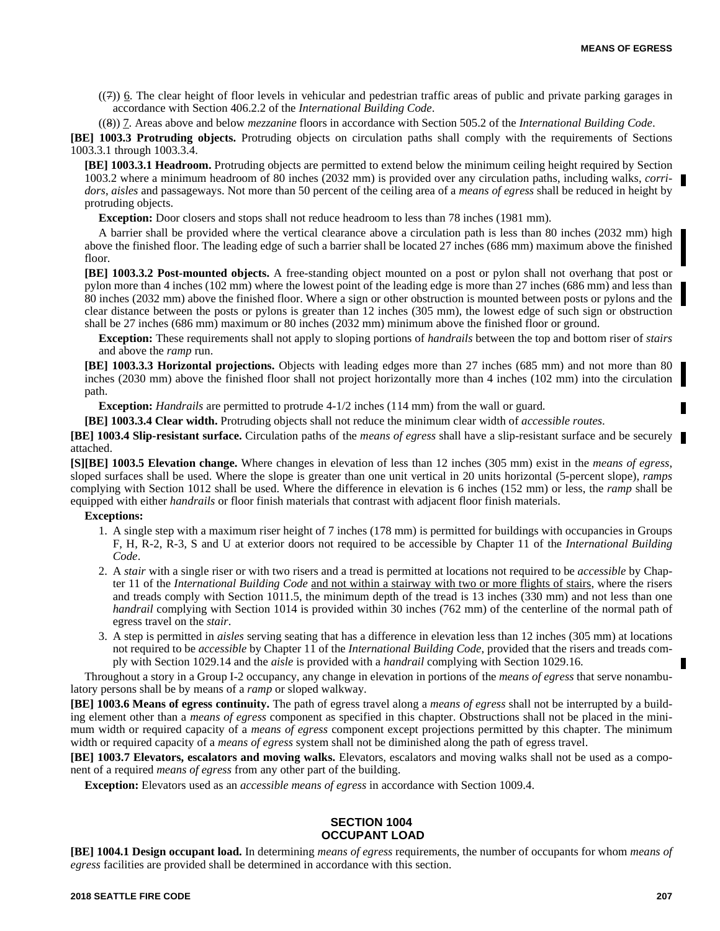$((7))$  6. The clear height of floor levels in vehicular and pedestrian traffic areas of public and private parking garages in accordance with Section 406.2.2 of the *International Building Code*.

((8)) 7. Areas above and below *mezzanine* floors in accordance with Section 505.2 of the *International Building Code*.

**[BE] 1003.3 Protruding objects.** Protruding objects on circulation paths shall comply with the requirements of Sections 1003.3.1 through 1003.3.4.

**[BE] 1003.3.1 Headroom.** Protruding objects are permitted to extend below the minimum ceiling height required by Section 1003.2 where a minimum headroom of 80 inches (2032 mm) is provided over any circulation paths, including walks, *corridors*, *aisles* and passageways. Not more than 50 percent of the ceiling area of a *means of egress* shall be reduced in height by protruding objects.

**Exception:** Door closers and stops shall not reduce headroom to less than 78 inches (1981 mm).

A barrier shall be provided where the vertical clearance above a circulation path is less than 80 inches (2032 mm) high above the finished floor. The leading edge of such a barrier shall be located 27 inches (686 mm) maximum above the finished floor.

**[BE] 1003.3.2 Post-mounted objects.** A free-standing object mounted on a post or pylon shall not overhang that post or pylon more than 4 inches (102 mm) where the lowest point of the leading edge is more than 27 inches (686 mm) and less than 80 inches (2032 mm) above the finished floor. Where a sign or other obstruction is mounted between posts or pylons and the clear distance between the posts or pylons is greater than 12 inches (305 mm), the lowest edge of such sign or obstruction shall be 27 inches (686 mm) maximum or 80 inches (2032 mm) minimum above the finished floor or ground.

**Exception:** These requirements shall not apply to sloping portions of *handrails* between the top and bottom riser of *stairs* and above the *ramp* run.

**[BE] 1003.3.3 Horizontal projections.** Objects with leading edges more than 27 inches (685 mm) and not more than 80 inches (2030 mm) above the finished floor shall not project horizontally more than 4 inches (102 mm) into the circulation path.

**Exception:** *Handrails* are permitted to protrude 4-1/2 inches (114 mm) from the wall or guard.

**[BE] 1003.3.4 Clear width.** Protruding objects shall not reduce the minimum clear width of *accessible routes*.

**[BE] 1003.4 Slip-resistant surface.** Circulation paths of the *means of egress* shall have a slip-resistant surface and be securely attached.

**[S][BE] 1003.5 Elevation change.** Where changes in elevation of less than 12 inches (305 mm) exist in the *means of egress*, sloped surfaces shall be used. Where the slope is greater than one unit vertical in 20 units horizontal (5-percent slope), *ramps* complying with Section 1012 shall be used. Where the difference in elevation is 6 inches (152 mm) or less, the *ramp* shall be equipped with either *handrails* or floor finish materials that contrast with adjacent floor finish materials.

#### **Exceptions:**

- 1. A single step with a maximum riser height of 7 inches (178 mm) is permitted for buildings with occupancies in Groups F, H, R-2, R-3, S and U at exterior doors not required to be accessible by Chapter 11 of the *International Building Code*.
- 2. A *stair* with a single riser or with two risers and a tread is permitted at locations not required to be *accessible* by Chapter 11 of the *International Building Code* and not within a stairway with two or more flights of stairs, where the risers and treads comply with Section 1011.5, the minimum depth of the tread is 13 inches (330 mm) and not less than one *handrail* complying with Section 1014 is provided within 30 inches (762 mm) of the centerline of the normal path of egress travel on the *stair*.
- 3. A step is permitted in *aisles* serving seating that has a difference in elevation less than 12 inches (305 mm) at locations not required to be *accessible* by Chapter 11 of the *International Building Code*, provided that the risers and treads comply with Section 1029.14 and the *aisle* is provided with a *handrail* complying with Section 1029.16.

Throughout a story in a Group I-2 occupancy, any change in elevation in portions of the *means of egress* that serve nonambulatory persons shall be by means of a *ramp* or sloped walkway.

**[BE] 1003.6 Means of egress continuity.** The path of egress travel along a *means of egress* shall not be interrupted by a building element other than a *means of egress* component as specified in this chapter. Obstructions shall not be placed in the minimum width or required capacity of a *means of egress* component except projections permitted by this chapter. The minimum width or required capacity of a *means of egress* system shall not be diminished along the path of egress travel.

**[BE] 1003.7 Elevators, escalators and moving walks.** Elevators, escalators and moving walks shall not be used as a component of a required *means of egress* from any other part of the building.

**Exception:** Elevators used as an *accessible means of egress* in accordance with Section 1009.4.

#### **SECTION 1004 OCCUPANT LOAD**

**[BE] 1004.1 Design occupant load.** In determining *means of egress* requirements, the number of occupants for whom *means of egress* facilities are provided shall be determined in accordance with this section.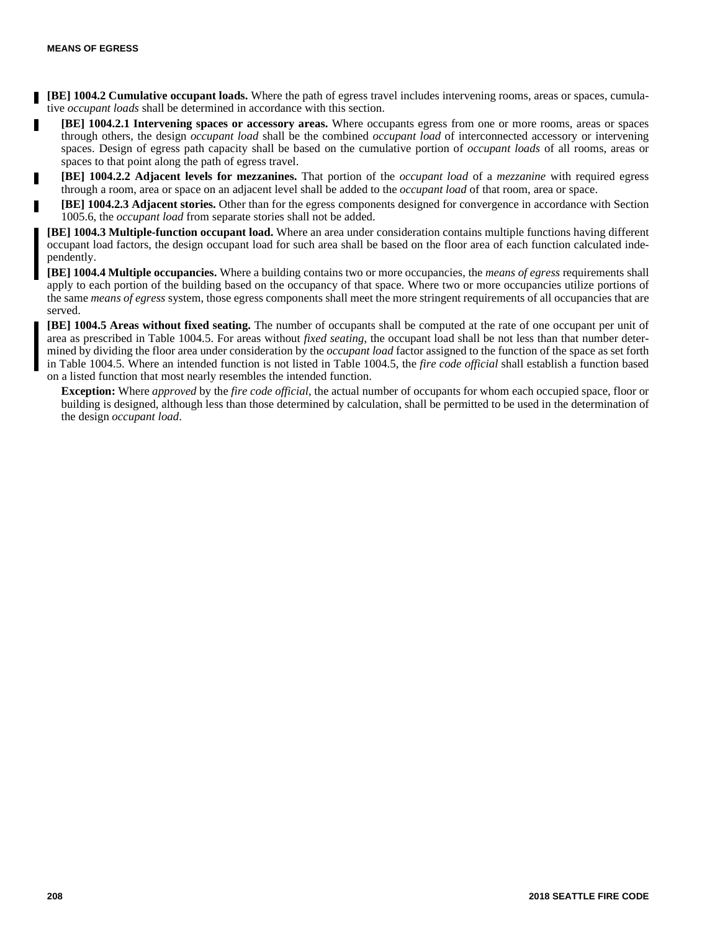и

Н

Г

г

**[BE] 1004.2 Cumulative occupant loads.** Where the path of egress travel includes intervening rooms, areas or spaces, cumulative *occupant loads* shall be determined in accordance with this section.

**[BE] 1004.2.1 Intervening spaces or accessory areas.** Where occupants egress from one or more rooms, areas or spaces through others, the design *occupant load* shall be the combined *occupant load* of interconnected accessory or intervening spaces. Design of egress path capacity shall be based on the cumulative portion of *occupant loads* of all rooms, areas or spaces to that point along the path of egress travel.

**[BE] 1004.2.2 Adjacent levels for mezzanines.** That portion of the *occupant load* of a *mezzanine* with required egress through a room, area or space on an adjacent level shall be added to the *occupant load* of that room, area or space.

**[BE] 1004.2.3 Adjacent stories.** Other than for the egress components designed for convergence in accordance with Section 1005.6, the *occupant load* from separate stories shall not be added.

**[BE] 1004.3 Multiple-function occupant load.** Where an area under consideration contains multiple functions having different occupant load factors, the design occupant load for such area shall be based on the floor area of each function calculated independently.

**[BE] 1004.4 Multiple occupancies.** Where a building contains two or more occupancies, the *means of egress* requirements shall apply to each portion of the building based on the occupancy of that space. Where two or more occupancies utilize portions of the same *means of egress* system, those egress components shall meet the more stringent requirements of all occupancies that are served.

**[BE] 1004.5 Areas without fixed seating.** The number of occupants shall be computed at the rate of one occupant per unit of area as prescribed in Table 1004.5. For areas without *fixed seating*, the occupant load shall be not less than that number determined by dividing the floor area under consideration by the *occupant load* factor assigned to the function of the space as set forth in Table 1004.5. Where an intended function is not listed in Table 1004.5, the *fire code official* shall establish a function based on a listed function that most nearly resembles the intended function.

**Exception:** Where *approved* by the *fire code official*, the actual number of occupants for whom each occupied space, floor or building is designed, although less than those determined by calculation, shall be permitted to be used in the determination of the design *occupant load*.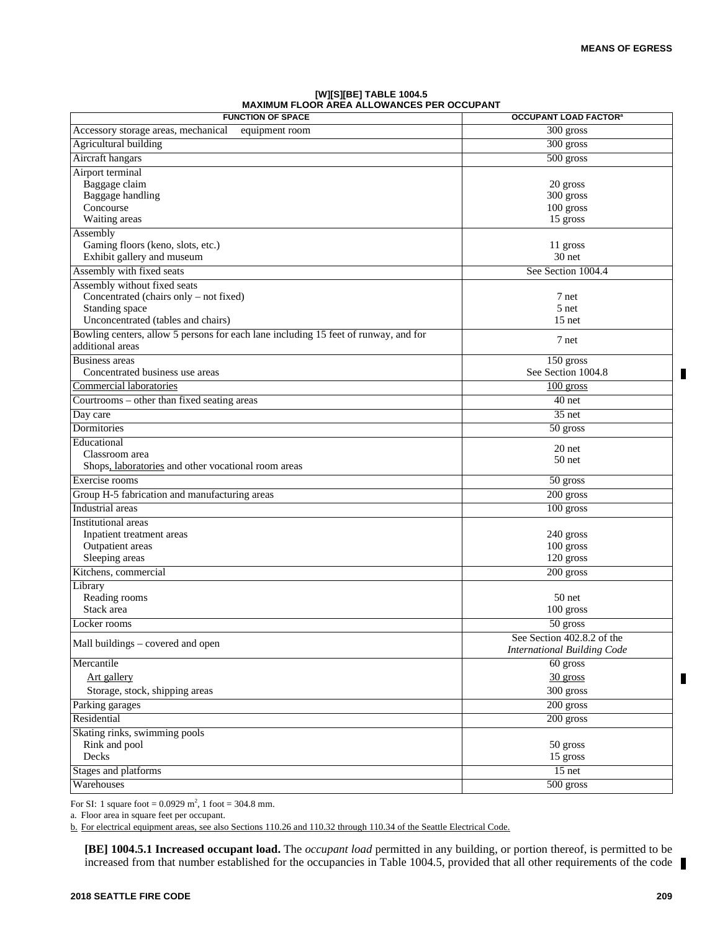П

Π

#### **[W][S][BE] TABLE 1004.5 MAXIMUM FLOOR AREA ALLOWANCES PER OCCUPANT**

| <b>FUNCTION OF SPACE</b>                                                                                | <b>OCCUPANT LOAD FACTOR®</b>                                     |
|---------------------------------------------------------------------------------------------------------|------------------------------------------------------------------|
| Accessory storage areas, mechanical<br>equipment room                                                   | 300 gross                                                        |
| Agricultural building                                                                                   | 300 gross                                                        |
| Aircraft hangars                                                                                        | 500 gross                                                        |
| Airport terminal                                                                                        |                                                                  |
| Baggage claim                                                                                           | 20 gross                                                         |
| Baggage handling                                                                                        | 300 gross                                                        |
| Concourse                                                                                               | $100$ gross                                                      |
| Waiting areas                                                                                           | 15 gross                                                         |
| Assembly                                                                                                |                                                                  |
| Gaming floors (keno, slots, etc.)                                                                       | 11 gross                                                         |
| Exhibit gallery and museum                                                                              | 30 net                                                           |
| Assembly with fixed seats                                                                               | See Section 1004.4                                               |
| Assembly without fixed seats                                                                            |                                                                  |
| Concentrated (chairs only – not fixed)                                                                  | 7 net                                                            |
| Standing space                                                                                          | 5 net                                                            |
| Unconcentrated (tables and chairs)                                                                      | $15$ net                                                         |
| Bowling centers, allow 5 persons for each lane including 15 feet of runway, and for<br>additional areas | 7 net                                                            |
| Business areas                                                                                          | $150$ gross                                                      |
| Concentrated business use areas                                                                         | See Section 1004.8                                               |
| Commercial laboratories                                                                                 | $100$ gross                                                      |
| Courtrooms – other than fixed seating areas                                                             | 40 net                                                           |
| Day care                                                                                                | $35$ net                                                         |
| Dormitories                                                                                             | 50 gross                                                         |
| Educational                                                                                             |                                                                  |
| Classroom area                                                                                          | 20 net                                                           |
| Shops, laboratories and other vocational room areas                                                     | 50 net                                                           |
| Exercise rooms                                                                                          | 50 gross                                                         |
| Group H-5 fabrication and manufacturing areas                                                           | 200 gross                                                        |
| Industrial areas                                                                                        | $100$ gross                                                      |
| Institutional areas                                                                                     |                                                                  |
| Inpatient treatment areas                                                                               | 240 gross                                                        |
| Outpatient areas                                                                                        | $100$ gross                                                      |
| Sleeping areas                                                                                          | 120 gross                                                        |
| Kitchens, commercial                                                                                    | 200 gross                                                        |
| Library                                                                                                 |                                                                  |
| Reading rooms                                                                                           | 50 net                                                           |
| Stack area                                                                                              | 100 gross                                                        |
| Locker rooms                                                                                            | 50 gross                                                         |
| Mall buildings - covered and open                                                                       | See Section 402.8.2 of the<br><b>International Building Code</b> |
| Mercantile                                                                                              | 60 gross                                                         |
| Art gallery                                                                                             | $30$ gross                                                       |
| Storage, stock, shipping areas                                                                          | 300 gross                                                        |
| Parking garages                                                                                         | 200 gross                                                        |
| Residential                                                                                             | 200 gross                                                        |
| Skating rinks, swimming pools                                                                           |                                                                  |
| Rink and pool                                                                                           | 50 gross                                                         |
| Decks                                                                                                   | 15 gross                                                         |
| Stages and platforms                                                                                    | $15$ net                                                         |
| Warehouses                                                                                              | 500 gross                                                        |

For SI: 1 square foot =  $0.0929 \text{ m}^2$ , 1 foot =  $304.8 \text{ mm}$ .

a. Floor area in square feet per occupant.

b. For electrical equipment areas, see also Sections 110.26 and 110.32 through 110.34 of the Seattle Electrical Code.

**[BE] 1004.5.1 Increased occupant load.** The *occupant load* permitted in any building, or portion thereof, is permitted to be increased from that number established for the occupancies in Table 1004.5, provided that all other requirements of the code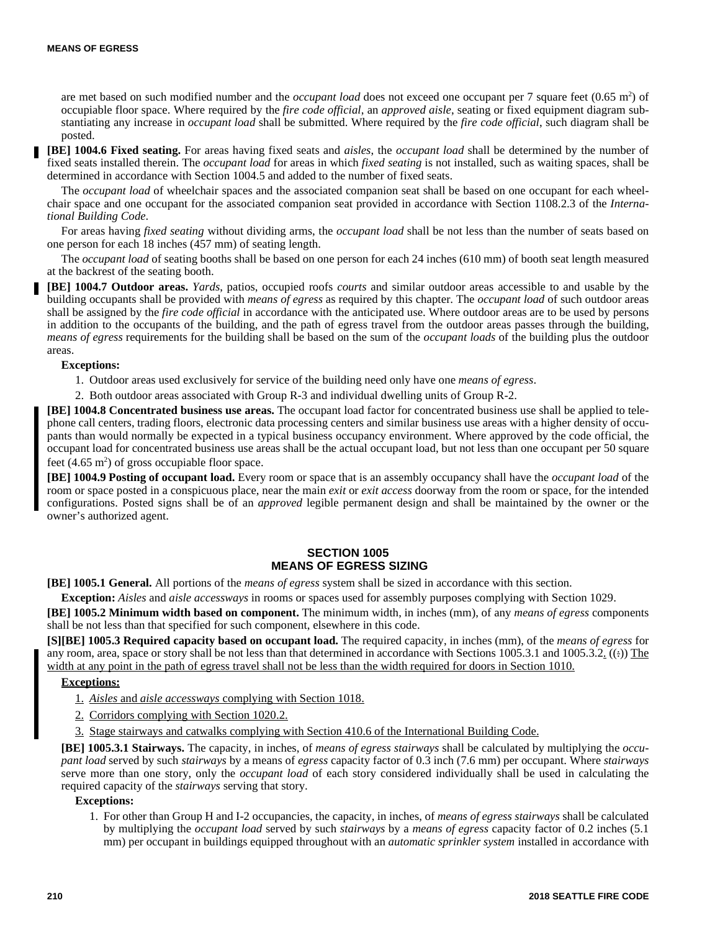are met based on such modified number and the *occupant load* does not exceed one occupant per 7 square feet (0.65 m<sup>2</sup>) of occupiable floor space. Where required by the *fire code official*, an *approved aisle*, seating or fixed equipment diagram substantiating any increase in *occupant load* shall be submitted. Where required by the *fire code official*, such diagram shall be posted.

**[BE] 1004.6 Fixed seating.** For areas having fixed seats and *aisles*, the *occupant load* shall be determined by the number of fixed seats installed therein. The *occupant load* for areas in which *fixed seating* is not installed, such as waiting spaces, shall be determined in accordance with Section 1004.5 and added to the number of fixed seats.

The *occupant load* of wheelchair spaces and the associated companion seat shall be based on one occupant for each wheelchair space and one occupant for the associated companion seat provided in accordance with Section 1108.2.3 of the *International Building Code*.

For areas having *fixed seating* without dividing arms, the *occupant load* shall be not less than the number of seats based on one person for each 18 inches (457 mm) of seating length.

The *occupant load* of seating booths shall be based on one person for each 24 inches (610 mm) of booth seat length measured at the backrest of the seating booth.

**[BE] 1004.7 Outdoor areas.** *Yards*, patios, occupied roofs *courts* and similar outdoor areas accessible to and usable by the building occupants shall be provided with *means of egress* as required by this chapter. The *occupant load* of such outdoor areas shall be assigned by the *fire code official* in accordance with the anticipated use. Where outdoor areas are to be used by persons in addition to the occupants of the building, and the path of egress travel from the outdoor areas passes through the building, *means of egress* requirements for the building shall be based on the sum of the *occupant loads* of the building plus the outdoor areas.

#### **Exceptions:**

1. Outdoor areas used exclusively for service of the building need only have one *means of egress*.

2. Both outdoor areas associated with Group R-3 and individual dwelling units of Group R-2.

**[BE] 1004.8 Concentrated business use areas.** The occupant load factor for concentrated business use shall be applied to telephone call centers, trading floors, electronic data processing centers and similar business use areas with a higher density of occupants than would normally be expected in a typical business occupancy environment. Where approved by the code official, the occupant load for concentrated business use areas shall be the actual occupant load, but not less than one occupant per 50 square feet  $(4.65 \text{ m}^2)$  of gross occupiable floor space.

**[BE] 1004.9 Posting of occupant load.** Every room or space that is an assembly occupancy shall have the *occupant load* of the room or space posted in a conspicuous place, near the main *exit* or *exit access* doorway from the room or space, for the intended configurations. Posted signs shall be of an *approved* legible permanent design and shall be maintained by the owner or the owner's authorized agent.

# **SECTION 1005 MEANS OF EGRESS SIZING**

**[BE] 1005.1 General.** All portions of the *means of egress* system shall be sized in accordance with this section.

**Exception:** *Aisles* and *aisle accessways* in rooms or spaces used for assembly purposes complying with Section 1029.

**[BE] 1005.2 Minimum width based on component.** The minimum width, in inches (mm), of any *means of egress* components shall be not less than that specified for such component, elsewhere in this code.

**[S][BE] 1005.3 Required capacity based on occupant load.** The required capacity, in inches (mm), of the *means of egress* for any room, area, space or story shall be not less than that determined in accordance with Sections 1005.3.1 and 1005.3.2.  $((*)$  The width at any point in the path of egress travel shall not be less than the width required for doors in Section 1010.

#### **Exceptions:**

1. *Aisles* and *aisle accessways* complying with Section 1018.

- 2. Corridors complying with Section 1020.2.
- 3. Stage stairways and catwalks complying with Section 410.6 of the International Building Code.

**[BE] 1005.3.1 Stairways.** The capacity, in inches, of *means of egress stairways* shall be calculated by multiplying the *occupant load* served by such *stairways* by a means of *egress* capacity factor of 0.3 inch (7.6 mm) per occupant. Where *stairways* serve more than one story, only the *occupant load* of each story considered individually shall be used in calculating the required capacity of the *stairways* serving that story.

# **Exceptions:**

1. For other than Group H and I-2 occupancies, the capacity, in inches, of *means of egress stairways* shall be calculated by multiplying the *occupant load* served by such *stairways* by a *means of egress* capacity factor of 0.2 inches (5.1 mm) per occupant in buildings equipped throughout with an *automatic sprinkler system* installed in accordance with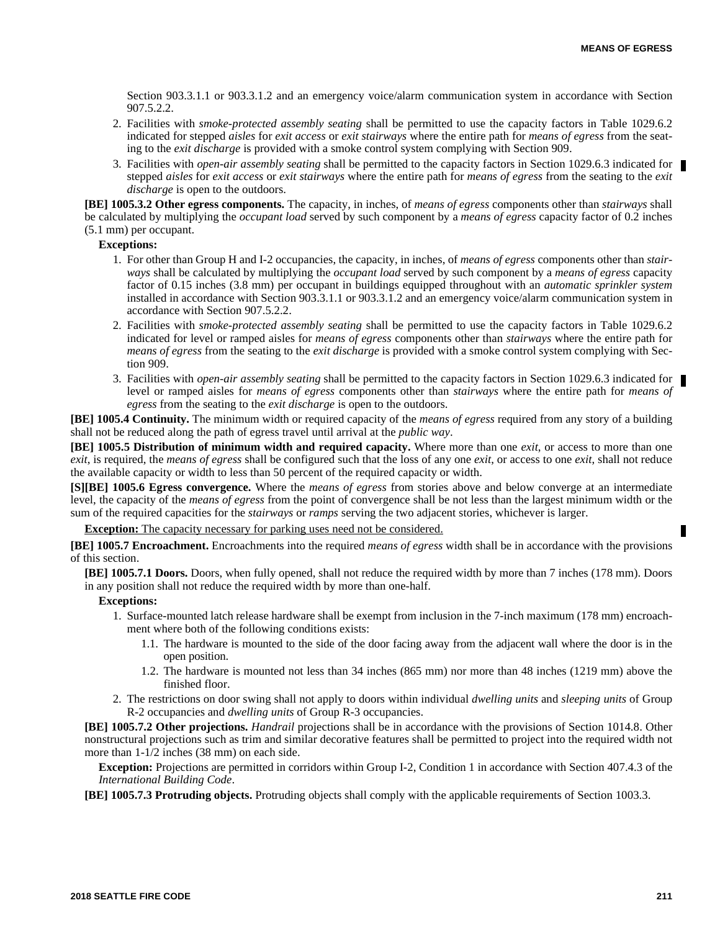Section 903.3.1.1 or 903.3.1.2 and an emergency voice/alarm communication system in accordance with Section 907.5.2.2.

- 2. Facilities with *smoke-protected assembly seating* shall be permitted to use the capacity factors in Table 1029.6.2 indicated for stepped *aisles* for *exit access* or *exit stairways* where the entire path for *means of egress* from the seating to the *exit discharge* is provided with a smoke control system complying with Section 909.
- 3. Facilities with *open-air assembly seating* shall be permitted to the capacity factors in Section 1029.6.3 indicated for stepped *aisles* for *exit access* or *exit stairways* where the entire path for *means of egress* from the seating to the *exit discharge* is open to the outdoors.

**[BE] 1005.3.2 Other egress components.** The capacity, in inches, of *means of egress* components other than *stairways* shall be calculated by multiplying the *occupant load* served by such component by a *means of egress* capacity factor of 0.2 inches (5.1 mm) per occupant.

# **Exceptions:**

- 1. For other than Group H and I-2 occupancies, the capacity, in inches, of *means of egress* components other than *stairways* shall be calculated by multiplying the *occupant load* served by such component by a *means of egress* capacity factor of 0.15 inches (3.8 mm) per occupant in buildings equipped throughout with an *automatic sprinkler system* installed in accordance with Section 903.3.1.1 or 903.3.1.2 and an emergency voice/alarm communication system in accordance with Section 907.5.2.2.
- 2. Facilities with *smoke-protected assembly seating* shall be permitted to use the capacity factors in Table 1029.6.2 indicated for level or ramped aisles for *means of egress* components other than *stairways* where the entire path for *means of egress* from the seating to the *exit discharge* is provided with a smoke control system complying with Section 909.
- 3. Facilities with *open-air assembly seating* shall be permitted to the capacity factors in Section 1029.6.3 indicated for level or ramped aisles for *means of egress* components other than *stairways* where the entire path for *means of egress* from the seating to the *exit discharge* is open to the outdoors.

**[BE] 1005.4 Continuity.** The minimum width or required capacity of the *means of egress* required from any story of a building shall not be reduced along the path of egress travel until arrival at the *public way*.

**[BE] 1005.5 Distribution of minimum width and required capacity.** Where more than one *exit*, or access to more than one *exit*, is required, the *means of egress* shall be configured such that the loss of any one *exit*, or access to one *exit*, shall not reduce the available capacity or width to less than 50 percent of the required capacity or width.

**[S][BE] 1005.6 Egress convergence.** Where the *means of egress* from stories above and below converge at an intermediate level, the capacity of the *means of egress* from the point of convergence shall be not less than the largest minimum width or the sum of the required capacities for the *stairways* or *ramps* serving the two adjacent stories, whichever is larger.

**Exception:** The capacity necessary for parking uses need not be considered.

**[BE] 1005.7 Encroachment.** Encroachments into the required *means of egress* width shall be in accordance with the provisions of this section.

**[BE] 1005.7.1 Doors.** Doors, when fully opened, shall not reduce the required width by more than 7 inches (178 mm). Doors in any position shall not reduce the required width by more than one-half.

# **Exceptions:**

- 1. Surface-mounted latch release hardware shall be exempt from inclusion in the 7-inch maximum (178 mm) encroachment where both of the following conditions exists:
	- 1.1. The hardware is mounted to the side of the door facing away from the adjacent wall where the door is in the open position.
	- 1.2. The hardware is mounted not less than 34 inches (865 mm) nor more than 48 inches (1219 mm) above the finished floor.
- 2. The restrictions on door swing shall not apply to doors within individual *dwelling units* and *sleeping units* of Group R-2 occupancies and *dwelling units* of Group R-3 occupancies.

**[BE] 1005.7.2 Other projections.** *Handrail* projections shall be in accordance with the provisions of Section 1014.8. Other nonstructural projections such as trim and similar decorative features shall be permitted to project into the required width not more than 1-1/2 inches (38 mm) on each side.

**Exception:** Projections are permitted in corridors within Group I-2, Condition 1 in accordance with Section 407.4.3 of the *International Building Code*.

**[BE] 1005.7.3 Protruding objects.** Protruding objects shall comply with the applicable requirements of Section 1003.3.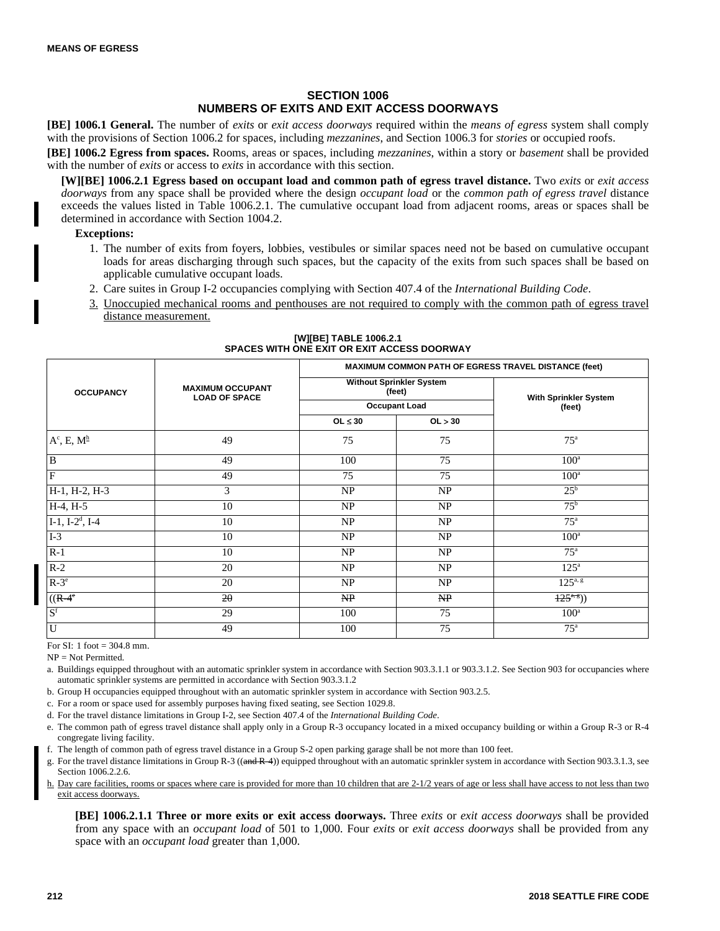# **SECTION 1006 NUMBERS OF EXITS AND EXIT ACCESS DOORWAYS**

**[BE] 1006.1 General.** The number of *exits* or *exit access doorways* required within the *means of egress* system shall comply with the provisions of Section 1006.2 for spaces, including *mezzanines*, and Section 1006.3 for *stories* or occupied roofs.

**[BE] 1006.2 Egress from spaces.** Rooms, areas or spaces, including *mezzanines*, within a story or *basement* shall be provided with the number of *exits* or access to *exits* in accordance with this section.

**[W][BE] 1006.2.1 Egress based on occupant load and common path of egress travel distance.** Two *exits* or *exit access doorways* from any space shall be provided where the design *occupant load* or the *common path of egress travel* distance exceeds the values listed in Table 1006.2.1. The cumulative occupant load from adjacent rooms, areas or spaces shall be determined in accordance with Section 1004.2.

# **Exceptions:**

- 1. The number of exits from foyers, lobbies, vestibules or similar spaces need not be based on cumulative occupant loads for areas discharging through such spaces, but the capacity of the exits from such spaces shall be based on applicable cumulative occupant loads.
- 2. Care suites in Group I-2 occupancies complying with Section 407.4 of the *International Building Code*.
- 3. Unoccupied mechanical rooms and penthouses are not required to comply with the common path of egress travel distance measurement.

|                                |                                                 | MAXIMUM COMMON PATH OF EGRESS TRAVEL DISTANCE (feet)       |         |                                  |  |
|--------------------------------|-------------------------------------------------|------------------------------------------------------------|---------|----------------------------------|--|
| <b>OCCUPANCY</b>               | <b>MAXIMUM OCCUPANT</b><br><b>LOAD OF SPACE</b> | Without Sprinkler System<br>(feet)<br><b>Occupant Load</b> |         | With Sprinkler System            |  |
|                                |                                                 |                                                            |         | (feet)                           |  |
|                                |                                                 | OL $\leq 30$                                               | OL > 30 |                                  |  |
| $A^c$ , E, $M^{\underline{h}}$ | 49                                              | 75                                                         | 75      | $75^{\mathrm{a}}$                |  |
| $\mathbf B$                    | 49                                              | 100                                                        | 75      | $100^{\circ}$                    |  |
| F                              | 49                                              | 75                                                         | 75      | $100^{\rm a}$                    |  |
| H-1, H-2, H-3                  | 3                                               | NP                                                         | NP      | $25^{\rm b}$                     |  |
| $H-4, H-5$                     | 10                                              | NP                                                         | NP      | $75^{\rm b}$                     |  |
| $I-1$ , $I-2^d$ , $I-4$        | 10                                              | NP                                                         | NP      | 75 <sup>a</sup>                  |  |
| $I-3$                          | 10                                              | NP                                                         | NP      | $100^{\rm a}$                    |  |
| $R-1$                          | 10                                              | NP                                                         | NP      | $75^{\rm a}$                     |  |
| $R-2$                          | 20                                              | NP                                                         | NP      | 125 <sup>a</sup>                 |  |
| $R-3^e$                        | 20                                              | NP                                                         | NP      | $125^{a, g}$                     |  |
| $((R-4)$                       | 20                                              | NP                                                         | NP      | $\overline{125^{\alpha,\beta}})$ |  |
| $S^f$                          | 29                                              | 100                                                        | 75      | $100^{\rm a}$                    |  |
| U                              | 49                                              | 100                                                        | 75      | $75^{\mathrm{a}}$                |  |

#### **[W][BE] TABLE 1006.2.1 SPACES WITH ONE EXIT OR EXIT ACCESS DOORWAY**

For  $SI: 1$  foot = 304.8 mm.

 $NP = Not$  Permitted.

a. Buildings equipped throughout with an automatic sprinkler system in accordance with Section 903.3.1.1 or 903.3.1.2. See Section 903 for occupancies where automatic sprinkler systems are permitted in accordance with Section 903.3.1.2

b. Group H occupancies equipped throughout with an automatic sprinkler system in accordance with Section 903.2.5.

c. For a room or space used for assembly purposes having fixed seating, see Section 1029.8.

d. For the travel distance limitations in Group I-2, see Section 407.4 of the *International Building Code*.

e. The common path of egress travel distance shall apply only in a Group R-3 occupancy located in a mixed occupancy building or within a Group R-3 or R-4 congregate living facility.

f. The length of common path of egress travel distance in a Group S-2 open parking garage shall be not more than 100 feet.

g. For the travel distance limitations in Group R-3 ((and R-4)) equipped throughout with an automatic sprinkler system in accordance with Section 903.3.1.3, see Section 1006.2.2.6.

h. Day care facilities, rooms or spaces where care is provided for more than 10 children that are 2-1/2 years of age or less shall have access to not less than two exit access doorways.

**[BE] 1006.2.1.1 Three or more exits or exit access doorways.** Three *exits* or *exit access doorways* shall be provided from any space with an *occupant load* of 501 to 1,000. Four *exits* or *exit access doorways* shall be provided from any space with an *occupant load* greater than 1,000.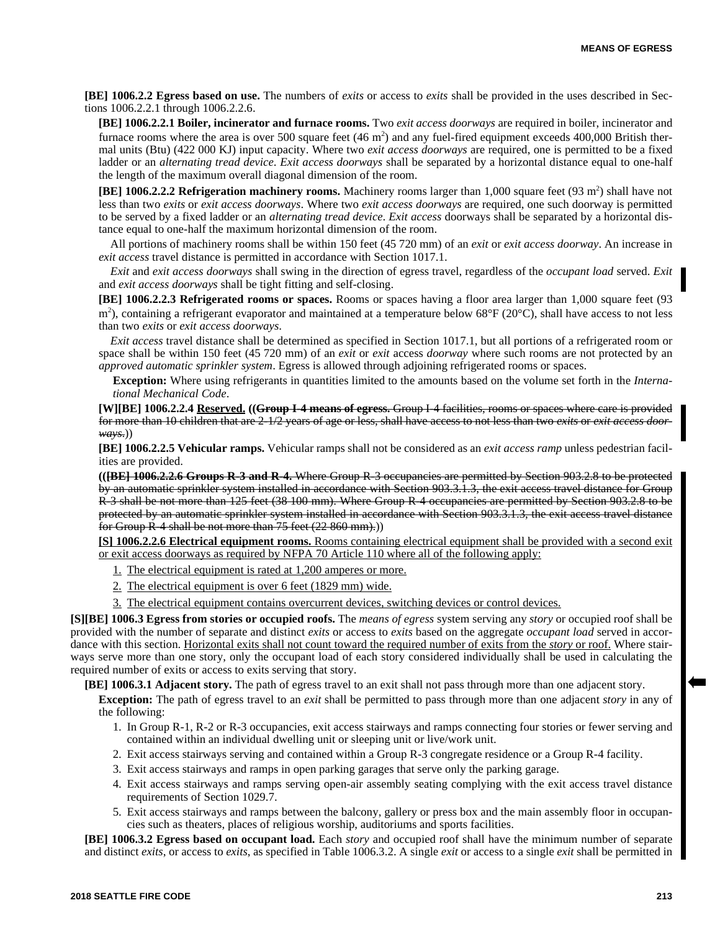**[BE] 1006.2.2 Egress based on use.** The numbers of *exits* or access to *exits* shall be provided in the uses described in Sections 1006.2.2.1 through 1006.2.2.6.

**[BE] 1006.2.2.1 Boiler, incinerator and furnace rooms.** Two *exit access doorways* are required in boiler, incinerator and furnace rooms where the area is over 500 square feet  $(46 \text{ m}^2)$  and any fuel-fired equipment exceeds 400,000 British thermal units (Btu) (422 000 KJ) input capacity. Where two *exit access doorways* are required, one is permitted to be a fixed ladder or an *alternating tread device*. *Exit access doorways* shall be separated by a horizontal distance equal to one-half the length of the maximum overall diagonal dimension of the room.

[BE] 1006.2.2.2 Refrigeration machinery rooms. Machinery rooms larger than 1,000 square feet (93 m<sup>2</sup>) shall have not less than two *exits* or *exit access doorways*. Where two *exit access doorways* are required, one such doorway is permitted to be served by a fixed ladder or an *alternating tread device*. *Exit access* doorways shall be separated by a horizontal distance equal to one-half the maximum horizontal dimension of the room.

All portions of machinery rooms shall be within 150 feet (45 720 mm) of an *exit* or *exit access doorway*. An increase in *exit access* travel distance is permitted in accordance with Section 1017.1.

*Exit* and *exit access doorways* shall swing in the direction of egress travel, regardless of the *occupant load* served. *Exit* and *exit access doorways* shall be tight fitting and self-closing.

**[BE] 1006.2.2.3 Refrigerated rooms or spaces.** Rooms or spaces having a floor area larger than 1,000 square feet (93 m<sup>2</sup>), containing a refrigerant evaporator and maintained at a temperature below 68°F (20°C), shall have access to not less than two *exits* or *exit access doorways*.

*Exit access* travel distance shall be determined as specified in Section 1017.1, but all portions of a refrigerated room or space shall be within 150 feet (45 720 mm) of an *exit* or *exit* access *doorway* where such rooms are not protected by an *approved automatic sprinkler system*. Egress is allowed through adjoining refrigerated rooms or spaces.

**Exception:** Where using refrigerants in quantities limited to the amounts based on the volume set forth in the *International Mechanical Code*.

**[W][BE] 1006.2.2.4 Reserved. ((Group I-4 means of egress.** Group I-4 facilities, rooms or spaces where care is provided for more than 10 children that are 2-1/2 years of age or less, shall have access to not less than two *exits* or *exit access doorways*.))

**[BE] 1006.2.2.5 Vehicular ramps.** Vehicular ramps shall not be considered as an *exit access ramp* unless pedestrian facilities are provided.

**(([BE] 1006.2.2.6 Groups R-3 and R-4.** Where Group R-3 occupancies are permitted by Section 903.2.8 to be protected by an automatic sprinkler system installed in accordance with Section 903.3.1.3, the exit access travel distance for Group R-3 shall be not more than 125 feet (38 100 mm). Where Group R-4 occupancies are permitted by Section 903.2.8 to be protected by an automatic sprinkler system installed in accordance with Section 903.3.1.3, the exit access travel distance for Group  $\hat{R}$ -4 shall be not more than 75 feet (22 860 mm).)

**[S] 1006.2.2.6 Electrical equipment rooms.** Rooms containing electrical equipment shall be provided with a second exit or exit access doorways as required by NFPA 70 Article 110 where all of the following apply:

- 1. The electrical equipment is rated at 1,200 amperes or more.
- 2. The electrical equipment is over 6 feet (1829 mm) wide.
- 3. The electrical equipment contains overcurrent devices, switching devices or control devices.

**[S][BE] 1006.3 Egress from stories or occupied roofs.** The *means of egress* system serving any *story* or occupied roof shall be provided with the number of separate and distinct *exits* or access to *exits* based on the aggregate *occupant load* served in accordance with this section. Horizontal exits shall not count toward the required number of exits from the *story* or roof. Where stairways serve more than one story, only the occupant load of each story considered individually shall be used in calculating the required number of exits or access to exits serving that story.

**[BE] 1006.3.1 Adjacent story.** The path of egress travel to an exit shall not pass through more than one adjacent story.

**Exception:** The path of egress travel to an *exit* shall be permitted to pass through more than one adjacent *story* in any of the following:

- 1. In Group R-1, R-2 or R-3 occupancies, exit access stairways and ramps connecting four stories or fewer serving and contained within an individual dwelling unit or sleeping unit or live/work unit.
- 2. Exit access stairways serving and contained within a Group R-3 congregate residence or a Group R-4 facility.
- 3. Exit access stairways and ramps in open parking garages that serve only the parking garage.
- 4. Exit access stairways and ramps serving open-air assembly seating complying with the exit access travel distance requirements of Section 1029.7.
- 5. Exit access stairways and ramps between the balcony, gallery or press box and the main assembly floor in occupancies such as theaters, places of religious worship, auditoriums and sports facilities.

**[BE] 1006.3.2 Egress based on occupant load.** Each *story* and occupied roof shall have the minimum number of separate and distinct *exits*, or access to *exits*, as specified in Table 1006.3.2. A single *exit* or access to a single *exit* shall be permitted in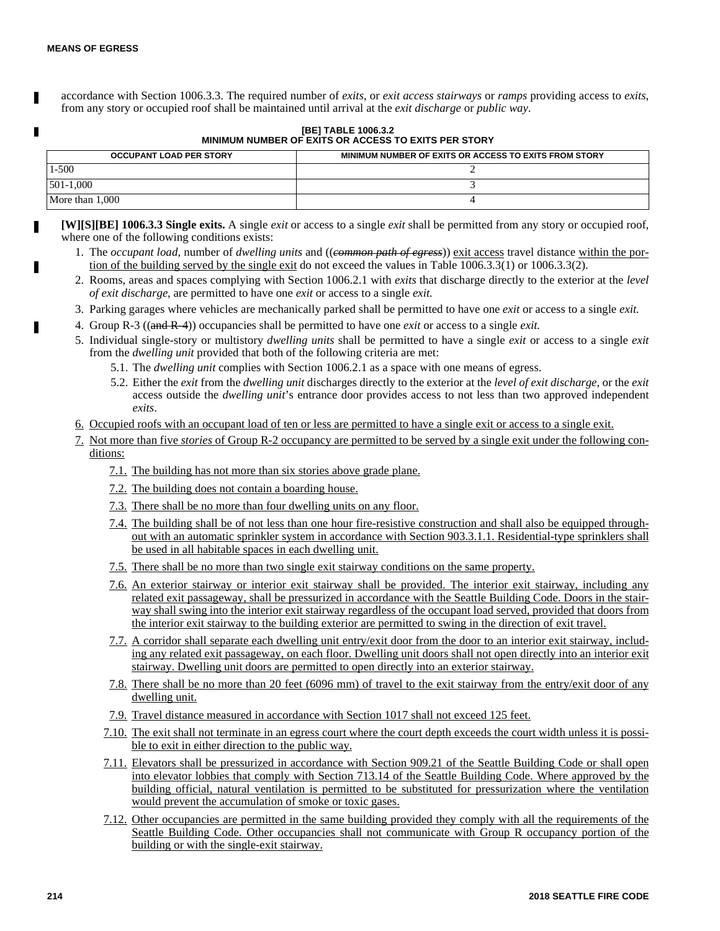П

accordance with Section 1006.3.3. The required number of *exits*, or *exit access stairways* or *ramps* providing access to *exits*, from any story or occupied roof shall be maintained until arrival at the *exit discharge* or *public way*.

## **[BE] TABLE 1006.3.2 MINIMUM NUMBER OF EXITS OR ACCESS TO EXITS PER STORY**

| <b>OCCUPANT LOAD PER STORY</b> | MINIMUM NUMBER OF EXITS OR ACCESS TO EXITS FROM STORY |  |
|--------------------------------|-------------------------------------------------------|--|
| 1-500                          |                                                       |  |
| $1501 - 1.000$                 |                                                       |  |
| More than 1,000                |                                                       |  |

**[W][S][BE] 1006.3.3 Single exits.** A single *exit* or access to a single *exit* shall be permitted from any story or occupied roof, where one of the following conditions exists:

- 1. The *occupant load*, number of *dwelling units* and ((*common path of egress*)) exit access travel distance within the portion of the building served by the single exit do not exceed the values in Table 1006.3.3(1) or 1006.3.3(2).
- 2. Rooms, areas and spaces complying with Section 1006.2.1 with *exits* that discharge directly to the exterior at the *level of exit discharge*, are permitted to have one *exit* or access to a single *exit.*
- 3. Parking garages where vehicles are mechanically parked shall be permitted to have one *exit* or access to a single *exit.*
- 4. Group R-3 ((and R-4)) occupancies shall be permitted to have one *exit* or access to a single *exit.*
- 5. Individual single-story or multistory *dwelling units* shall be permitted to have a single *exit* or access to a single *exit* from the *dwelling unit* provided that both of the following criteria are met:
	- 5.1. The *dwelling unit* complies with Section 1006.2.1 as a space with one means of egress.
	- 5.2. Either the *exit* from the *dwelling unit* discharges directly to the exterior at the *level of exit discharge*, or the *exit* access outside the *dwelling unit*'s entrance door provides access to not less than two approved independent *exits*.
- 6. Occupied roofs with an occupant load of ten or less are permitted to have a single exit or access to a single exit.
- 7. Not more than five *stories* of Group R-2 occupancy are permitted to be served by a single exit under the following conditions:
	- 7.1. The building has not more than six stories above grade plane.
	- 7.2. The building does not contain a boarding house.
	- 7.3. There shall be no more than four dwelling units on any floor.
	- 7.4. The building shall be of not less than one hour fire-resistive construction and shall also be equipped throughout with an automatic sprinkler system in accordance with Section 903.3.1.1. Residential-type sprinklers shall be used in all habitable spaces in each dwelling unit.
	- 7.5. There shall be no more than two single exit stairway conditions on the same property.
	- 7.6. An exterior stairway or interior exit stairway shall be provided. The interior exit stairway, including any related exit passageway, shall be pressurized in accordance with the Seattle Building Code. Doors in the stairway shall swing into the interior exit stairway regardless of the occupant load served, provided that doors from the interior exit stairway to the building exterior are permitted to swing in the direction of exit travel.
	- 7.7. A corridor shall separate each dwelling unit entry/exit door from the door to an interior exit stairway, including any related exit passageway, on each floor. Dwelling unit doors shall not open directly into an interior exit stairway. Dwelling unit doors are permitted to open directly into an exterior stairway.
	- 7.8. There shall be no more than 20 feet (6096 mm) of travel to the exit stairway from the entry/exit door of any dwelling unit.
	- 7.9. Travel distance measured in accordance with Section 1017 shall not exceed 125 feet.
	- 7.10. The exit shall not terminate in an egress court where the court depth exceeds the court width unless it is possible to exit in either direction to the public way.
	- 7.11. Elevators shall be pressurized in accordance with Section 909.21 of the Seattle Building Code or shall open into elevator lobbies that comply with Section 713.14 of the Seattle Building Code. Where approved by the building official, natural ventilation is permitted to be substituted for pressurization where the ventilation would prevent the accumulation of smoke or toxic gases.
	- 7.12. Other occupancies are permitted in the same building provided they comply with all the requirements of the Seattle Building Code. Other occupancies shall not communicate with Group R occupancy portion of the building or with the single-exit stairway.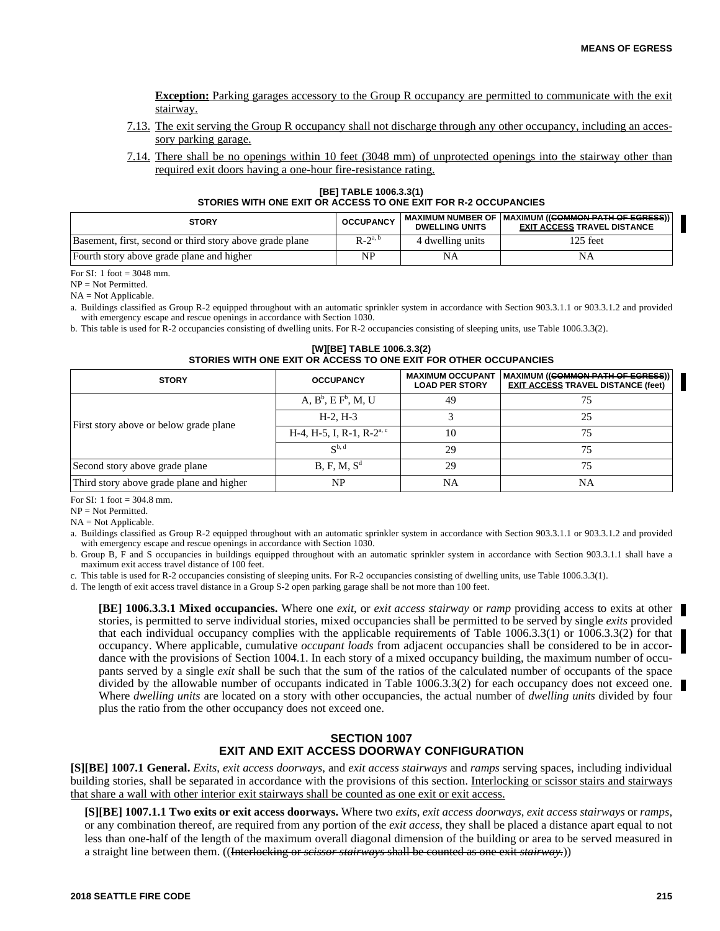**Exception:** Parking garages accessory to the Group R occupancy are permitted to communicate with the exit stairway.

- 7.13. The exit serving the Group R occupancy shall not discharge through any other occupancy, including an accessory parking garage.
- 7.14. There shall be no openings within 10 feet (3048 mm) of unprotected openings into the stairway other than required exit doors having a one-hour fire-resistance rating.

**[BE] TABLE 1006.3.3(1) STORIES WITH ONE EXIT OR ACCESS TO ONE EXIT FOR R-2 OCCUPANCIES**

| <b>STORY</b>                                             | <b>OCCUPANCY</b> | <b>DWELLING UNITS</b> | MAXIMUM NUMBER OF IMAXIMUM (( <del>COMMON PATH OF EGRESS</del> )) I<br><b>EXIT ACCESS TRAVEL DISTANCE</b> |
|----------------------------------------------------------|------------------|-----------------------|-----------------------------------------------------------------------------------------------------------|
| Basement, first, second or third story above grade plane | $R-2^{a, b}$     | 4 dwelling units      | 125 feet                                                                                                  |
| Fourth story above grade plane and higher                | NP               |                       | NA                                                                                                        |

For SI: 1 foot = 3048 mm.

NP = Not Permitted.

NA = Not Applicable.

a. Buildings classified as Group R-2 equipped throughout with an automatic sprinkler system in accordance with Section 903.3.1.1 or 903.3.1.2 and provided with emergency escape and rescue openings in accordance with Section 1030.

b. This table is used for R-2 occupancies consisting of dwelling units. For R-2 occupancies consisting of sleeping units, use Table 1006.3.3(2).

# **[W][BE] TABLE 1006.3.3(2) STORIES WITH ONE EXIT OR ACCESS TO ONE EXIT FOR OTHER OCCUPANCIES**

| <b>STORY</b>                             | <b>OCCUPANCY</b>                      | <b>MAXIMUM OCCUPANT</b><br><b>LOAD PER STORY</b> | MAXIMUM ((COMMON PATH OF EGRESS))<br><b>EXIT ACCESS TRAVEL DISTANCE (feet)</b> |  |
|------------------------------------------|---------------------------------------|--------------------------------------------------|--------------------------------------------------------------------------------|--|
|                                          | $A, B^b, E F^b, M, U$                 | 49                                               |                                                                                |  |
|                                          | $H-2. H-3$                            |                                                  | 25                                                                             |  |
| First story above or below grade plane   | H-4, H-5, I, R-1, R-2 <sup>a, c</sup> | 10                                               | 75                                                                             |  |
|                                          | $\mathbb{C}^{b, d}$                   | 29                                               | 75                                                                             |  |
| Second story above grade plane           | B, F, M, S <sup>d</sup>               | 29                                               | 75                                                                             |  |
| Third story above grade plane and higher | NP                                    | NA                                               | NA                                                                             |  |

For SI: 1 foot  $=$  304.8 mm.

NP = Not Permitted.

 $NA = Not$  Applicable.

a. Buildings classified as Group R-2 equipped throughout with an automatic sprinkler system in accordance with Section 903.3.1.1 or 903.3.1.2 and provided with emergency escape and rescue openings in accordance with Section 1030.

b. Group B, F and S occupancies in buildings equipped throughout with an automatic sprinkler system in accordance with Section 903.3.1.1 shall have a maximum exit access travel distance of 100 feet.

c. This table is used for R-2 occupancies consisting of sleeping units. For R-2 occupancies consisting of dwelling units, use Table 1006.3.3(1).

d. The length of exit access travel distance in a Group S-2 open parking garage shall be not more than 100 feet.

**[BE] 1006.3.3.1 Mixed occupancies.** Where one *exit*, or *exit access stairway* or *ramp* providing access to exits at other stories, is permitted to serve individual stories, mixed occupancies shall be permitted to be served by single *exits* provided that each individual occupancy complies with the applicable requirements of Table 1006.3.3(1) or 1006.3.3(2) for that occupancy. Where applicable, cumulative *occupant loads* from adjacent occupancies shall be considered to be in accordance with the provisions of Section 1004.1. In each story of a mixed occupancy building, the maximum number of occupants served by a single *exit* shall be such that the sum of the ratios of the calculated number of occupants of the space divided by the allowable number of occupants indicated in Table 1006.3.3(2) for each occupancy does not exceed one. Where *dwelling units* are located on a story with other occupancies, the actual number of *dwelling units* divided by four plus the ratio from the other occupancy does not exceed one.

# **SECTION 1007 EXIT AND EXIT ACCESS DOORWAY CONFIGURATION**

**[S][BE] 1007.1 General.** *Exits*, *exit access doorways*, and *exit access stairways* and *ramps* serving spaces, including individual building stories, shall be separated in accordance with the provisions of this section. Interlocking or scissor stairs and stairways that share a wall with other interior exit stairways shall be counted as one exit or exit access.

**[S][BE] 1007.1.1 Two exits or exit access doorways.** Where two *exits*, *exit access doorways*, *exit access stairways* or *ramps*, or any combination thereof, are required from any portion of the *exit access*, they shall be placed a distance apart equal to not less than one-half of the length of the maximum overall diagonal dimension of the building or area to be served measured in a straight line between them. ((Interlocking or *scissor stairways* shall be counted as one exit *stairway.*))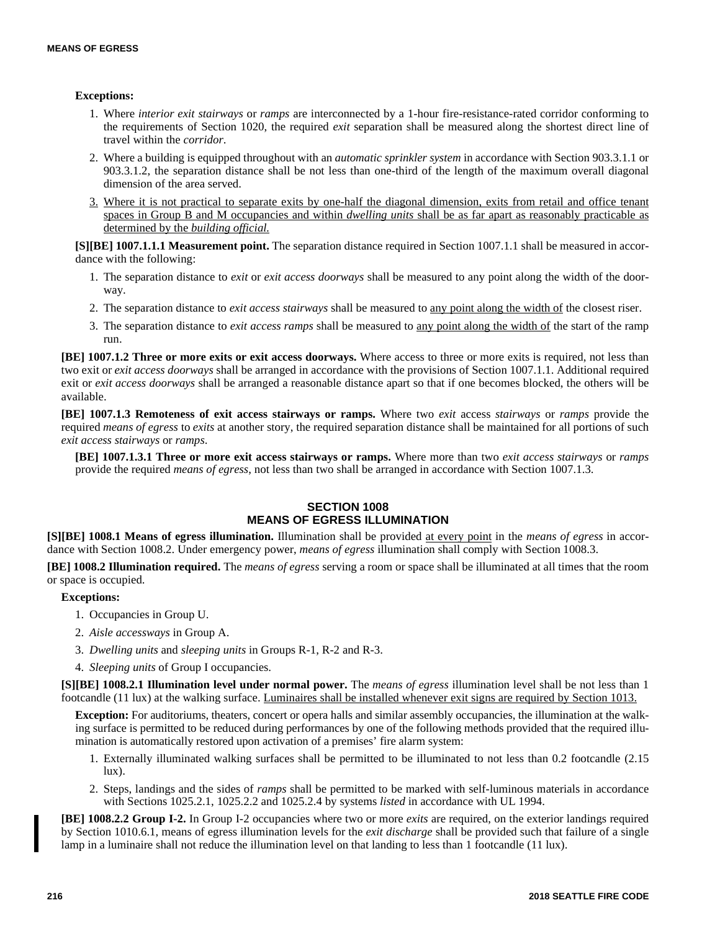# **Exceptions:**

- 1. Where *interior exit stairways* or *ramps* are interconnected by a 1-hour fire-resistance-rated corridor conforming to the requirements of Section 1020, the required *exit* separation shall be measured along the shortest direct line of travel within the *corridor*.
- 2. Where a building is equipped throughout with an *automatic sprinkler system* in accordance with Section 903.3.1.1 or 903.3.1.2, the separation distance shall be not less than one-third of the length of the maximum overall diagonal dimension of the area served.
- 3. Where it is not practical to separate exits by one-half the diagonal dimension, exits from retail and office tenant spaces in Group B and M occupancies and within *dwelling units* shall be as far apart as reasonably practicable as determined by the *building official.*

**[S][BE] 1007.1.1.1 Measurement point.** The separation distance required in Section 1007.1.1 shall be measured in accordance with the following:

- 1. The separation distance to *exit* or *exit access doorways* shall be measured to any point along the width of the doorway.
- 2. The separation distance to *exit access stairways* shall be measured to any point along the width of the closest riser.
- 3. The separation distance to *exit access ramps* shall be measured to any point along the width of the start of the ramp run.

**[BE] 1007.1.2 Three or more exits or exit access doorways.** Where access to three or more exits is required, not less than two exit or *exit access doorways* shall be arranged in accordance with the provisions of Section 1007.1.1. Additional required exit or *exit access doorways* shall be arranged a reasonable distance apart so that if one becomes blocked, the others will be available.

**[BE] 1007.1.3 Remoteness of exit access stairways or ramps.** Where two *exit* access *stairways* or *ramps* provide the required *means of egress* to *exits* at another story, the required separation distance shall be maintained for all portions of such *exit access stairways* or *ramps*.

**[BE] 1007.1.3.1 Three or more exit access stairways or ramps.** Where more than two *exit access stairways* or *ramps* provide the required *means of egress*, not less than two shall be arranged in accordance with Section 1007.1.3.

# **SECTION 1008 MEANS OF EGRESS ILLUMINATION**

**[S][BE] 1008.1 Means of egress illumination.** Illumination shall be provided at every point in the *means of egress* in accordance with Section 1008.2. Under emergency power, *means of egress* illumination shall comply with Section 1008.3.

**[BE] 1008.2 Illumination required.** The *means of egress* serving a room or space shall be illuminated at all times that the room or space is occupied.

# **Exceptions:**

- 1. Occupancies in Group U.
- 2. *Aisle accessways* in Group A.
- 3. *Dwelling units* and *sleeping units* in Groups R-1, R-2 and R-3.
- 4. *Sleeping units* of Group I occupancies.

**[S][BE] 1008.2.1 Illumination level under normal power.** The *means of egress* illumination level shall be not less than 1 footcandle (11 lux) at the walking surface. Luminaires shall be installed whenever exit signs are required by Section 1013.

**Exception:** For auditoriums, theaters, concert or opera halls and similar assembly occupancies, the illumination at the walking surface is permitted to be reduced during performances by one of the following methods provided that the required illumination is automatically restored upon activation of a premises' fire alarm system:

- 1. Externally illuminated walking surfaces shall be permitted to be illuminated to not less than 0.2 footcandle (2.15  $lux)$ .
- 2. Steps, landings and the sides of *ramps* shall be permitted to be marked with self-luminous materials in accordance with Sections 1025.2.1, 1025.2.2 and 1025.2.4 by systems *listed* in accordance with UL 1994.

**[BE] 1008.2.2 Group I-2.** In Group I-2 occupancies where two or more *exits* are required, on the exterior landings required by Section 1010.6.1, means of egress illumination levels for the *exit discharge* shall be provided such that failure of a single lamp in a luminaire shall not reduce the illumination level on that landing to less than 1 footcandle (11 lux).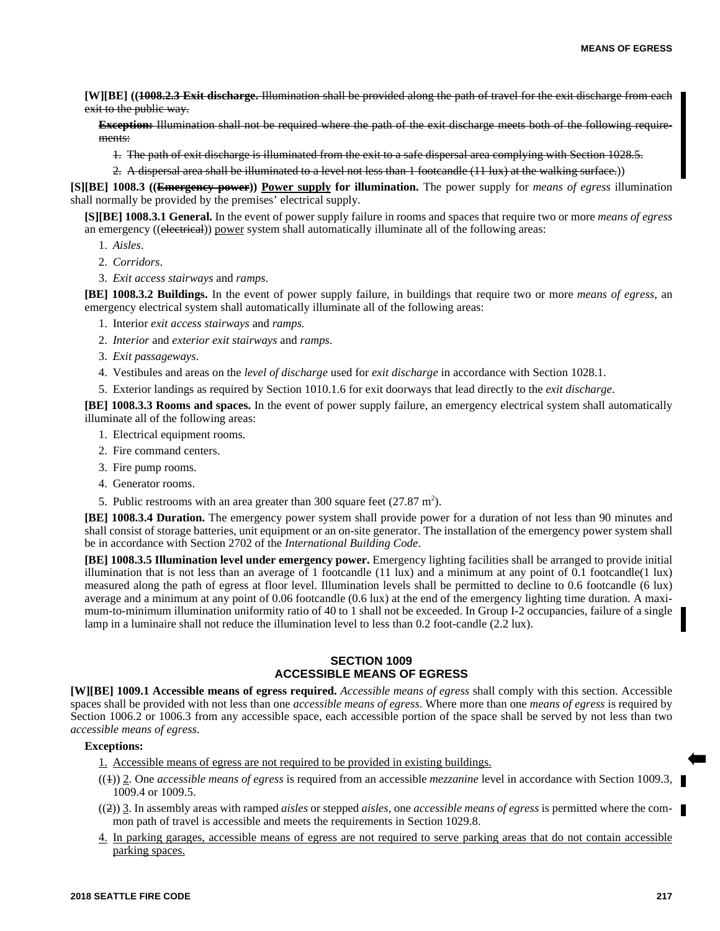**[W][BE] ((1008.2.3 Exit discharge.** Illumination shall be provided along the path of travel for the exit discharge from each exit to the public way.

**Exception:** Illumination shall not be required where the path of the exit discharge meets both of the following requirements:

1. The path of exit discharge is illuminated from the exit to a safe dispersal area complying with Section 1028.5.

2. A dispersal area shall be illuminated to a level not less than 1 footcandle (11 lux) at the walking surface.))

**[S][BE] 1008.3 ((Emergency power)) Power supply for illumination.** The power supply for *means of egress* illumination shall normally be provided by the premises' electrical supply.

**[S][BE] 1008.3.1 General.** In the event of power supply failure in rooms and spaces that require two or more *means of egress* an emergency ((electrical)) power system shall automatically illuminate all of the following areas:

- 1. *Aisles*.
- 2. *Corridors*.
- 3. *Exit access stairways* and *ramps*.

**[BE] 1008.3.2 Buildings.** In the event of power supply failure, in buildings that require two or more *means of egress*, an emergency electrical system shall automatically illuminate all of the following areas:

- 1. Interior *exit access stairways* and *ramps.*
- 2. *Interior* and *exterior exit stairways* and *ramps*.
- 3. *Exit passageways*.
- 4. Vestibules and areas on the *level of discharge* used for *exit discharge* in accordance with Section 1028.1.
- 5. Exterior landings as required by Section 1010.1.6 for exit doorways that lead directly to the *exit discharge*.

**[BE] 1008.3.3 Rooms and spaces.** In the event of power supply failure, an emergency electrical system shall automatically illuminate all of the following areas:

- 1. Electrical equipment rooms.
- 2. Fire command centers.
- 3. Fire pump rooms.
- 4. Generator rooms.
- 5. Public restrooms with an area greater than 300 square feet  $(27.87 \text{ m}^2)$ .

**[BE] 1008.3.4 Duration.** The emergency power system shall provide power for a duration of not less than 90 minutes and shall consist of storage batteries, unit equipment or an on-site generator. The installation of the emergency power system shall be in accordance with Section 2702 of the *International Building Code*.

**[BE] 1008.3.5 Illumination level under emergency power.** Emergency lighting facilities shall be arranged to provide initial illumination that is not less than an average of 1 footcandle  $(11 \text{ lux})$  and a minimum at any point of 0.1 footcandle $(1 \text{ lux})$ measured along the path of egress at floor level. Illumination levels shall be permitted to decline to 0.6 footcandle (6 lux) average and a minimum at any point of 0.06 footcandle (0.6 lux) at the end of the emergency lighting time duration. A maximum-to-minimum illumination uniformity ratio of 40 to 1 shall not be exceeded. In Group I-2 occupancies, failure of a single lamp in a luminaire shall not reduce the illumination level to less than 0.2 foot-candle (2.2 lux).

# **SECTION 1009 ACCESSIBLE MEANS OF EGRESS**

**[W][BE] 1009.1 Accessible means of egress required.** *Accessible means of egress* shall comply with this section. Accessible spaces shall be provided with not less than one *accessible means of egress*. Where more than one *means of egress* is required by Section 1006.2 or 1006.3 from any accessible space, each accessible portion of the space shall be served by not less than two *accessible means of egress*.

- 1. Accessible means of egress are not required to be provided in existing buildings.
- ((1)) 2. One *accessible means of egress* is required from an accessible *mezzanine* level in accordance with Section 1009.3, 1009.4 or 1009.5.
- ((2)) 3. In assembly areas with ramped *aisles* or stepped *aisles*, one *accessible means of egress* is permitted where the common path of travel is accessible and meets the requirements in Section 1029.8.
- 4. In parking garages, accessible means of egress are not required to serve parking areas that do not contain accessible parking spaces.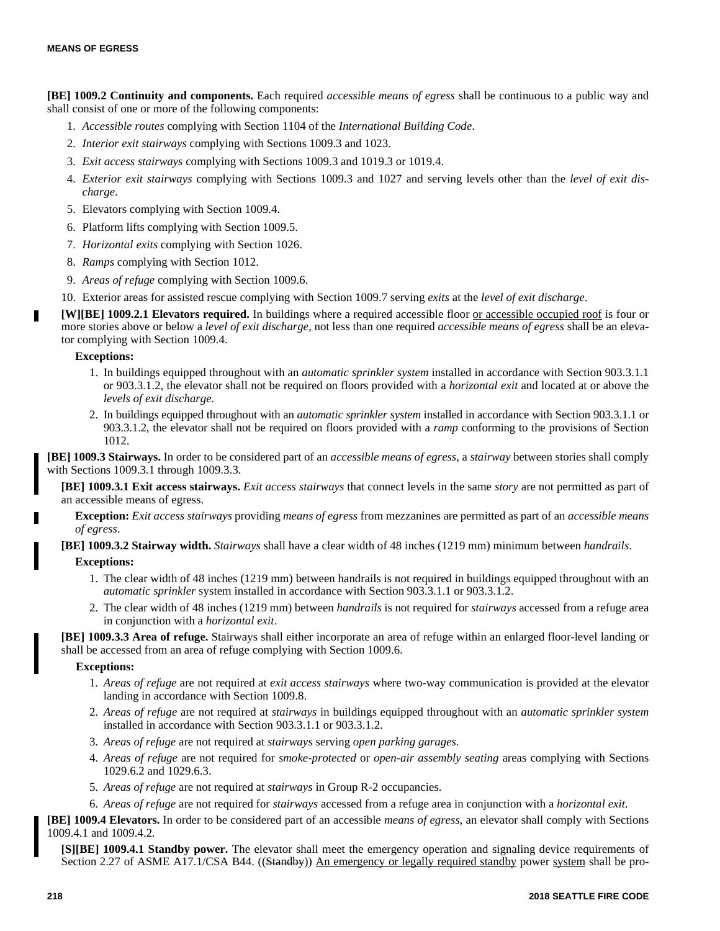**[BE] 1009.2 Continuity and components.** Each required *accessible means of egress* shall be continuous to a public way and shall consist of one or more of the following components:

- 1. *Accessible routes* complying with Section 1104 of the *International Building Code*.
- 2. *Interior exit stairways* complying with Sections 1009.3 and 1023.
- 3. *Exit access stairways* complying with Sections 1009.3 and 1019.3 or 1019.4.
- 4. *Exterior exit stairways* complying with Sections 1009.3 and 1027 and serving levels other than the *level of exit discharge*.
- 5. Elevators complying with Section 1009.4.
- 6. Platform lifts complying with Section 1009.5.
- 7. *Horizontal exits* complying with Section 1026.
- 8. *Ramps* complying with Section 1012.
- 9. *Areas of refuge* complying with Section 1009.6.
- 10. Exterior areas for assisted rescue complying with Section 1009.7 serving *exits* at the *level of exit discharge*.

**[W][BE] 1009.2.1 Elevators required.** In buildings where a required accessible floor or accessible occupied roof is four or more stories above or below a *level of exit discharge*, not less than one required *accessible means of egress* shall be an elevator complying with Section 1009.4.

# **Exceptions:**

- 1. In buildings equipped throughout with an *automatic sprinkler system* installed in accordance with Section 903.3.1.1 or 903.3.1.2, the elevator shall not be required on floors provided with a *horizontal exit* and located at or above the *levels of exit discharge.*
- 2. In buildings equipped throughout with an *automatic sprinkler system* installed in accordance with Section 903.3.1.1 or 903.3.1.2, the elevator shall not be required on floors provided with a *ramp* conforming to the provisions of Section 1012.

**[BE] 1009.3 Stairways.** In order to be considered part of an *accessible means of egress*, a *stairway* between stories shall comply with Sections 1009.3.1 through 1009.3.3.

**[BE] 1009.3.1 Exit access stairways.** *Exit access stairways* that connect levels in the same *story* are not permitted as part of an accessible means of egress.

**Exception:** *Exit access stairways* providing *means of egress* from mezzanines are permitted as part of an *accessible means of egress*.

**[BE] 1009.3.2 Stairway width.** *Stairways* shall have a clear width of 48 inches (1219 mm) minimum between *handrails*.

# **Exceptions:**

- 1. The clear width of 48 inches (1219 mm) between handrails is not required in buildings equipped throughout with an *automatic sprinkler* system installed in accordance with Section 903.3.1.1 or 903.3.1.2.
- 2. The clear width of 48 inches (1219 mm) between *handrails* is not required for *stairways* accessed from a refuge area in conjunction with a *horizontal exit*.

**[BE] 1009.3.3 Area of refuge.** Stairways shall either incorporate an area of refuge within an enlarged floor-level landing or shall be accessed from an area of refuge complying with Section 1009.6.

# **Exceptions:**

- 1. *Areas of refuge* are not required at *exit access stairways* where two-way communication is provided at the elevator landing in accordance with Section 1009.8.
- 2. *Areas of refuge* are not required at *stairways* in buildings equipped throughout with an *automatic sprinkler system* installed in accordance with Section 903.3.1.1 or 903.3.1.2.
- 3. *Areas of refuge* are not required at *stairways* serving *open parking garages*.
- 4. *Areas of refuge* are not required for *smoke-protected* or *open-air assembly seating* areas complying with Sections 1029.6.2 and 1029.6.3.
- 5. *Areas of refuge* are not required at *stairways* in Group R-2 occupancies.
- 6. *Areas of refuge* are not required for *stairways* accessed from a refuge area in conjunction with a *horizontal exit*.

**[BE] 1009.4 Elevators.** In order to be considered part of an accessible *means of egress*, an elevator shall comply with Sections 1009.4.1 and 1009.4.2.

**[S][BE] 1009.4.1 Standby power.** The elevator shall meet the emergency operation and signaling device requirements of Section 2.27 of ASME A17.1/CSA B44. ((Standby)) An emergency or legally required standby power system shall be pro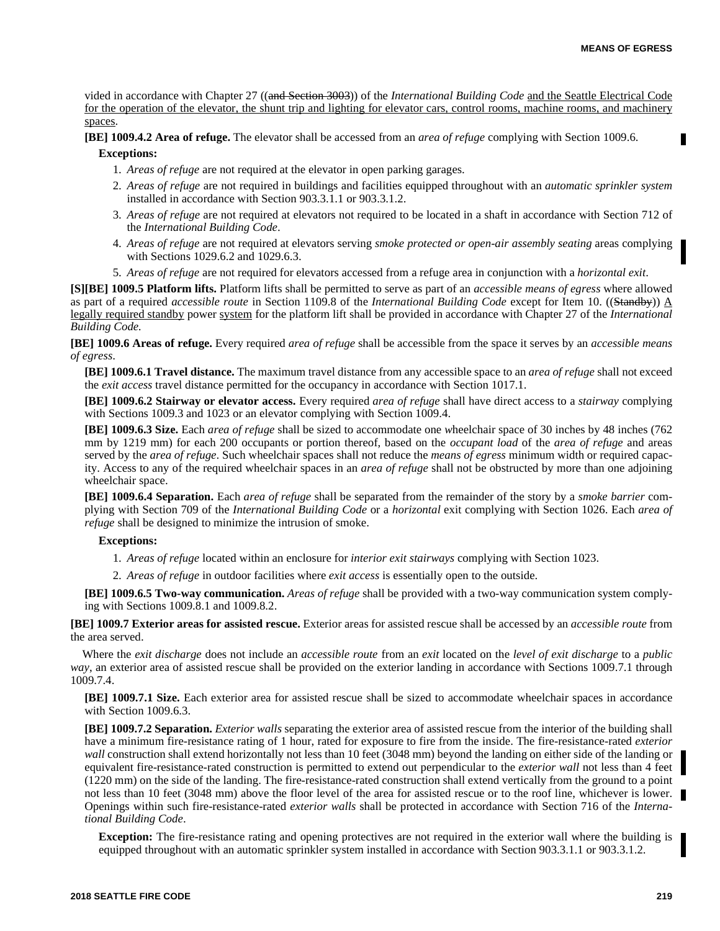vided in accordance with Chapter 27 ((and Section 3003)) of the *International Building Code* and the Seattle Electrical Code for the operation of the elevator, the shunt trip and lighting for elevator cars, control rooms, machine rooms, and machinery spaces.

**[BE] 1009.4.2 Area of refuge.** The elevator shall be accessed from an *area of refuge* complying with Section 1009.6. **Exceptions:**

- 1. *Areas of refuge* are not required at the elevator in open parking garages.
- 2. *Areas of refuge* are not required in buildings and facilities equipped throughout with an *automatic sprinkler system* installed in accordance with Section 903.3.1.1 or 903.3.1.2.
- 3. *Areas of refuge* are not required at elevators not required to be located in a shaft in accordance with Section 712 of the *International Building Code*.
- 4. *Areas of refuge* are not required at elevators serving *smoke protected or open-air assembly seating* areas complying with Sections 1029.6.2 and 1029.6.3.
- 5. *Areas of refuge* are not required for elevators accessed from a refuge area in conjunction with a *horizontal exit*.

**[S][BE] 1009.5 Platform lifts.** Platform lifts shall be permitted to serve as part of an *accessible means of egress* where allowed as part of a required *accessible route* in Section 1109.8 of the *International Building Code* except for Item 10. ((Standby)) A legally required standby power system for the platform lift shall be provided in accordance with Chapter 27 of the *International Building Code.*

**[BE] 1009.6 Areas of refuge.** Every required *area of refuge* shall be accessible from the space it serves by an *accessible means of egress*.

**[BE] 1009.6.1 Travel distance.** The maximum travel distance from any accessible space to an *area of refuge* shall not exceed the *exit access* travel distance permitted for the occupancy in accordance with Section 1017.1.

**[BE] 1009.6.2 Stairway or elevator access.** Every required *area of refuge* shall have direct access to a *stairway* complying with Sections 1009.3 and 1023 or an elevator complying with Section 1009.4.

**[BE] 1009.6.3 Size.** Each *area of refuge* shall be sized to accommodate one *w*heelchair space of 30 inches by 48 inches (762 mm by 1219 mm) for each 200 occupants or portion thereof, based on the *occupant load* of the *area of refuge* and areas served by the *area of refuge*. Such wheelchair spaces shall not reduce the *means of egress* minimum width or required capacity. Access to any of the required wheelchair spaces in an *area of refuge* shall not be obstructed by more than one adjoining wheelchair space.

**[BE] 1009.6.4 Separation.** Each *area of refuge* shall be separated from the remainder of the story by a *smoke barrier* complying with Section 709 of the *International Building Code* or a *horizontal* exit complying with Section 1026. Each *area of refuge* shall be designed to minimize the intrusion of smoke.

#### **Exceptions:**

1. *Areas of refuge* located within an enclosure for *interior exit stairways* complying with Section 1023.

2. *Areas of refuge* in outdoor facilities where *exit access* is essentially open to the outside.

**[BE] 1009.6.5 Two-way communication.** *Areas of refuge* shall be provided with a two-way communication system complying with Sections 1009.8.1 and 1009.8.2.

**[BE] 1009.7 Exterior areas for assisted rescue.** Exterior areas for assisted rescue shall be accessed by an *accessible route* from the area served.

Where the *exit discharge* does not include an *accessible route* from an *exit* located on the *level of exit discharge* to a *public way*, an exterior area of assisted rescue shall be provided on the exterior landing in accordance with Sections 1009.7.1 through 1009.7.4.

**[BE] 1009.7.1 Size.** Each exterior area for assisted rescue shall be sized to accommodate wheelchair spaces in accordance with Section 1009.6.3.

**[BE] 1009.7.2 Separation.** *Exterior walls* separating the exterior area of assisted rescue from the interior of the building shall have a minimum fire-resistance rating of 1 hour, rated for exposure to fire from the inside. The fire-resistance-rated *exterior wall* construction shall extend horizontally not less than 10 feet (3048 mm) beyond the landing on either side of the landing or equivalent fire-resistance-rated construction is permitted to extend out perpendicular to the *exterior wall* not less than 4 feet (1220 mm) on the side of the landing. The fire-resistance-rated construction shall extend vertically from the ground to a point not less than 10 feet (3048 mm) above the floor level of the area for assisted rescue or to the roof line, whichever is lower. Openings within such fire-resistance-rated *exterior walls* shall be protected in accordance with Section 716 of the *International Building Code*.

**Exception:** The fire-resistance rating and opening protectives are not required in the exterior wall where the building is equipped throughout with an automatic sprinkler system installed in accordance with Section 903.3.1.1 or 903.3.1.2.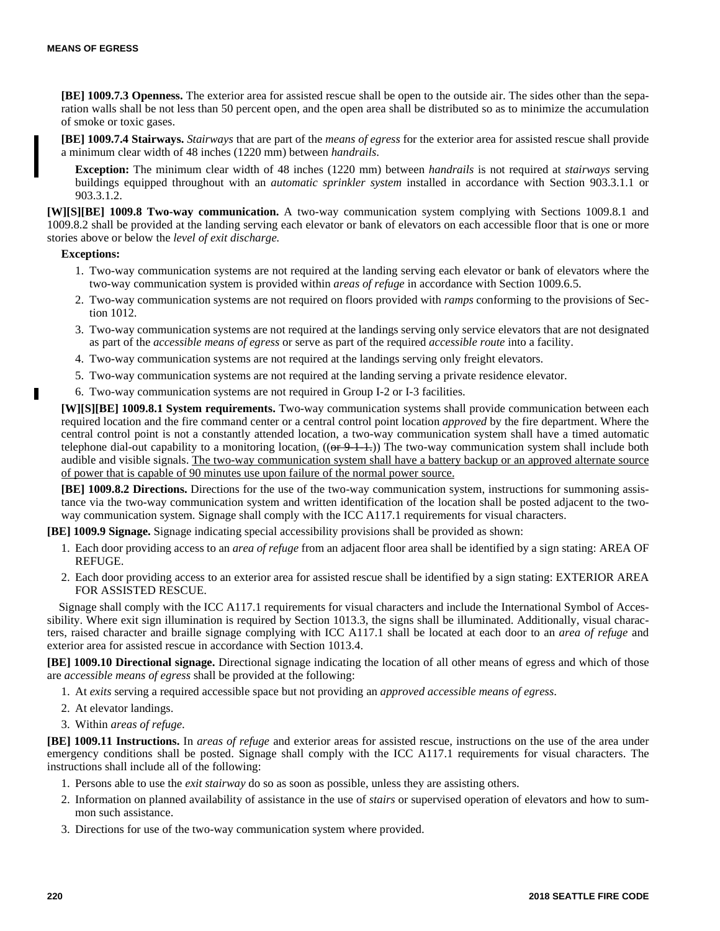**[BE] 1009.7.3 Openness.** The exterior area for assisted rescue shall be open to the outside air. The sides other than the separation walls shall be not less than 50 percent open, and the open area shall be distributed so as to minimize the accumulation of smoke or toxic gases.

**[BE] 1009.7.4 Stairways.** *Stairways* that are part of the *means of egress* for the exterior area for assisted rescue shall provide a minimum clear width of 48 inches (1220 mm) between *handrails*.

**Exception:** The minimum clear width of 48 inches (1220 mm) between *handrails* is not required at *stairways* serving buildings equipped throughout with an *automatic sprinkler system* installed in accordance with Section 903.3.1.1 or 903.3.1.2.

**[W][S][BE] 1009.8 Two-way communication.** A two-way communication system complying with Sections 1009.8.1 and 1009.8.2 shall be provided at the landing serving each elevator or bank of elevators on each accessible floor that is one or more stories above or below the *level of exit discharge.*

#### **Exceptions:**

п

- 1. Two-way communication systems are not required at the landing serving each elevator or bank of elevators where the two-way communication system is provided within *areas of refuge* in accordance with Section 1009.6.5.
- 2. Two-way communication systems are not required on floors provided with *ramps* conforming to the provisions of Section 1012.
- 3. Two-way communication systems are not required at the landings serving only service elevators that are not designated as part of the *accessible means of egress* or serve as part of the required *accessible route* into a facility.
- 4. Two-way communication systems are not required at the landings serving only freight elevators.
- 5. Two-way communication systems are not required at the landing serving a private residence elevator.
- 6. Two-way communication systems are not required in Group I-2 or I-3 facilities.

**[W][S][BE] 1009.8.1 System requirements.** Two-way communication systems shall provide communication between each required location and the fire command center or a central control point location *approved* by the fire department. Where the central control point is not a constantly attended location, a two-way communication system shall have a timed automatic telephone dial-out capability to a monitoring location.  $((or 9-1-1))$  The two-way communication system shall include both audible and visible signals. The two-way communication system shall have a battery backup or an approved alternate source of power that is capable of 90 minutes use upon failure of the normal power source.

**[BE] 1009.8.2 Directions.** Directions for the use of the two-way communication system, instructions for summoning assistance via the two-way communication system and written identification of the location shall be posted adjacent to the twoway communication system. Signage shall comply with the ICC A117.1 requirements for visual characters.

**[BE] 1009.9 Signage.** Signage indicating special accessibility provisions shall be provided as shown:

- 1. Each door providing access to an *area of refuge* from an adjacent floor area shall be identified by a sign stating: AREA OF REFUGE.
- 2. Each door providing access to an exterior area for assisted rescue shall be identified by a sign stating: EXTERIOR AREA FOR ASSISTED RESCUE.

Signage shall comply with the ICC A117.1 requirements for visual characters and include the International Symbol of Accessibility. Where exit sign illumination is required by Section 1013.3, the signs shall be illuminated. Additionally, visual characters, raised character and braille signage complying with ICC A117.1 shall be located at each door to an *area of refuge* and exterior area for assisted rescue in accordance with Section 1013.4.

**[BE] 1009.10 Directional signage.** Directional signage indicating the location of all other means of egress and which of those are *accessible means of egress* shall be provided at the following:

- 1. At *exits* serving a required accessible space but not providing an *approved accessible means of egress*.
- 2. At elevator landings.
- 3. Within *areas of refuge*.

**[BE] 1009.11 Instructions.** In *areas of refuge* and exterior areas for assisted rescue, instructions on the use of the area under emergency conditions shall be posted. Signage shall comply with the ICC A117.1 requirements for visual characters. The instructions shall include all of the following:

- 1. Persons able to use the *exit stairway* do so as soon as possible, unless they are assisting others.
- 2. Information on planned availability of assistance in the use of *stairs* or supervised operation of elevators and how to summon such assistance.
- 3. Directions for use of the two-way communication system where provided.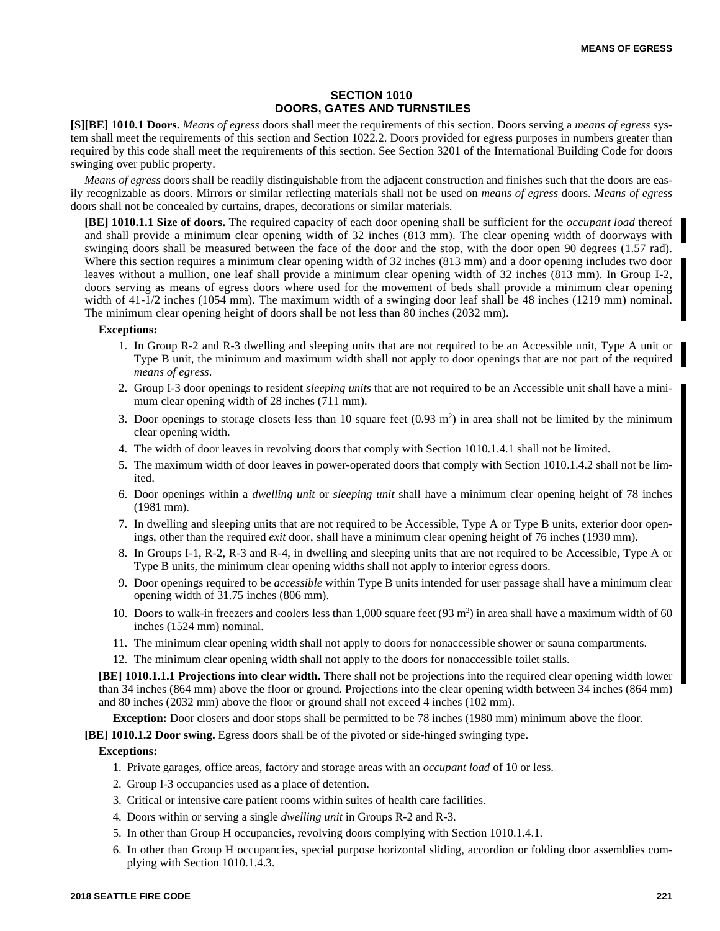# **SECTION 1010 DOORS, GATES AND TURNSTILES**

**[S][BE] 1010.1 Doors.** *Means of egress* doors shall meet the requirements of this section. Doors serving a *means of egress* system shall meet the requirements of this section and Section 1022.2. Doors provided for egress purposes in numbers greater than required by this code shall meet the requirements of this section. See Section 3201 of the International Building Code for doors swinging over public property.

*Means of egress* doors shall be readily distinguishable from the adjacent construction and finishes such that the doors are easily recognizable as doors. Mirrors or similar reflecting materials shall not be used on *means of egress* doors. *Means of egress* doors shall not be concealed by curtains, drapes, decorations or similar materials.

**[BE] 1010.1.1 Size of doors.** The required capacity of each door opening shall be sufficient for the *occupant load* thereof and shall provide a minimum clear opening width of 32 inches (813 mm). The clear opening width of doorways with swinging doors shall be measured between the face of the door and the stop, with the door open 90 degrees (1.57 rad). Where this section requires a minimum clear opening width of 32 inches (813 mm) and a door opening includes two door leaves without a mullion, one leaf shall provide a minimum clear opening width of 32 inches (813 mm). In Group I-2, doors serving as means of egress doors where used for the movement of beds shall provide a minimum clear opening width of 41-1/2 inches (1054 mm). The maximum width of a swinging door leaf shall be 48 inches (1219 mm) nominal. The minimum clear opening height of doors shall be not less than 80 inches (2032 mm).

#### **Exceptions:**

- 1. In Group R-2 and R-3 dwelling and sleeping units that are not required to be an Accessible unit, Type A unit or Type B unit, the minimum and maximum width shall not apply to door openings that are not part of the required *means of egress*.
- 2. Group I-3 door openings to resident *sleeping units* that are not required to be an Accessible unit shall have a minimum clear opening width of 28 inches (711 mm).
- 3. Door openings to storage closets less than 10 square feet  $(0.93 \text{ m}^2)$  in area shall not be limited by the minimum clear opening width.
- 4. The width of door leaves in revolving doors that comply with Section 1010.1.4.1 shall not be limited.
- 5. The maximum width of door leaves in power-operated doors that comply with Section 1010.1.4.2 shall not be limited.
- 6. Door openings within a *dwelling unit* or *sleeping unit* shall have a minimum clear opening height of 78 inches (1981 mm).
- 7. In dwelling and sleeping units that are not required to be Accessible, Type A or Type B units, exterior door openings, other than the required *exit* door, shall have a minimum clear opening height of 76 inches (1930 mm).
- 8. In Groups I-1, R-2, R-3 and R-4, in dwelling and sleeping units that are not required to be Accessible, Type A or Type B units, the minimum clear opening widths shall not apply to interior egress doors.
- 9. Door openings required to be *accessible* within Type B units intended for user passage shall have a minimum clear opening width of 31.75 inches (806 mm).
- 10. Doors to walk-in freezers and coolers less than 1,000 square feet  $(93 \text{ m}^2)$  in area shall have a maximum width of 60 inches (1524 mm) nominal.
- 11. The minimum clear opening width shall not apply to doors for nonaccessible shower or sauna compartments.
- 12. The minimum clear opening width shall not apply to the doors for nonaccessible toilet stalls.

**[BE] 1010.1.1.1 Projections into clear width.** There shall not be projections into the required clear opening width lower than 34 inches (864 mm) above the floor or ground. Projections into the clear opening width between 34 inches (864 mm) and 80 inches (2032 mm) above the floor or ground shall not exceed 4 inches (102 mm).

**Exception:** Door closers and door stops shall be permitted to be 78 inches (1980 mm) minimum above the floor.

**[BE] 1010.1.2 Door swing.** Egress doors shall be of the pivoted or side-hinged swinging type.

- 1. Private garages, office areas, factory and storage areas with an *occupant load* of 10 or less.
- 2. Group I-3 occupancies used as a place of detention.
- 3. Critical or intensive care patient rooms within suites of health care facilities.
- 4. Doors within or serving a single *dwelling unit* in Groups R-2 and R-3.
- 5. In other than Group H occupancies, revolving doors complying with Section 1010.1.4.1.
- 6. In other than Group H occupancies, special purpose horizontal sliding, accordion or folding door assemblies complying with Section 1010.1.4.3.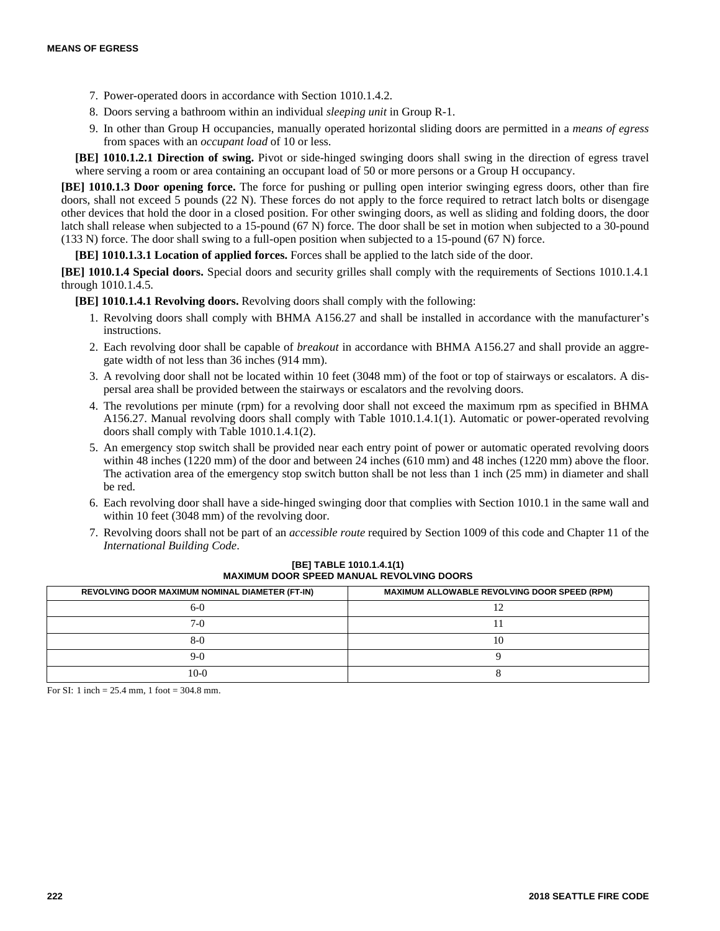- 7. Power-operated doors in accordance with Section 1010.1.4.2.
- 8. Doors serving a bathroom within an individual *sleeping unit* in Group R-1.
- 9. In other than Group H occupancies, manually operated horizontal sliding doors are permitted in a *means of egress* from spaces with an *occupant load* of 10 or less.

**[BE] 1010.1.2.1 Direction of swing.** Pivot or side-hinged swinging doors shall swing in the direction of egress travel where serving a room or area containing an occupant load of 50 or more persons or a Group H occupancy.

**[BE] 1010.1.3 Door opening force.** The force for pushing or pulling open interior swinging egress doors, other than fire doors, shall not exceed 5 pounds (22 N). These forces do not apply to the force required to retract latch bolts or disengage other devices that hold the door in a closed position. For other swinging doors, as well as sliding and folding doors, the door latch shall release when subjected to a 15-pound (67 N) force. The door shall be set in motion when subjected to a 30-pound (133 N) force. The door shall swing to a full-open position when subjected to a 15-pound (67 N) force.

**[BE] 1010.1.3.1 Location of applied forces.** Forces shall be applied to the latch side of the door.

**[BE] 1010.1.4 Special doors.** Special doors and security grilles shall comply with the requirements of Sections 1010.1.4.1 through 1010.1.4.5.

**[BE] 1010.1.4.1 Revolving doors.** Revolving doors shall comply with the following:

- 1. Revolving doors shall comply with BHMA A156.27 and shall be installed in accordance with the manufacturer's instructions.
- 2. Each revolving door shall be capable of *breakout* in accordance with BHMA A156.27 and shall provide an aggregate width of not less than 36 inches (914 mm).
- 3. A revolving door shall not be located within 10 feet (3048 mm) of the foot or top of stairways or escalators. A dispersal area shall be provided between the stairways or escalators and the revolving doors.
- 4. The revolutions per minute (rpm) for a revolving door shall not exceed the maximum rpm as specified in BHMA A156.27. Manual revolving doors shall comply with Table 1010.1.4.1(1). Automatic or power-operated revolving doors shall comply with Table 1010.1.4.1(2).
- 5. An emergency stop switch shall be provided near each entry point of power or automatic operated revolving doors within 48 inches (1220 mm) of the door and between 24 inches (610 mm) and 48 inches (1220 mm) above the floor. The activation area of the emergency stop switch button shall be not less than 1 inch (25 mm) in diameter and shall be red.
- 6. Each revolving door shall have a side-hinged swinging door that complies with Section 1010.1 in the same wall and within 10 feet (3048 mm) of the revolving door.
- 7. Revolving doors shall not be part of an *accessible route* required by Section 1009 of this code and Chapter 11 of the *International Building Code*.

| REVOLVING DOOR MAXIMUM NOMINAL DIAMETER (FT-IN) | <b>MAXIMUM ALLOWABLE REVOLVING DOOR SPEED (RPM)</b> |
|-------------------------------------------------|-----------------------------------------------------|
| 6-0                                             |                                                     |
| $7-()$                                          |                                                     |
| 8-0                                             |                                                     |
| 9-0                                             |                                                     |
| $10-0$                                          |                                                     |

## **[BE] TABLE 1010.1.4.1(1) MAXIMUM DOOR SPEED MANUAL REVOLVING DOORS**

For SI: 1 inch = 25.4 mm, 1 foot = 304.8 mm.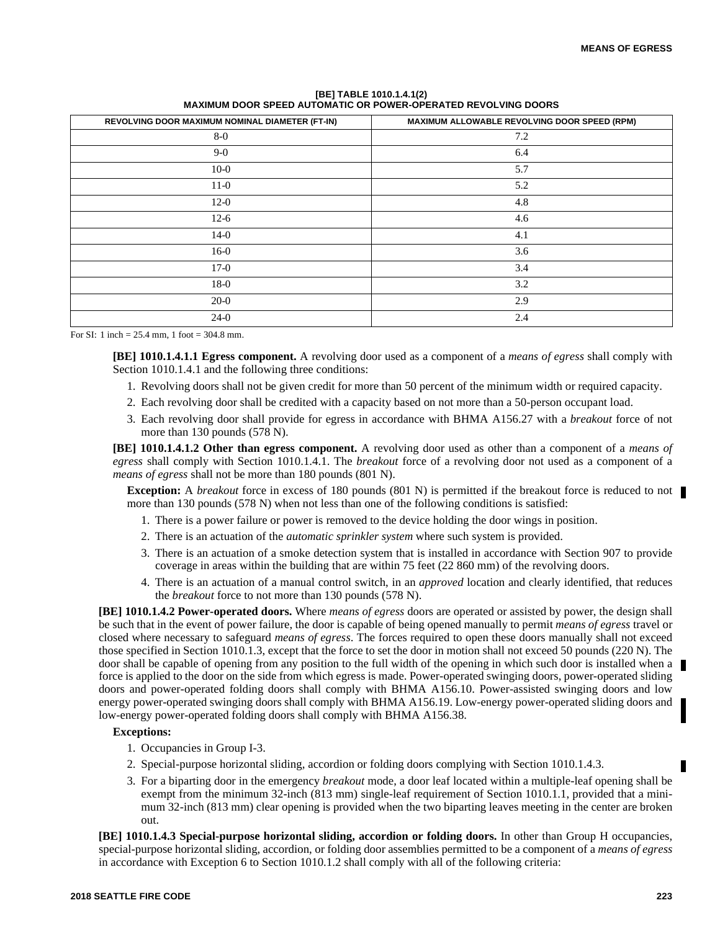| REVOLVING DOOR MAXIMUM NOMINAL DIAMETER (FT-IN) | MAXIMUM ALLOWABLE REVOLVING DOOR SPEED (RPM) |
|-------------------------------------------------|----------------------------------------------|
| $8-0$                                           | 7.2                                          |
| $9-0$                                           | 6.4                                          |
| $10-0$                                          | 5.7                                          |
| $11-0$                                          | 5.2                                          |
| $12-0$                                          | 4.8                                          |
| $12-6$                                          | 4.6                                          |
| $14-0$                                          | 4.1                                          |
| $16-0$                                          | 3.6                                          |
| $17-0$                                          | 3.4                                          |
| $18-0$                                          | 3.2                                          |
| $20-0$                                          | 2.9                                          |
| $24-0$                                          | 2.4                                          |

**[BE] TABLE 1010.1.4.1(2) MAXIMUM DOOR SPEED AUTOMATIC OR POWER-OPERATED REVOLVING DOORS**

For SI: 1 inch = 25.4 mm, 1 foot = 304.8 mm.

**[BE] 1010.1.4.1.1 Egress component.** A revolving door used as a component of a *means of egress* shall comply with Section 1010.1.4.1 and the following three conditions:

- 1. Revolving doors shall not be given credit for more than 50 percent of the minimum width or required capacity.
- 2. Each revolving door shall be credited with a capacity based on not more than a 50-person occupant load.
- 3. Each revolving door shall provide for egress in accordance with BHMA A156.27 with a *breakout* force of not more than 130 pounds (578 N).

**[BE] 1010.1.4.1.2 Other than egress component.** A revolving door used as other than a component of a *means of egress* shall comply with Section 1010.1.4.1. The *breakout* force of a revolving door not used as a component of a *means of egress* shall not be more than 180 pounds (801 N).

**Exception:** A *breakout* force in excess of 180 pounds (801 N) is permitted if the breakout force is reduced to not more than 130 pounds (578 N) when not less than one of the following conditions is satisfied:

- 1. There is a power failure or power is removed to the device holding the door wings in position.
- 2. There is an actuation of the *automatic sprinkler system* where such system is provided.
- 3. There is an actuation of a smoke detection system that is installed in accordance with Section 907 to provide coverage in areas within the building that are within 75 feet (22 860 mm) of the revolving doors.
- 4. There is an actuation of a manual control switch, in an *approved* location and clearly identified, that reduces the *breakout* force to not more than 130 pounds (578 N).

**[BE] 1010.1.4.2 Power-operated doors.** Where *means of egress* doors are operated or assisted by power, the design shall be such that in the event of power failure, the door is capable of being opened manually to permit *means of egress* travel or closed where necessary to safeguard *means of egress*. The forces required to open these doors manually shall not exceed those specified in Section 1010.1.3, except that the force to set the door in motion shall not exceed 50 pounds (220 N). The door shall be capable of opening from any position to the full width of the opening in which such door is installed when a force is applied to the door on the side from which egress is made. Power-operated swinging doors, power-operated sliding doors and power-operated folding doors shall comply with BHMA A156.10. Power-assisted swinging doors and low energy power-operated swinging doors shall comply with BHMA A156.19. Low-energy power-operated sliding doors and low-energy power-operated folding doors shall comply with BHMA A156.38.

#### **Exceptions:**

- 1. Occupancies in Group I-3.
- 2. Special-purpose horizontal sliding, accordion or folding doors complying with Section 1010.1.4.3.
- 3. For a biparting door in the emergency *breakout* mode, a door leaf located within a multiple-leaf opening shall be exempt from the minimum 32-inch (813 mm) single-leaf requirement of Section 1010.1.1, provided that a minimum 32-inch (813 mm) clear opening is provided when the two biparting leaves meeting in the center are broken out.

**[BE] 1010.1.4.3 Special-purpose horizontal sliding, accordion or folding doors.** In other than Group H occupancies, special-purpose horizontal sliding, accordion, or folding door assemblies permitted to be a component of a *means of egress* in accordance with Exception 6 to Section 1010.1.2 shall comply with all of the following criteria: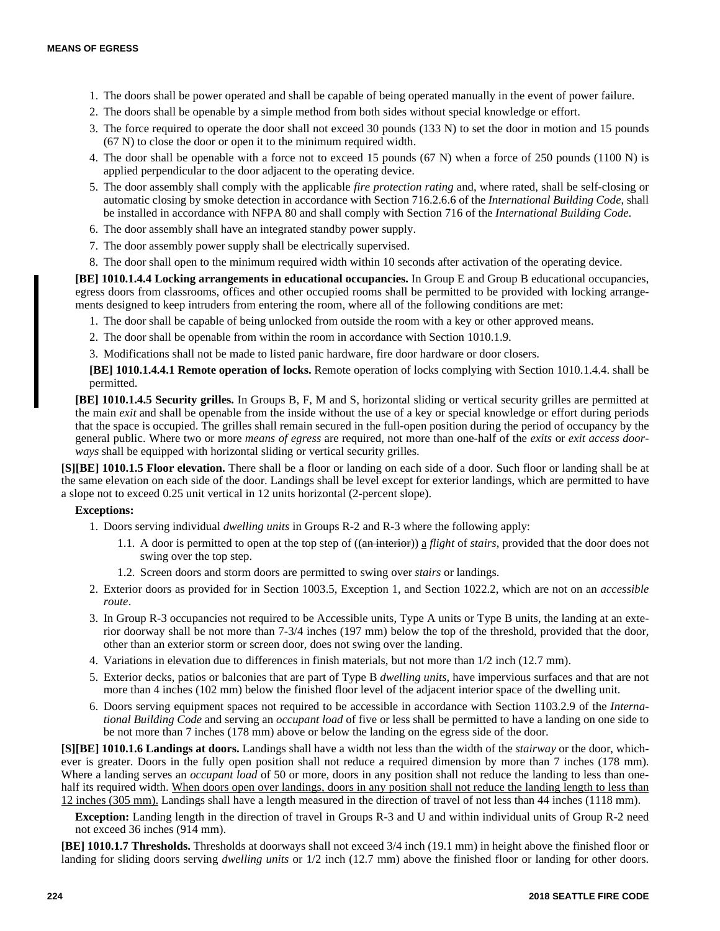- 1. The doors shall be power operated and shall be capable of being operated manually in the event of power failure.
- 2. The doors shall be openable by a simple method from both sides without special knowledge or effort.
- 3. The force required to operate the door shall not exceed 30 pounds (133 N) to set the door in motion and 15 pounds (67 N) to close the door or open it to the minimum required width.
- 4. The door shall be openable with a force not to exceed 15 pounds (67 N) when a force of 250 pounds (1100 N) is applied perpendicular to the door adjacent to the operating device.
- 5. The door assembly shall comply with the applicable *fire protection rating* and, where rated, shall be self-closing or automatic closing by smoke detection in accordance with Section 716.2.6.6 of the *International Building Code*, shall be installed in accordance with NFPA 80 and shall comply with Section 716 of the *International Building Code*.
- 6. The door assembly shall have an integrated standby power supply.
- 7. The door assembly power supply shall be electrically supervised.
- 8. The door shall open to the minimum required width within 10 seconds after activation of the operating device.

**[BE] 1010.1.4.4 Locking arrangements in educational occupancies.** In Group E and Group B educational occupancies, egress doors from classrooms, offices and other occupied rooms shall be permitted to be provided with locking arrangements designed to keep intruders from entering the room, where all of the following conditions are met:

- 1. The door shall be capable of being unlocked from outside the room with a key or other approved means.
- 2. The door shall be openable from within the room in accordance with Section 1010.1.9.
- 3. Modifications shall not be made to listed panic hardware, fire door hardware or door closers.

**[BE] 1010.1.4.4.1 Remote operation of locks.** Remote operation of locks complying with Section 1010.1.4.4. shall be permitted.

**[BE] 1010.1.4.5 Security grilles.** In Groups B, F, M and S, horizontal sliding or vertical security grilles are permitted at the main *exit* and shall be openable from the inside without the use of a key or special knowledge or effort during periods that the space is occupied. The grilles shall remain secured in the full-open position during the period of occupancy by the general public. Where two or more *means of egress* are required, not more than one-half of the *exits* or *exit access doorways* shall be equipped with horizontal sliding or vertical security grilles.

**[S][BE] 1010.1.5 Floor elevation.** There shall be a floor or landing on each side of a door. Such floor or landing shall be at the same elevation on each side of the door. Landings shall be level except for exterior landings, which are permitted to have a slope not to exceed 0.25 unit vertical in 12 units horizontal (2-percent slope).

# **Exceptions:**

- 1. Doors serving individual *dwelling units* in Groups R-2 and R-3 where the following apply:
	- 1.1. A door is permitted to open at the top step of ((an interior)) a *flight* of *stairs*, provided that the door does not swing over the top step.
	- 1.2. Screen doors and storm doors are permitted to swing over *stairs* or landings.
- 2. Exterior doors as provided for in Section 1003.5, Exception 1, and Section 1022.2, which are not on an *accessible route*.
- 3. In Group R-3 occupancies not required to be Accessible units, Type A units or Type B units, the landing at an exterior doorway shall be not more than 7-3/4 inches (197 mm) below the top of the threshold, provided that the door, other than an exterior storm or screen door, does not swing over the landing.
- 4. Variations in elevation due to differences in finish materials, but not more than 1/2 inch (12.7 mm).
- 5. Exterior decks, patios or balconies that are part of Type B *dwelling units*, have impervious surfaces and that are not more than 4 inches (102 mm) below the finished floor level of the adjacent interior space of the dwelling unit.
- 6. Doors serving equipment spaces not required to be accessible in accordance with Section 1103.2.9 of the *International Building Code* and serving an *occupant load* of five or less shall be permitted to have a landing on one side to be not more than 7 inches (178 mm) above or below the landing on the egress side of the door.

**[S][BE] 1010.1.6 Landings at doors.** Landings shall have a width not less than the width of the *stairway* or the door, whichever is greater. Doors in the fully open position shall not reduce a required dimension by more than 7 inches (178 mm). Where a landing serves an *occupant load* of 50 or more, doors in any position shall not reduce the landing to less than onehalf its required width. When doors open over landings, doors in any position shall not reduce the landing length to less than 12 inches (305 mm). Landings shall have a length measured in the direction of travel of not less than 44 inches (1118 mm).

**Exception:** Landing length in the direction of travel in Groups R-3 and U and within individual units of Group R-2 need not exceed 36 inches (914 mm).

**[BE] 1010.1.7 Thresholds.** Thresholds at doorways shall not exceed 3/4 inch (19.1 mm) in height above the finished floor or landing for sliding doors serving *dwelling units* or 1/2 inch (12.7 mm) above the finished floor or landing for other doors.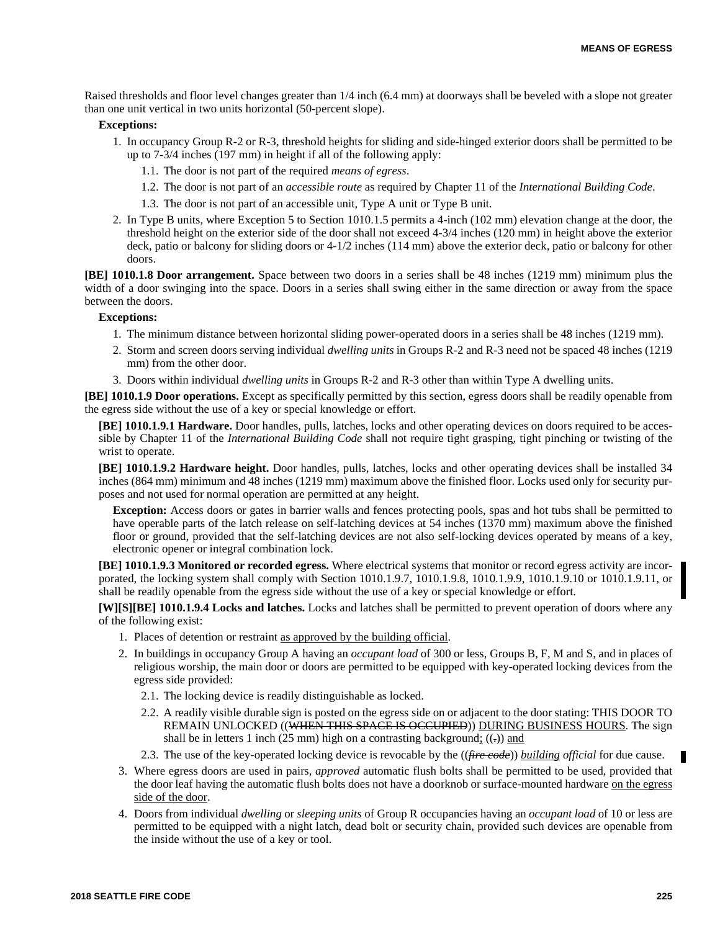Raised thresholds and floor level changes greater than 1/4 inch (6.4 mm) at doorways shall be beveled with a slope not greater than one unit vertical in two units horizontal (50-percent slope).

#### **Exceptions:**

- 1. In occupancy Group R-2 or R-3, threshold heights for sliding and side-hinged exterior doors shall be permitted to be up to 7-3/4 inches (197 mm) in height if all of the following apply:
	- 1.1. The door is not part of the required *means of egress*.
	- 1.2. The door is not part of an *accessible route* as required by Chapter 11 of the *International Building Code*.
	- 1.3. The door is not part of an accessible unit, Type A unit or Type B unit.
- 2. In Type B units, where Exception 5 to Section 1010.1.5 permits a 4-inch (102 mm) elevation change at the door, the threshold height on the exterior side of the door shall not exceed 4-3/4 inches (120 mm) in height above the exterior deck, patio or balcony for sliding doors or 4-1/2 inches (114 mm) above the exterior deck, patio or balcony for other doors.

**[BE] 1010.1.8 Door arrangement.** Space between two doors in a series shall be 48 inches (1219 mm) minimum plus the width of a door swinging into the space. Doors in a series shall swing either in the same direction or away from the space between the doors.

#### **Exceptions:**

- 1. The minimum distance between horizontal sliding power-operated doors in a series shall be 48 inches (1219 mm).
- 2. Storm and screen doors serving individual *dwelling units* in Groups R-2 and R-3 need not be spaced 48 inches (1219 mm) from the other door.
- 3. Doors within individual *dwelling units* in Groups R-2 and R-3 other than within Type A dwelling units.

**[BE] 1010.1.9 Door operations.** Except as specifically permitted by this section, egress doors shall be readily openable from the egress side without the use of a key or special knowledge or effort.

**[BE] 1010.1.9.1 Hardware.** Door handles, pulls, latches, locks and other operating devices on doors required to be accessible by Chapter 11 of the *International Building Code* shall not require tight grasping, tight pinching or twisting of the wrist to operate.

**[BE] 1010.1.9.2 Hardware height.** Door handles, pulls, latches, locks and other operating devices shall be installed 34 inches (864 mm) minimum and 48 inches (1219 mm) maximum above the finished floor. Locks used only for security purposes and not used for normal operation are permitted at any height.

**Exception:** Access doors or gates in barrier walls and fences protecting pools, spas and hot tubs shall be permitted to have operable parts of the latch release on self-latching devices at 54 inches (1370 mm) maximum above the finished floor or ground, provided that the self-latching devices are not also self-locking devices operated by means of a key, electronic opener or integral combination lock.

**[BE] 1010.1.9.3 Monitored or recorded egress.** Where electrical systems that monitor or record egress activity are incorporated, the locking system shall comply with Section 1010.1.9.7, 1010.1.9.8, 1010.1.9.9, 1010.1.9.10 or 1010.1.9.11, or shall be readily openable from the egress side without the use of a key or special knowledge or effort.

**[W][S][BE] 1010.1.9.4 Locks and latches.** Locks and latches shall be permitted to prevent operation of doors where any of the following exist:

- 1. Places of detention or restraint as approved by the building official.
- 2. In buildings in occupancy Group A having an *occupant load* of 300 or less, Groups B, F, M and S, and in places of religious worship, the main door or doors are permitted to be equipped with key-operated locking devices from the egress side provided:
	- 2.1. The locking device is readily distinguishable as locked.
	- 2.2. A readily visible durable sign is posted on the egress side on or adjacent to the door stating: THIS DOOR TO REMAIN UNLOCKED ((WHEN THIS SPACE IS OCCUPIED)) DURING BUSINESS HOURS. The sign shall be in letters 1 inch (25 mm) high on a contrasting background;  $((.)$  and
	- 2.3. The use of the key-operated locking device is revocable by the ((*fire code*)) *building official* for due cause.
- 3. Where egress doors are used in pairs, *approved* automatic flush bolts shall be permitted to be used, provided that the door leaf having the automatic flush bolts does not have a doorknob or surface-mounted hardware on the egress side of the door.
- 4. Doors from individual *dwelling* or *sleeping units* of Group R occupancies having an *occupant load* of 10 or less are permitted to be equipped with a night latch, dead bolt or security chain, provided such devices are openable from the inside without the use of a key or tool.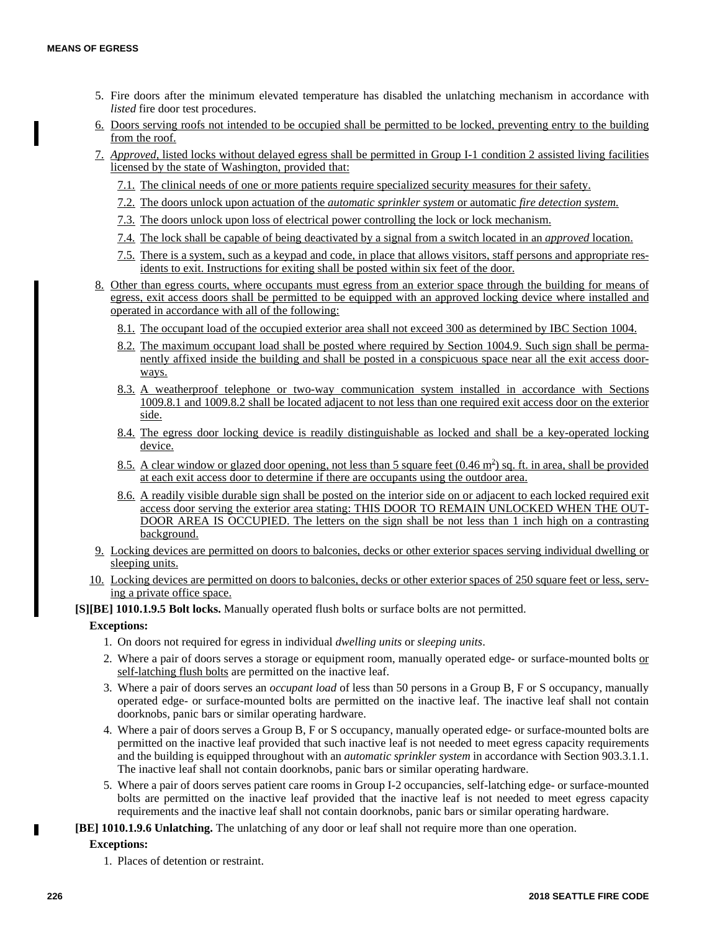- 5. Fire doors after the minimum elevated temperature has disabled the unlatching mechanism in accordance with *listed* fire door test procedures.
- 6. Doors serving roofs not intended to be occupied shall be permitted to be locked, preventing entry to the building from the roof.
- 7. *Approved,* listed locks without delayed egress shall be permitted in Group I-1 condition 2 assisted living facilities licensed by the state of Washington, provided that:
	- 7.1. The clinical needs of one or more patients require specialized security measures for their safety.
	- 7.2. The doors unlock upon actuation of the *automatic sprinkler system* or automatic *fire detection system.*
	- 7.3. The doors unlock upon loss of electrical power controlling the lock or lock mechanism.
	- 7.4. The lock shall be capable of being deactivated by a signal from a switch located in an *approved* location.
	- 7.5. There is a system, such as a keypad and code, in place that allows visitors, staff persons and appropriate residents to exit. Instructions for exiting shall be posted within six feet of the door.
- 8. Other than egress courts, where occupants must egress from an exterior space through the building for means of egress, exit access doors shall be permitted to be equipped with an approved locking device where installed and operated in accordance with all of the following:
	- 8.1. The occupant load of the occupied exterior area shall not exceed 300 as determined by IBC Section 1004.
	- 8.2. The maximum occupant load shall be posted where required by Section 1004.9. Such sign shall be permanently affixed inside the building and shall be posted in a conspicuous space near all the exit access doorways.
	- 8.3. A weatherproof telephone or two-way communication system installed in accordance with Sections 1009.8.1 and 1009.8.2 shall be located adjacent to not less than one required exit access door on the exterior side.
	- 8.4. The egress door locking device is readily distinguishable as locked and shall be a key-operated locking device.
	- 8.5. A clear window or glazed door opening, not less than 5 square feet (0.46 m<sup>2</sup>) sq. ft. in area, shall be provided at each exit access door to determine if there are occupants using the outdoor area.
	- 8.6. A readily visible durable sign shall be posted on the interior side on or adjacent to each locked required exit access door serving the exterior area stating: THIS DOOR TO REMAIN UNLOCKED WHEN THE OUT-DOOR AREA IS OCCUPIED. The letters on the sign shall be not less than 1 inch high on a contrasting background.
- 9. Locking devices are permitted on doors to balconies, decks or other exterior spaces serving individual dwelling or sleeping units.
- 10. Locking devices are permitted on doors to balconies, decks or other exterior spaces of 250 square feet or less, serving a private office space.

**[S][BE] 1010.1.9.5 Bolt locks.** Manually operated flush bolts or surface bolts are not permitted.

#### **Exceptions:**

- 1. On doors not required for egress in individual *dwelling units* or *sleeping units*.
- 2. Where a pair of doors serves a storage or equipment room, manually operated edge- or surface-mounted bolts or self-latching flush bolts are permitted on the inactive leaf.
- 3. Where a pair of doors serves an *occupant load* of less than 50 persons in a Group B, F or S occupancy, manually operated edge- or surface-mounted bolts are permitted on the inactive leaf. The inactive leaf shall not contain doorknobs, panic bars or similar operating hardware.
- 4. Where a pair of doors serves a Group B, F or S occupancy, manually operated edge- or surface-mounted bolts are permitted on the inactive leaf provided that such inactive leaf is not needed to meet egress capacity requirements and the building is equipped throughout with an *automatic sprinkler system* in accordance with Section 903.3.1.1. The inactive leaf shall not contain doorknobs, panic bars or similar operating hardware.
- 5. Where a pair of doors serves patient care rooms in Group I-2 occupancies, self-latching edge- or surface-mounted bolts are permitted on the inactive leaf provided that the inactive leaf is not needed to meet egress capacity requirements and the inactive leaf shall not contain doorknobs, panic bars or similar operating hardware.
- **[BE] 1010.1.9.6 Unlatching.** The unlatching of any door or leaf shall not require more than one operation.

# **Exceptions:**

1. Places of detention or restraint.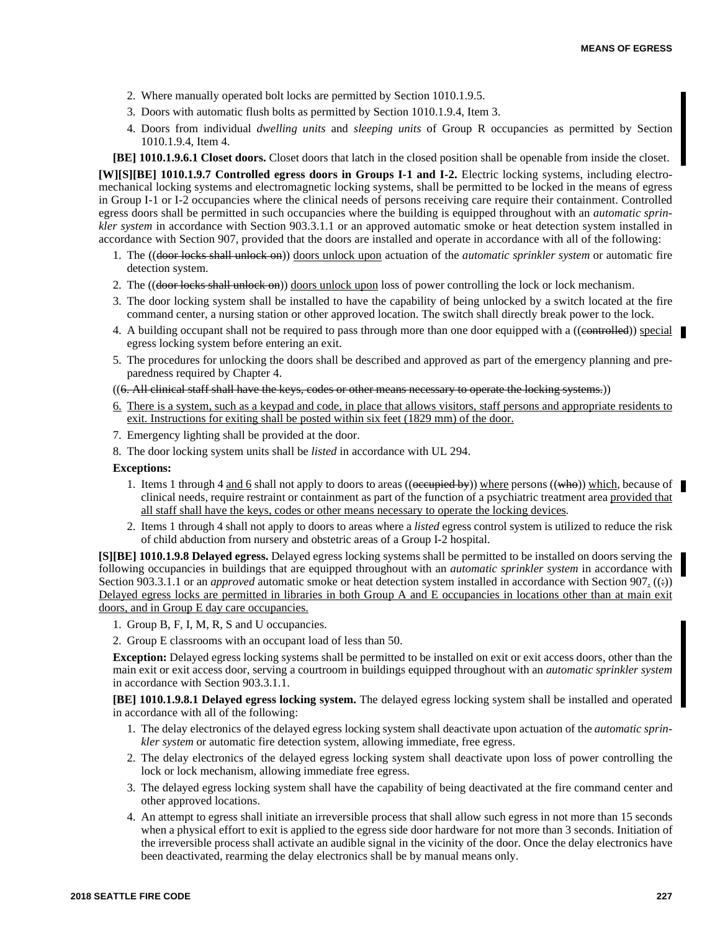- 2. Where manually operated bolt locks are permitted by Section 1010.1.9.5.
- 3. Doors with automatic flush bolts as permitted by Section 1010.1.9.4, Item 3.
- 4. Doors from individual *dwelling units* and *sleeping units* of Group R occupancies as permitted by Section 1010.1.9.4, Item 4.

**[BE] 1010.1.9.6.1 Closet doors.** Closet doors that latch in the closed position shall be openable from inside the closet. **[W][S][BE] 1010.1.9.7 Controlled egress doors in Groups I-1 and I-2.** Electric locking systems, including electromechanical locking systems and electromagnetic locking systems, shall be permitted to be locked in the means of egress in Group I-1 or I-2 occupancies where the clinical needs of persons receiving care require their containment. Controlled egress doors shall be permitted in such occupancies where the building is equipped throughout with an *automatic sprinkler system* in accordance with Section 903.3.1.1 or an approved automatic smoke or heat detection system installed in accordance with Section 907, provided that the doors are installed and operate in accordance with all of the following:

- 1. The ((door locks shall unlock on)) doors unlock upon actuation of the *automatic sprinkler system* or automatic fire detection system.
- 2. The ((<del>door locks shall unlock on</del>)) doors unlock upon loss of power controlling the lock or lock mechanism.
- 3. The door locking system shall be installed to have the capability of being unlocked by a switch located at the fire command center, a nursing station or other approved location. The switch shall directly break power to the lock.
- 4. A building occupant shall not be required to pass through more than one door equipped with a ((eontrolled)) special egress locking system before entering an exit.
- 5. The procedures for unlocking the doors shall be described and approved as part of the emergency planning and preparedness required by Chapter 4.

# ((6. All clinical staff shall have the keys, codes or other means necessary to operate the locking systems.))

- 6. There is a system, such as a keypad and code, in place that allows visitors, staff persons and appropriate residents to exit. Instructions for exiting shall be posted within six feet (1829 mm) of the door.
- 7. Emergency lighting shall be provided at the door.
- 8. The door locking system units shall be *listed* in accordance with UL 294.

#### **Exceptions:**

- 1. Items 1 through 4 and 6 shall not apply to doors to areas ((occupied by)) where persons ((who)) which, because of clinical needs, require restraint or containment as part of the function of a psychiatric treatment area provided that all staff shall have the keys, codes or other means necessary to operate the locking devices.
- 2. Items 1 through 4 shall not apply to doors to areas where a *listed* egress control system is utilized to reduce the risk of child abduction from nursery and obstetric areas of a Group I-2 hospital.

**[S][BE] 1010.1.9.8 Delayed egress.** Delayed egress locking systems shall be permitted to be installed on doors serving the following occupancies in buildings that are equipped throughout with an *automatic sprinkler system* in accordance with Section 903.3.1.1 or an *approved* automatic smoke or heat detection system installed in accordance with Section 907. ((e)) Delayed egress locks are permitted in libraries in both Group A and E occupancies in locations other than at main exit doors, and in Group E day care occupancies.

- 1. Group B, F, I, M, R, S and U occupancies.
- 2. Group E classrooms with an occupant load of less than 50.

**Exception:** Delayed egress locking systems shall be permitted to be installed on exit or exit access doors, other than the main exit or exit access door, serving a courtroom in buildings equipped throughout with an *automatic sprinkler system* in accordance with Section 903.3.1.1.

**[BE] 1010.1.9.8.1 Delayed egress locking system.** The delayed egress locking system shall be installed and operated in accordance with all of the following:

- 1. The delay electronics of the delayed egress locking system shall deactivate upon actuation of the *automatic sprinkler system* or automatic fire detection system, allowing immediate, free egress.
- 2. The delay electronics of the delayed egress locking system shall deactivate upon loss of power controlling the lock or lock mechanism, allowing immediate free egress.
- 3. The delayed egress locking system shall have the capability of being deactivated at the fire command center and other approved locations.
- 4. An attempt to egress shall initiate an irreversible process that shall allow such egress in not more than 15 seconds when a physical effort to exit is applied to the egress side door hardware for not more than 3 seconds. Initiation of the irreversible process shall activate an audible signal in the vicinity of the door. Once the delay electronics have been deactivated, rearming the delay electronics shall be by manual means only.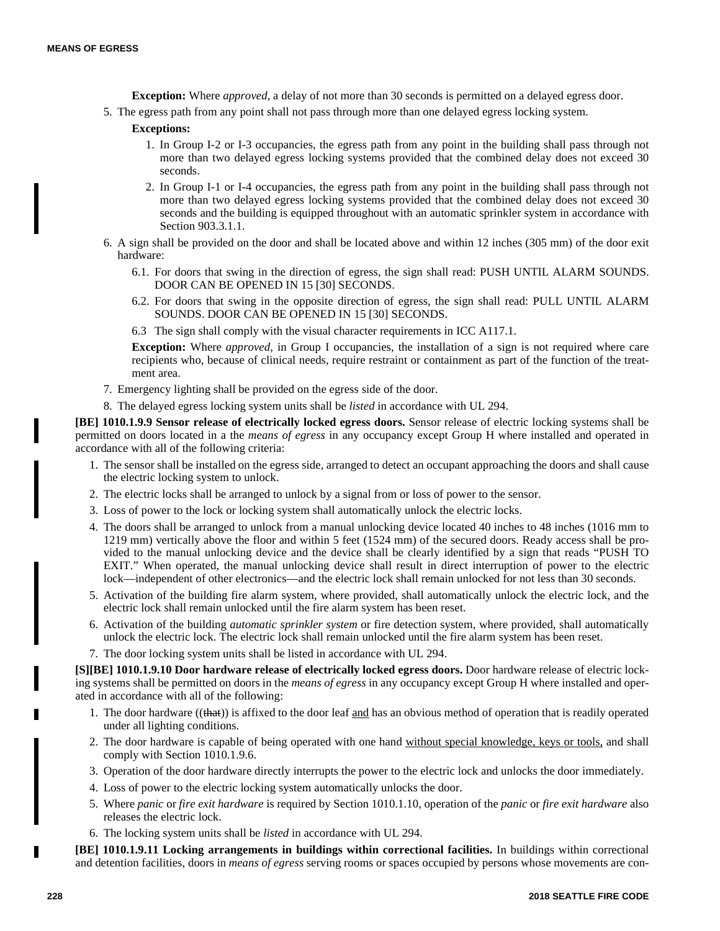- **Exception:** Where *approved*, a delay of not more than 30 seconds is permitted on a delayed egress door.
- 5. The egress path from any point shall not pass through more than one delayed egress locking system.

# **Exceptions:**

- 1. In Group I-2 or I-3 occupancies, the egress path from any point in the building shall pass through not more than two delayed egress locking systems provided that the combined delay does not exceed 30 seconds.
- 2. In Group I-1 or I-4 occupancies, the egress path from any point in the building shall pass through not more than two delayed egress locking systems provided that the combined delay does not exceed 30 seconds and the building is equipped throughout with an automatic sprinkler system in accordance with Section 903.3.1.1.
- 6. A sign shall be provided on the door and shall be located above and within 12 inches (305 mm) of the door exit hardware:
	- 6.1. For doors that swing in the direction of egress, the sign shall read: PUSH UNTIL ALARM SOUNDS. DOOR CAN BE OPENED IN 15 [30] SECONDS.
	- 6.2. For doors that swing in the opposite direction of egress, the sign shall read: PULL UNTIL ALARM SOUNDS. DOOR CAN BE OPENED IN 15 [30] SECONDS.
	- 6.3 The sign shall comply with the visual character requirements in ICC A117.1.

**Exception:** Where *approved*, in Group I occupancies, the installation of a sign is not required where care recipients who, because of clinical needs, require restraint or containment as part of the function of the treatment area.

- 7. Emergency lighting shall be provided on the egress side of the door.
- 8. The delayed egress locking system units shall be *listed* in accordance with UL 294.

**[BE] 1010.1.9.9 Sensor release of electrically locked egress doors.** Sensor release of electric locking systems shall be permitted on doors located in a the *means of egress* in any occupancy except Group H where installed and operated in accordance with all of the following criteria:

- 1. The sensor shall be installed on the egress side, arranged to detect an occupant approaching the doors and shall cause the electric locking system to unlock.
- 2. The electric locks shall be arranged to unlock by a signal from or loss of power to the sensor.
- 3. Loss of power to the lock or locking system shall automatically unlock the electric locks.
- 4. The doors shall be arranged to unlock from a manual unlocking device located 40 inches to 48 inches (1016 mm to 1219 mm) vertically above the floor and within 5 feet (1524 mm) of the secured doors. Ready access shall be provided to the manual unlocking device and the device shall be clearly identified by a sign that reads "PUSH TO EXIT." When operated, the manual unlocking device shall result in direct interruption of power to the electric lock—independent of other electronics—and the electric lock shall remain unlocked for not less than 30 seconds.
- 5. Activation of the building fire alarm system, where provided, shall automatically unlock the electric lock, and the electric lock shall remain unlocked until the fire alarm system has been reset.
- 6. Activation of the building *automatic sprinkler system* or fire detection system, where provided, shall automatically unlock the electric lock. The electric lock shall remain unlocked until the fire alarm system has been reset.
- 7. The door locking system units shall be listed in accordance with UL 294.

**[S][BE] 1010.1.9.10 Door hardware release of electrically locked egress doors.** Door hardware release of electric locking systems shall be permitted on doors in the *means of egress* in any occupancy except Group H where installed and operated in accordance with all of the following:

- 1. The door hardware ((that)) is affixed to the door leaf and has an obvious method of operation that is readily operated under all lighting conditions.
- 2. The door hardware is capable of being operated with one hand without special knowledge, keys or tools, and shall comply with Section 1010.1.9.6.
- 3. Operation of the door hardware directly interrupts the power to the electric lock and unlocks the door immediately.
- 4. Loss of power to the electric locking system automatically unlocks the door.
- 5. Where *panic* or *fire exit hardware* is required by Section 1010.1.10, operation of the *panic* or *fire exit hardware* also releases the electric lock.
- 6. The locking system units shall be *listed* in accordance with UL 294.

**[BE] 1010.1.9.11 Locking arrangements in buildings within correctional facilities.** In buildings within correctional and detention facilities, doors in *means of egress* serving rooms or spaces occupied by persons whose movements are con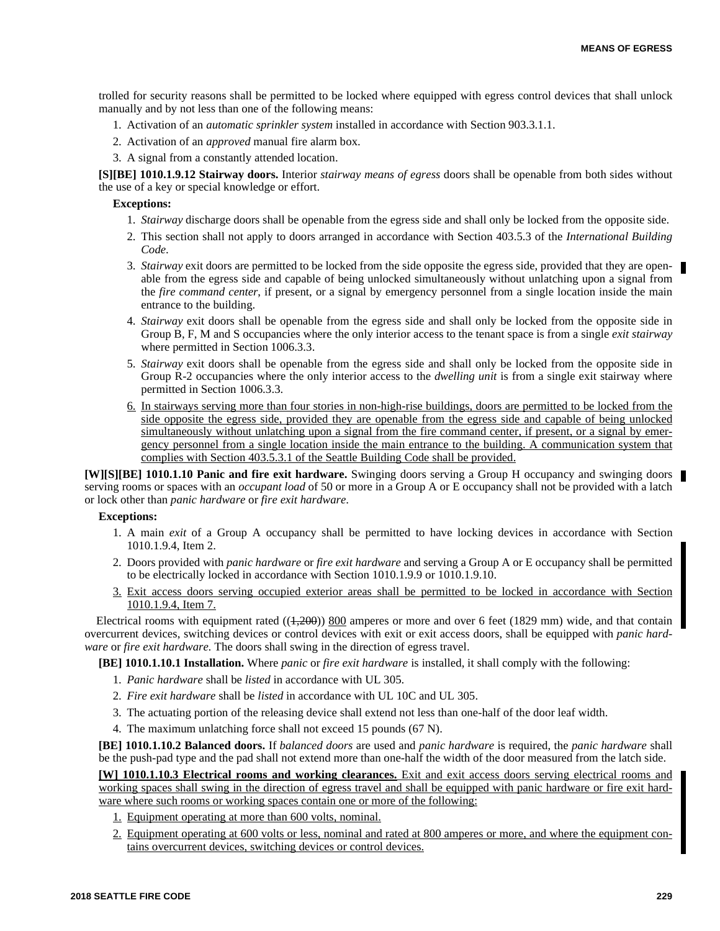trolled for security reasons shall be permitted to be locked where equipped with egress control devices that shall unlock manually and by not less than one of the following means:

- 1. Activation of an *automatic sprinkler system* installed in accordance with Section 903.3.1.1.
- 2. Activation of an *approved* manual fire alarm box.
- 3. A signal from a constantly attended location.

**[S][BE] 1010.1.9.12 Stairway doors.** Interior *stairway means of egress* doors shall be openable from both sides without the use of a key or special knowledge or effort.

#### **Exceptions:**

- 1. *Stairway* discharge doors shall be openable from the egress side and shall only be locked from the opposite side.
- 2. This section shall not apply to doors arranged in accordance with Section 403.5.3 of the *International Building Code*.
- 3. *Stairway* exit doors are permitted to be locked from the side opposite the egress side, provided that they are openable from the egress side and capable of being unlocked simultaneously without unlatching upon a signal from the *fire command center*, if present, or a signal by emergency personnel from a single location inside the main entrance to the building.
- 4. *Stairway* exit doors shall be openable from the egress side and shall only be locked from the opposite side in Group B, F, M and S occupancies where the only interior access to the tenant space is from a single *exit stairway* where permitted in Section 1006.3.3.
- 5. *Stairway* exit doors shall be openable from the egress side and shall only be locked from the opposite side in Group R-2 occupancies where the only interior access to the *dwelling unit* is from a single exit stairway where permitted in Section 1006.3.3.
- 6. In stairways serving more than four stories in non-high-rise buildings, doors are permitted to be locked from the side opposite the egress side, provided they are openable from the egress side and capable of being unlocked simultaneously without unlatching upon a signal from the fire command center, if present, or a signal by emergency personnel from a single location inside the main entrance to the building. A communication system that complies with Section 403.5.3.1 of the Seattle Building Code shall be provided.

**[W][S][BE] 1010.1.10 Panic and fire exit hardware.** Swinging doors serving a Group H occupancy and swinging doors serving rooms or spaces with an *occupant load* of 50 or more in a Group A or E occupancy shall not be provided with a latch or lock other than *panic hardware* or *fire exit hardware*.

#### **Exceptions:**

- 1. A main *exit* of a Group A occupancy shall be permitted to have locking devices in accordance with Section 1010.1.9.4, Item 2.
- 2. Doors provided with *panic hardware* or *fire exit hardware* and serving a Group A or E occupancy shall be permitted to be electrically locked in accordance with Section 1010.1.9.9 or 1010.1.9.10.
- 3. Exit access doors serving occupied exterior areas shall be permitted to be locked in accordance with Section 1010.1.9.4, Item 7.

Electrical rooms with equipment rated  $((1,200))$  800 amperes or more and over 6 feet (1829 mm) wide, and that contain overcurrent devices, switching devices or control devices with exit or exit access doors, shall be equipped with *panic hardware* or *fire exit hardware.* The doors shall swing in the direction of egress travel.

**[BE] 1010.1.10.1 Installation.** Where *panic* or *fire exit hardware* is installed, it shall comply with the following:

- 1. *Panic hardware* shall be *listed* in accordance with UL 305.
- 2. *Fire exit hardware* shall be *listed* in accordance with UL 10C and UL 305.
- 3. The actuating portion of the releasing device shall extend not less than one-half of the door leaf width.
- 4. The maximum unlatching force shall not exceed 15 pounds (67 N).

**[BE] 1010.1.10.2 Balanced doors.** If *balanced doors* are used and *panic hardware* is required, the *panic hardware* shall be the push-pad type and the pad shall not extend more than one-half the width of the door measured from the latch side.

**[W] 1010.1.10.3 Electrical rooms and working clearances.** Exit and exit access doors serving electrical rooms and working spaces shall swing in the direction of egress travel and shall be equipped with panic hardware or fire exit hardware where such rooms or working spaces contain one or more of the following:

- 1. Equipment operating at more than 600 volts, nominal.
- 2. Equipment operating at 600 volts or less, nominal and rated at 800 amperes or more, and where the equipment contains overcurrent devices, switching devices or control devices.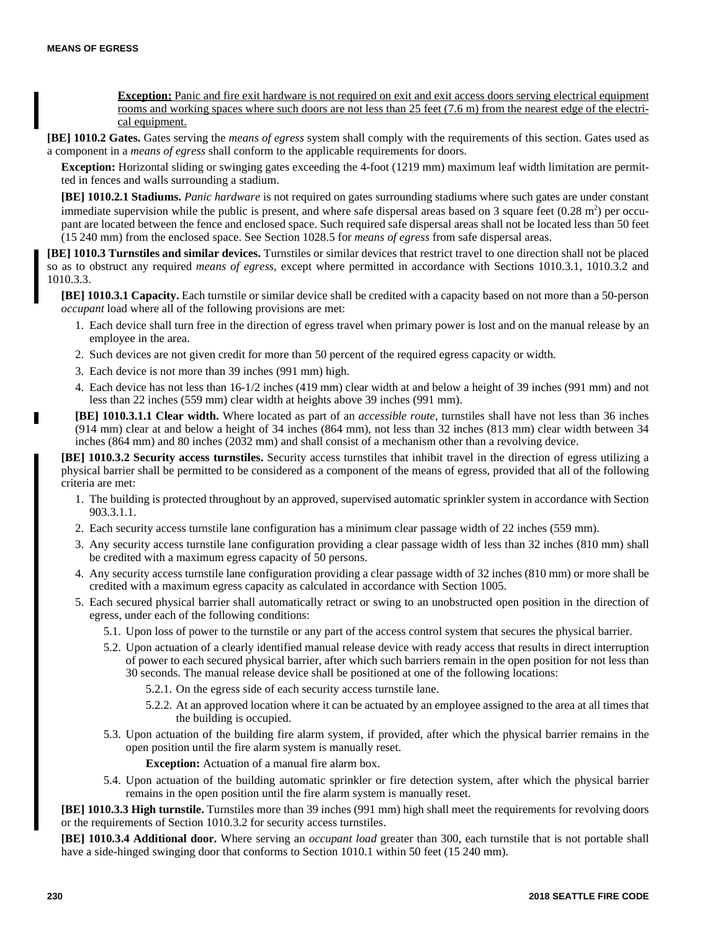**Exception:** Panic and fire exit hardware is not required on exit and exit access doors serving electrical equipment rooms and working spaces where such doors are not less than 25 feet (7.6 m) from the nearest edge of the electrical equipment.

**[BE] 1010.2 Gates.** Gates serving the *means of egress* system shall comply with the requirements of this section. Gates used as a component in a *means of egress* shall conform to the applicable requirements for doors.

**Exception:** Horizontal sliding or swinging gates exceeding the 4-foot (1219 mm) maximum leaf width limitation are permitted in fences and walls surrounding a stadium.

**[BE] 1010.2.1 Stadiums.** *Panic hardware* is not required on gates surrounding stadiums where such gates are under constant immediate supervision while the public is present, and where safe dispersal areas based on 3 square feet  $(0.28 \text{ m}^2)$  per occupant are located between the fence and enclosed space. Such required safe dispersal areas shall not be located less than 50 feet (15 240 mm) from the enclosed space. See Section 1028.5 for *means of egress* from safe dispersal areas.

**[BE] 1010.3 Turnstiles and similar devices.** Turnstiles or similar devices that restrict travel to one direction shall not be placed so as to obstruct any required *means of egress*, except where permitted in accordance with Sections 1010.3.1, 1010.3.2 and 1010.3.3.

**[BE] 1010.3.1 Capacity.** Each turnstile or similar device shall be credited with a capacity based on not more than a 50-person *occupant* load where all of the following provisions are met:

- 1. Each device shall turn free in the direction of egress travel when primary power is lost and on the manual release by an employee in the area.
- 2. Such devices are not given credit for more than 50 percent of the required egress capacity or width.
- 3. Each device is not more than 39 inches (991 mm) high.
- 4. Each device has not less than 16-1/2 inches (419 mm) clear width at and below a height of 39 inches (991 mm) and not less than 22 inches (559 mm) clear width at heights above 39 inches (991 mm).
- **[BE] 1010.3.1.1 Clear width.** Where located as part of an *accessible route*, turnstiles shall have not less than 36 inches (914 mm) clear at and below a height of 34 inches (864 mm), not less than 32 inches (813 mm) clear width between 34 inches (864 mm) and 80 inches (2032 mm) and shall consist of a mechanism other than a revolving device.

**[BE] 1010.3.2 Security access turnstiles.** Security access turnstiles that inhibit travel in the direction of egress utilizing a physical barrier shall be permitted to be considered as a component of the means of egress, provided that all of the following criteria are met:

- 1. The building is protected throughout by an approved, supervised automatic sprinkler system in accordance with Section 903.3.1.1.
- 2. Each security access turnstile lane configuration has a minimum clear passage width of 22 inches (559 mm).
- 3. Any security access turnstile lane configuration providing a clear passage width of less than 32 inches (810 mm) shall be credited with a maximum egress capacity of 50 persons.
- 4. Any security access turnstile lane configuration providing a clear passage width of 32 inches (810 mm) or more shall be credited with a maximum egress capacity as calculated in accordance with Section 1005.
- 5. Each secured physical barrier shall automatically retract or swing to an unobstructed open position in the direction of egress, under each of the following conditions:
	- 5.1. Upon loss of power to the turnstile or any part of the access control system that secures the physical barrier.
	- 5.2. Upon actuation of a clearly identified manual release device with ready access that results in direct interruption of power to each secured physical barrier, after which such barriers remain in the open position for not less than 30 seconds. The manual release device shall be positioned at one of the following locations:
		- 5.2.1. On the egress side of each security access turnstile lane.
		- 5.2.2. At an approved location where it can be actuated by an employee assigned to the area at all times that the building is occupied.
	- 5.3. Upon actuation of the building fire alarm system, if provided, after which the physical barrier remains in the open position until the fire alarm system is manually reset.

**Exception:** Actuation of a manual fire alarm box.

5.4. Upon actuation of the building automatic sprinkler or fire detection system, after which the physical barrier remains in the open position until the fire alarm system is manually reset.

**[BE] 1010.3.3 High turnstile.** Turnstiles more than 39 inches (991 mm) high shall meet the requirements for revolving doors or the requirements of Section 1010.3.2 for security access turnstiles.

**[BE] 1010.3.4 Additional door.** Where serving an *occupant load* greater than 300, each turnstile that is not portable shall have a side-hinged swinging door that conforms to Section 1010.1 within 50 feet (15 240 mm).

П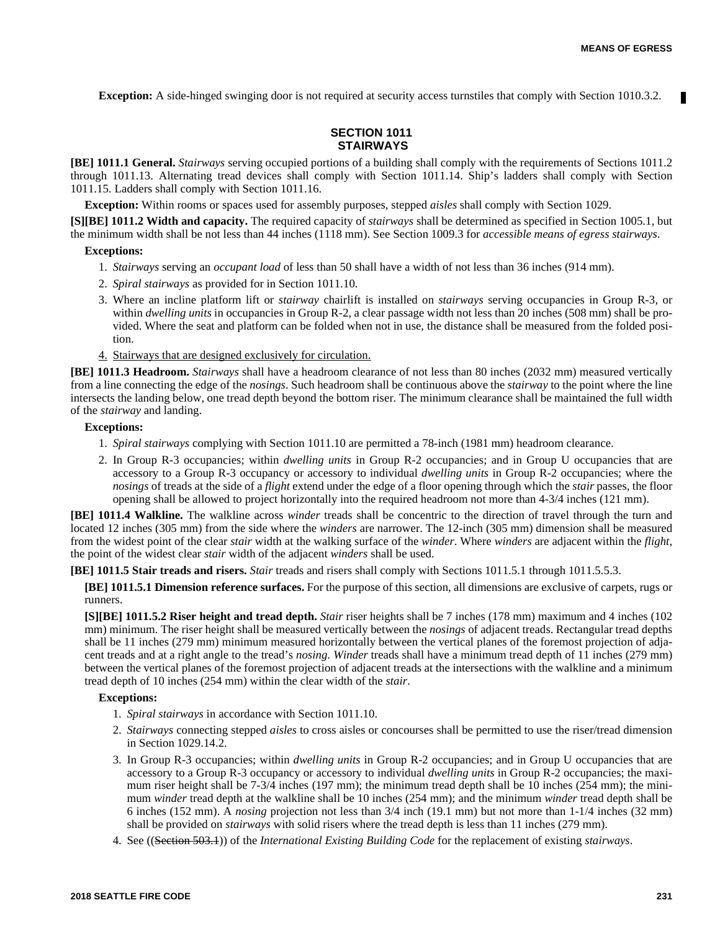**Exception:** A side-hinged swinging door is not required at security access turnstiles that comply with Section 1010.3.2.

# **SECTION 1011 STAIRWAYS**

**[BE] 1011.1 General.** *Stairways* serving occupied portions of a building shall comply with the requirements of Sections 1011.2 through 1011.13. Alternating tread devices shall comply with Section 1011.14. Ship's ladders shall comply with Section 1011.15. Ladders shall comply with Section 1011.16.

**Exception:** Within rooms or spaces used for assembly purposes, stepped *aisles* shall comply with Section 1029.

**[S][BE] 1011.2 Width and capacity.** The required capacity of *stairways* shall be determined as specified in Section 1005.1, but the minimum width shall be not less than 44 inches (1118 mm). See Section 1009.3 for *accessible means of egress stairways*.

# **Exceptions:**

- 1. *Stairways* serving an *occupant load* of less than 50 shall have a width of not less than 36 inches (914 mm).
- 2. *Spiral stairways* as provided for in Section 1011.10.
- 3. Where an incline platform lift or *stairway* chairlift is installed on *stairways* serving occupancies in Group R-3, or within *dwelling units* in occupancies in Group R-2, a clear passage width not less than 20 inches (508 mm) shall be provided. Where the seat and platform can be folded when not in use, the distance shall be measured from the folded position.
- 4. Stairways that are designed exclusively for circulation.

**[BE] 1011.3 Headroom.** *Stairways* shall have a headroom clearance of not less than 80 inches (2032 mm) measured vertically from a line connecting the edge of the *nosings*. Such headroom shall be continuous above the *stairway* to the point where the line intersects the landing below, one tread depth beyond the bottom riser. The minimum clearance shall be maintained the full width of the *stairway* and landing.

#### **Exceptions:**

- 1. *Spiral stairways* complying with Section 1011.10 are permitted a 78-inch (1981 mm) headroom clearance.
- 2. In Group R-3 occupancies; within *dwelling units* in Group R-2 occupancies; and in Group U occupancies that are accessory to a Group R-3 occupancy or accessory to individual *dwelling units* in Group R-2 occupancies; where the *nosings* of treads at the side of a *flight* extend under the edge of a floor opening through which the *stair* passes, the floor opening shall be allowed to project horizontally into the required headroom not more than 4-3/4 inches (121 mm).

**[BE] 1011.4 Walkline.** The walkline across *winder* treads shall be concentric to the direction of travel through the turn and located 12 inches (305 mm) from the side where the *winders* are narrower. The 12-inch (305 mm) dimension shall be measured from the widest point of the clear *stair* width at the walking surface of the *winder*. Where *winders* are adjacent within the *flight*, the point of the widest clear *stair* width of the adjacent *winders* shall be used.

**[BE] 1011.5 Stair treads and risers.** *Stair* treads and risers shall comply with Sections 1011.5.1 through 1011.5.5.3.

**[BE] 1011.5.1 Dimension reference surfaces.** For the purpose of this section, all dimensions are exclusive of carpets, rugs or runners.

**[S][BE] 1011.5.2 Riser height and tread depth.** *Stair* riser heights shall be 7 inches (178 mm) maximum and 4 inches (102 mm) minimum. The riser height shall be measured vertically between the *nosings* of adjacent treads. Rectangular tread depths shall be 11 inches (279 mm) minimum measured horizontally between the vertical planes of the foremost projection of adjacent treads and at a right angle to the tread's *nosing*. *Winder* treads shall have a minimum tread depth of 11 inches (279 mm) between the vertical planes of the foremost projection of adjacent treads at the intersections with the walkline and a minimum tread depth of 10 inches (254 mm) within the clear width of the *stair*.

- 1. *Spiral stairways* in accordance with Section 1011.10.
- 2. *Stairways* connecting stepped *aisles* to cross aisles or concourses shall be permitted to use the riser/tread dimension in Section 1029.14.2.
- 3. In Group R-3 occupancies; within *dwelling units* in Group R-2 occupancies; and in Group U occupancies that are accessory to a Group R-3 occupancy or accessory to individual *dwelling units* in Group R-2 occupancies; the maximum riser height shall be 7-3/4 inches (197 mm); the minimum tread depth shall be 10 inches (254 mm); the minimum *winder* tread depth at the walkline shall be 10 inches (254 mm); and the minimum *winder* tread depth shall be 6 inches (152 mm). A *nosing* projection not less than 3/4 inch (19.1 mm) but not more than 1-1/4 inches (32 mm) shall be provided on *stairways* with solid risers where the tread depth is less than 11 inches (279 mm).
- 4. See ((Section 503.1)) of the *International Existing Building Code* for the replacement of existing *stairways*.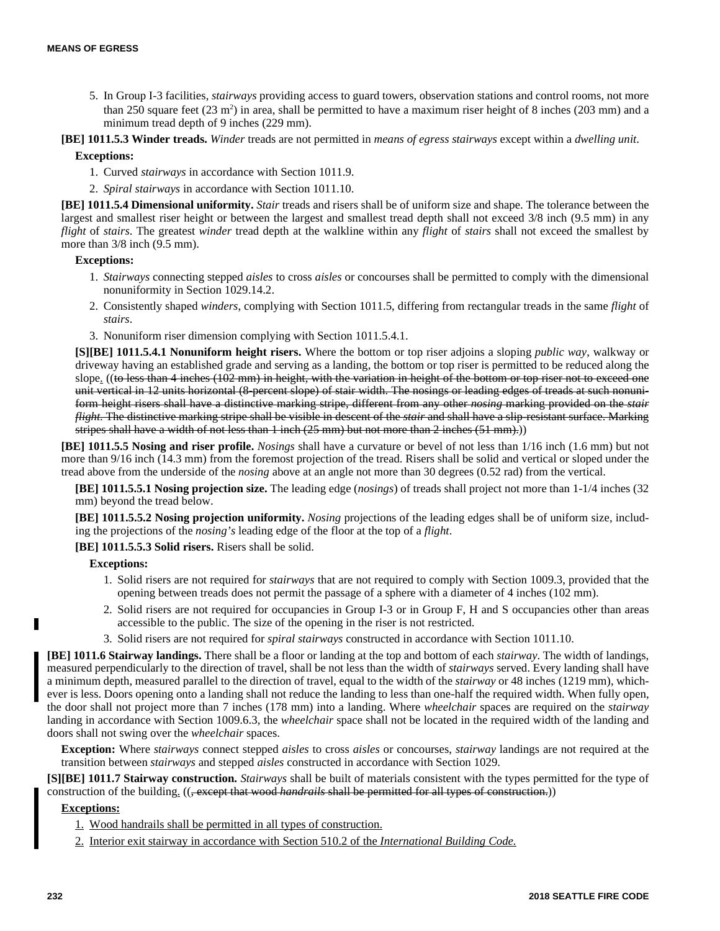- 5. In Group I-3 facilities, *stairways* providing access to guard towers, observation stations and control rooms, not more than 250 square feet  $(23 \text{ m}^2)$  in area, shall be permitted to have a maximum riser height of 8 inches (203 mm) and a minimum tread depth of 9 inches (229 mm).
- **[BE] 1011.5.3 Winder treads.** *Winder* treads are not permitted in *means of egress stairways* except within a *dwelling unit*. **Exceptions:**
	- 1. Curved *stairways* in accordance with Section 1011.9.
	- 2. *Spiral stairways* in accordance with Section 1011.10.

**[BE] 1011.5.4 Dimensional uniformity.** *Stair* treads and risers shall be of uniform size and shape. The tolerance between the largest and smallest riser height or between the largest and smallest tread depth shall not exceed 3/8 inch (9.5 mm) in any *flight* of *stairs*. The greatest *winder* tread depth at the walkline within any *flight* of *stairs* shall not exceed the smallest by more than  $3/8$  inch (9.5 mm).

#### **Exceptions:**

- 1. *Stairways* connecting stepped *aisles* to cross *aisles* or concourses shall be permitted to comply with the dimensional nonuniformity in Section 1029.14.2.
- 2. Consistently shaped *winders*, complying with Section 1011.5, differing from rectangular treads in the same *flight* of *stairs*.
- 3. Nonuniform riser dimension complying with Section 1011.5.4.1.

**[S][BE] 1011.5.4.1 Nonuniform height risers.** Where the bottom or top riser adjoins a sloping *public way*, walkway or driveway having an established grade and serving as a landing, the bottom or top riser is permitted to be reduced along the slope.  $((\text{to less than 4 inches } (102 \text{ mm}) \text{ in height, with the variation in height of the bottom or top riser not to exceed one})$ unit vertical in 12 units horizontal (8-percent slope) of stair width. The nosings or leading edges of treads at such nonuniform height risers shall have a distinctive marking stripe, different from any other *nosing* marking provided on the *stair flight*. The distinctive marking stripe shall be visible in descent of the *stair* and shall have a slip-resistant surface. Marking stripes shall have a width of not less than 1 inch (25 mm) but not more than 2 inches (51 mm).)

**[BE] 1011.5.5 Nosing and riser profile.** *Nosings* shall have a curvature or bevel of not less than 1/16 inch (1.6 mm) but not more than 9/16 inch (14.3 mm) from the foremost projection of the tread. Risers shall be solid and vertical or sloped under the tread above from the underside of the *nosing* above at an angle not more than 30 degrees (0.52 rad) from the vertical.

**[BE] 1011.5.5.1 Nosing projection size.** The leading edge (*nosings*) of treads shall project not more than 1-1/4 inches (32 mm) beyond the tread below.

**[BE] 1011.5.5.2 Nosing projection uniformity.** *Nosing* projections of the leading edges shall be of uniform size, including the projections of the *nosing's* leading edge of the floor at the top of a *flight*.

**[BE] 1011.5.5.3 Solid risers.** Risers shall be solid.

**Exceptions:**

- 1. Solid risers are not required for *stairways* that are not required to comply with Section 1009.3, provided that the opening between treads does not permit the passage of a sphere with a diameter of 4 inches (102 mm).
- 2. Solid risers are not required for occupancies in Group I-3 or in Group F, H and S occupancies other than areas accessible to the public. The size of the opening in the riser is not restricted.
- 3. Solid risers are not required for *spiral stairways* constructed in accordance with Section 1011.10.

**[BE] 1011.6 Stairway landings.** There shall be a floor or landing at the top and bottom of each *stairway*. The width of landings, measured perpendicularly to the direction of travel, shall be not less than the width of *stairways* served. Every landing shall have a minimum depth, measured parallel to the direction of travel, equal to the width of the *stairway* or 48 inches (1219 mm), whichever is less. Doors opening onto a landing shall not reduce the landing to less than one-half the required width. When fully open, the door shall not project more than 7 inches (178 mm) into a landing. Where *wheelchair* spaces are required on the *stairway* landing in accordance with Section 1009.6.3, the *wheelchair* space shall not be located in the required width of the landing and doors shall not swing over the *wheelchair* spaces.

**Exception:** Where *stairways* connect stepped *aisles* to cross *aisles* or concourses, *stairway* landings are not required at the transition between *stairways* and stepped *aisles* constructed in accordance with Section 1029.

**[S][BE] 1011.7 Stairway construction.** *Stairways* shall be built of materials consistent with the types permitted for the type of construction of the building. ((, except that wood *handrails* shall be permitted for all types of construction.))

- 1. Wood handrails shall be permitted in all types of construction.
- 2. Interior exit stairway in accordance with Section 510.2 of the *International Building Code.*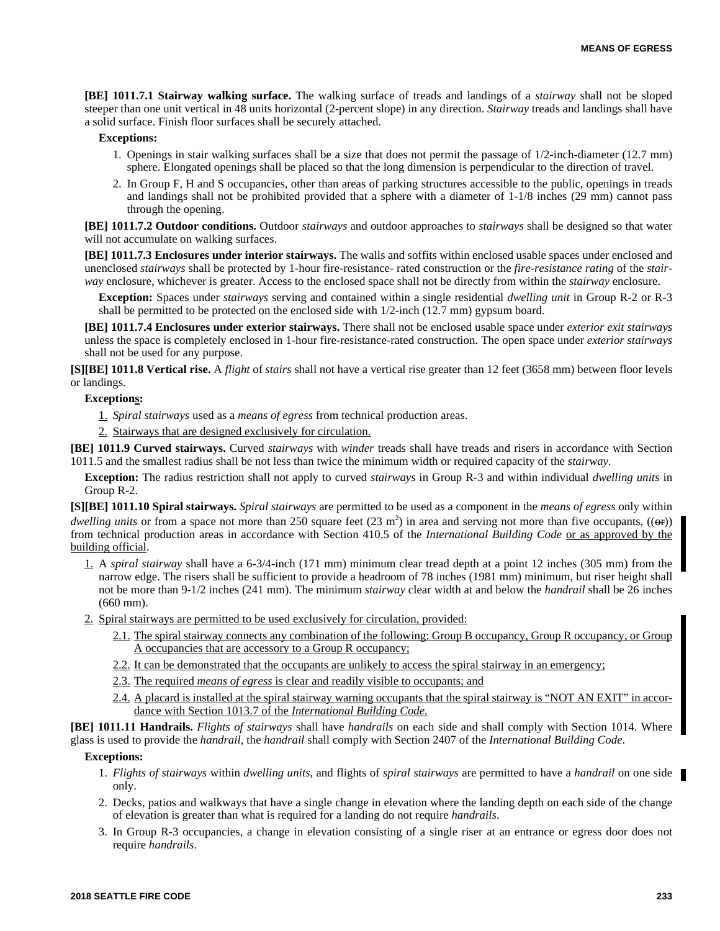**[BE] 1011.7.1 Stairway walking surface.** The walking surface of treads and landings of a *stairway* shall not be sloped steeper than one unit vertical in 48 units horizontal (2-percent slope) in any direction. *Stairway* treads and landings shall have a solid surface. Finish floor surfaces shall be securely attached.

#### **Exceptions:**

- 1. Openings in stair walking surfaces shall be a size that does not permit the passage of 1/2-inch-diameter (12.7 mm) sphere. Elongated openings shall be placed so that the long dimension is perpendicular to the direction of travel.
- 2. In Group F, H and S occupancies, other than areas of parking structures accessible to the public, openings in treads and landings shall not be prohibited provided that a sphere with a diameter of 1-1/8 inches (29 mm) cannot pass through the opening.

**[BE] 1011.7.2 Outdoor conditions.** Outdoor *stairways* and outdoor approaches to *stairways* shall be designed so that water will not accumulate on walking surfaces.

**[BE] 1011.7.3 Enclosures under interior stairways.** The walls and soffits within enclosed usable spaces under enclosed and unenclosed *stairways* shall be protected by 1-hour fire-resistance- rated construction or the *fire-resistance rating* of the *stairway* enclosure, whichever is greater. Access to the enclosed space shall not be directly from within the *stairway* enclosure.

**Exception:** Spaces under *stairways* serving and contained within a single residential *dwelling unit* in Group R-2 or R-3 shall be permitted to be protected on the enclosed side with 1/2-inch (12.7 mm) gypsum board.

**[BE] 1011.7.4 Enclosures under exterior stairways.** There shall not be enclosed usable space under *exterior exit stairways* unless the space is completely enclosed in 1-hour fire-resistance-rated construction. The open space under *exterior stairways* shall not be used for any purpose.

**[S][BE] 1011.8 Vertical rise.** A *flight* of *stairs* shall not have a vertical rise greater than 12 feet (3658 mm) between floor levels or landings.

#### **Exceptions:**

1. *Spiral stairways* used as a *means of egress* from technical production areas.

2. Stairways that are designed exclusively for circulation.

**[BE] 1011.9 Curved stairways.** Curved *stairways* with *winder* treads shall have treads and risers in accordance with Section 1011.5 and the smallest radius shall be not less than twice the minimum width or required capacity of the *stairway*.

**Exception:** The radius restriction shall not apply to curved *stairways* in Group R-3 and within individual *dwelling units* in Group R-2.

**[S][BE] 1011.10 Spiral stairways.** *Spiral stairways* are permitted to be used as a component in the *means of egress* only within *dwelling units* or from a space not more than 250 square feet  $(23 \text{ m}^2)$  in area and serving not more than five occupants,  $((\Theta$ <sup>r</sup>) from technical production areas in accordance with Section 410.5 of the *International Building Code* or as approved by the building official.

- 1. A *spiral stairway* shall have a 6-3/4-inch (171 mm) minimum clear tread depth at a point 12 inches (305 mm) from the narrow edge. The risers shall be sufficient to provide a headroom of 78 inches (1981 mm) minimum, but riser height shall not be more than 9-1/2 inches (241 mm). The minimum *stairway* clear width at and below the *handrail* shall be 26 inches (660 mm).
- 2. Spiral stairways are permitted to be used exclusively for circulation, provided:
	- 2.1. The spiral stairway connects any combination of the following: Group B occupancy, Group R occupancy, or Group A occupancies that are accessory to a Group R occupancy;
	- 2.2. It can be demonstrated that the occupants are unlikely to access the spiral stairway in an emergency;
	- 2.3. The required *means of egress* is clear and readily visible to occupants; and
	- 2.4. A placard is installed at the spiral stairway warning occupants that the spiral stairway is "NOT AN EXIT" in accordance with Section 1013.7 of the *International Building Code.*

**[BE] 1011.11 Handrails.** *Flights of stairways* shall have *handrails* on each side and shall comply with Section 1014. Where glass is used to provide the *handrail*, the *handrail* shall comply with Section 2407 of the *International Building Code*.

- 1. *Flights of stairways* within *dwelling units*, and flights of *spiral stairways* are permitted to have a *handrail* on one side only.
- 2. Decks, patios and walkways that have a single change in elevation where the landing depth on each side of the change of elevation is greater than what is required for a landing do not require *handrails*.
- 3. In Group R-3 occupancies, a change in elevation consisting of a single riser at an entrance or egress door does not require *handrails*.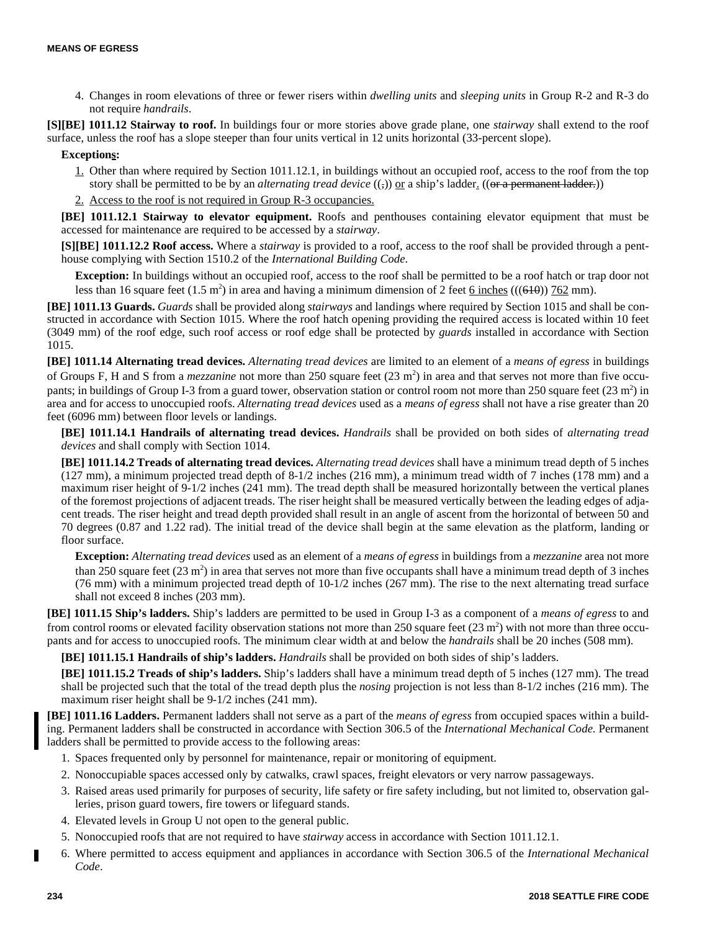4. Changes in room elevations of three or fewer risers within *dwelling units* and *sleeping units* in Group R-2 and R-3 do not require *handrails*.

**[S][BE] 1011.12 Stairway to roof.** In buildings four or more stories above grade plane, one *stairway* shall extend to the roof surface, unless the roof has a slope steeper than four units vertical in 12 units horizontal (33-percent slope).

# **Exceptions:**

- 1. Other than where required by Section 1011.12.1, in buildings without an occupied roof, access to the roof from the top story shall be permitted to be by an *alternating tread device* ((-)) or a ship's ladder. ((or a permanent ladder.))
- 2. Access to the roof is not required in Group R-3 occupancies.

**[BE] 1011.12.1 Stairway to elevator equipment.** Roofs and penthouses containing elevator equipment that must be accessed for maintenance are required to be accessed by a *stairway*.

**[S][BE] 1011.12.2 Roof access.** Where a *stairway* is provided to a roof, access to the roof shall be provided through a penthouse complying with Section 1510.2 of the *International Building Code*.

**Exception:** In buildings without an occupied roof, access to the roof shall be permitted to be a roof hatch or trap door not less than 16 square feet  $(1.5 \text{ m}^2)$  in area and having a minimum dimension of 2 feet 6 inches (((640)) 762 mm).

**[BE] 1011.13 Guards.** *Guards* shall be provided along *stairways* and landings where required by Section 1015 and shall be constructed in accordance with Section 1015. Where the roof hatch opening providing the required access is located within 10 feet (3049 mm) of the roof edge, such roof access or roof edge shall be protected by *guards* installed in accordance with Section 1015.

**[BE] 1011.14 Alternating tread devices.** *Alternating tread devices* are limited to an element of a *means of egress* in buildings of Groups F, H and S from a *mezzanine* not more than 250 square feet (23 m<sup>2</sup>) in area and that serves not more than five occupants; in buildings of Group I-3 from a guard tower, observation station or control room not more than 250 square feet  $(23 \text{ m}^2)$  in area and for access to unoccupied roofs. *Alternating tread devices* used as a *means of egress* shall not have a rise greater than 20 feet (6096 mm) between floor levels or landings.

**[BE] 1011.14.1 Handrails of alternating tread devices.** *Handrails* shall be provided on both sides of *alternating tread devices* and shall comply with Section 1014.

**[BE] 1011.14.2 Treads of alternating tread devices.** *Alternating tread devices* shall have a minimum tread depth of 5 inches (127 mm), a minimum projected tread depth of 8-1/2 inches (216 mm), a minimum tread width of 7 inches (178 mm) and a maximum riser height of 9-1/2 inches (241 mm). The tread depth shall be measured horizontally between the vertical planes of the foremost projections of adjacent treads. The riser height shall be measured vertically between the leading edges of adjacent treads. The riser height and tread depth provided shall result in an angle of ascent from the horizontal of between 50 and 70 degrees (0.87 and 1.22 rad). The initial tread of the device shall begin at the same elevation as the platform, landing or floor surface.

**Exception:** *Alternating tread devices* used as an element of a *means of egress* in buildings from a *mezzanine* area not more than 250 square feet  $(23 \text{ m}^2)$  in area that serves not more than five occupants shall have a minimum tread depth of 3 inches (76 mm) with a minimum projected tread depth of 10-1/2 inches (267 mm). The rise to the next alternating tread surface shall not exceed 8 inches (203 mm).

**[BE] 1011.15 Ship's ladders.** Ship's ladders are permitted to be used in Group I-3 as a component of a *means of egress* to and from control rooms or elevated facility observation stations not more than 250 square feet  $(23 \text{ m}^2)$  with not more than three occupants and for access to unoccupied roofs. The minimum clear width at and below the *handrails* shall be 20 inches (508 mm).

**[BE] 1011.15.1 Handrails of ship's ladders.** *Handrails* shall be provided on both sides of ship's ladders.

**[BE] 1011.15.2 Treads of ship's ladders.** Ship's ladders shall have a minimum tread depth of 5 inches (127 mm). The tread shall be projected such that the total of the tread depth plus the *nosing* projection is not less than 8-1/2 inches (216 mm). The maximum riser height shall be 9-1/2 inches (241 mm).

**[BE] 1011.16 Ladders.** Permanent ladders shall not serve as a part of the *means of egress* from occupied spaces within a building. Permanent ladders shall be constructed in accordance with Section 306.5 of the *International Mechanical Code*. Permanent ladders shall be permitted to provide access to the following areas:

- 1. Spaces frequented only by personnel for maintenance, repair or monitoring of equipment.
- 2. Nonoccupiable spaces accessed only by catwalks, crawl spaces, freight elevators or very narrow passageways.
- 3. Raised areas used primarily for purposes of security, life safety or fire safety including, but not limited to, observation galleries, prison guard towers, fire towers or lifeguard stands.
- 4. Elevated levels in Group U not open to the general public.
- 5. Nonoccupied roofs that are not required to have *stairway* access in accordance with Section 1011.12.1.
- 6. Where permitted to access equipment and appliances in accordance with Section 306.5 of the *International Mechanical Code*.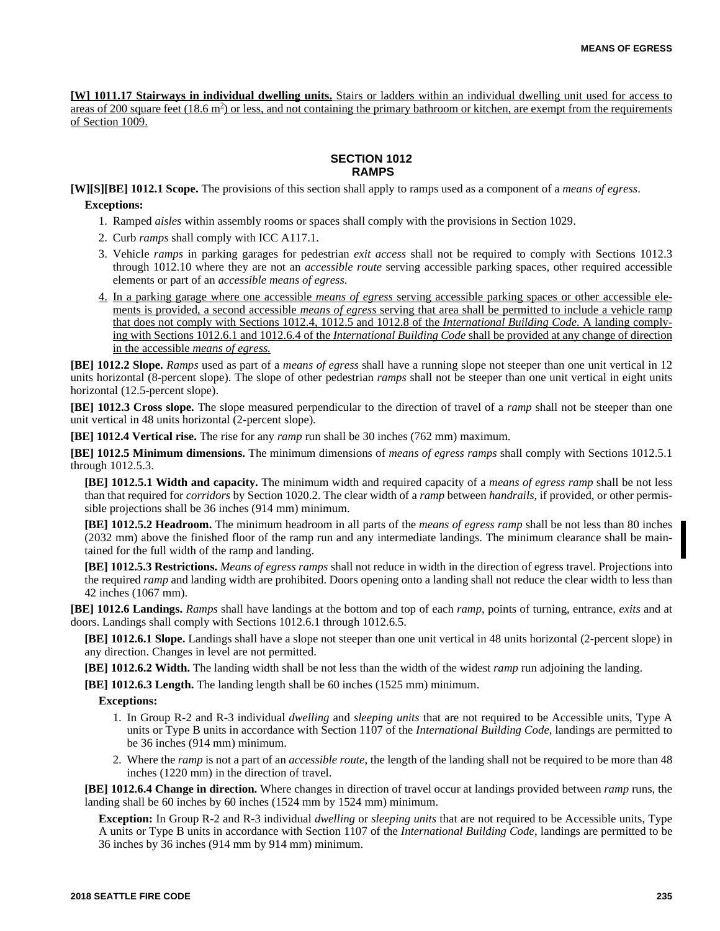**[W] 1011.17 Stairways in individual dwelling units.** Stairs or ladders within an individual dwelling unit used for access to areas of 200 square feet (18.6 m<sup>2</sup>) or less, and not containing the primary bathroom or kitchen, are exempt from the requirements of Section 1009.

# **SECTION 1012 RAMPS**

**[W][S][BE] 1012.1 Scope.** The provisions of this section shall apply to ramps used as a component of a *means of egress*.

#### **Exceptions:**

- 1. Ramped *aisles* within assembly rooms or spaces shall comply with the provisions in Section 1029.
- 2. Curb *ramps* shall comply with ICC A117.1.
- 3. Vehicle *ramps* in parking garages for pedestrian *exit access* shall not be required to comply with Sections 1012.3 through 1012.10 where they are not an *accessible route* serving accessible parking spaces, other required accessible elements or part of an *accessible means of egress*.
- 4. In a parking garage where one accessible *means of egress* serving accessible parking spaces or other accessible elements is provided, a second accessible *means of egress* serving that area shall be permitted to include a vehicle ramp that does not comply with Sections 1012.4, 1012.5 and 1012.8 of the *International Building Code.* A landing complying with Sections 1012.6.1 and 1012.6.4 of the *International Building Code* shall be provided at any change of direction in the accessible *means of egress.*

**[BE] 1012.2 Slope.** *Ramps* used as part of a *means of egress* shall have a running slope not steeper than one unit vertical in 12 units horizontal (8-percent slope). The slope of other pedestrian *ramps* shall not be steeper than one unit vertical in eight units horizontal (12.5-percent slope).

**[BE] 1012.3 Cross slope.** The slope measured perpendicular to the direction of travel of a *ramp* shall not be steeper than one unit vertical in 48 units horizontal (2-percent slope).

**[BE] 1012.4 Vertical rise.** The rise for any *ramp* run shall be 30 inches (762 mm) maximum.

**[BE] 1012.5 Minimum dimensions.** The minimum dimensions of *means of egress ramps* shall comply with Sections 1012.5.1 through 1012.5.3.

**[BE] 1012.5.1 Width and capacity.** The minimum width and required capacity of a *means of egress ramp* shall be not less than that required for *corridors* by Section 1020.2. The clear width of a *ramp* between *handrails*, if provided, or other permissible projections shall be 36 inches (914 mm) minimum.

**[BE] 1012.5.2 Headroom.** The minimum headroom in all parts of the *means of egress ramp* shall be not less than 80 inches (2032 mm) above the finished floor of the ramp run and any intermediate landings. The minimum clearance shall be maintained for the full width of the ramp and landing.

**[BE] 1012.5.3 Restrictions.** *Means of egress ramps* shall not reduce in width in the direction of egress travel. Projections into the required *ramp* and landing width are prohibited. Doors opening onto a landing shall not reduce the clear width to less than 42 inches (1067 mm).

**[BE] 1012.6 Landings.** *Ramps* shall have landings at the bottom and top of each *ramp*, points of turning, entrance, *exits* and at doors. Landings shall comply with Sections 1012.6.1 through 1012.6.5.

**[BE] 1012.6.1 Slope.** Landings shall have a slope not steeper than one unit vertical in 48 units horizontal (2-percent slope) in any direction. Changes in level are not permitted.

**[BE] 1012.6.2 Width.** The landing width shall be not less than the width of the widest *ramp* run adjoining the landing.

**[BE] 1012.6.3 Length.** The landing length shall be 60 inches (1525 mm) minimum.

# **Exceptions:**

- 1. In Group R-2 and R-3 individual *dwelling* and *sleeping units* that are not required to be Accessible units, Type A units or Type B units in accordance with Section 1107 of the *International Building Code*, landings are permitted to be 36 inches (914 mm) minimum.
- 2. Where the *ramp* is not a part of an *accessible route*, the length of the landing shall not be required to be more than 48 inches (1220 mm) in the direction of travel.

**[BE] 1012.6.4 Change in direction.** Where changes in direction of travel occur at landings provided between *ramp* runs, the landing shall be 60 inches by 60 inches (1524 mm by 1524 mm) minimum.

**Exception:** In Group R-2 and R-3 individual *dwelling* or *sleeping units* that are not required to be Accessible units, Type A units or Type B units in accordance with Section 1107 of the *International Building Code*, landings are permitted to be 36 inches by 36 inches (914 mm by 914 mm) minimum.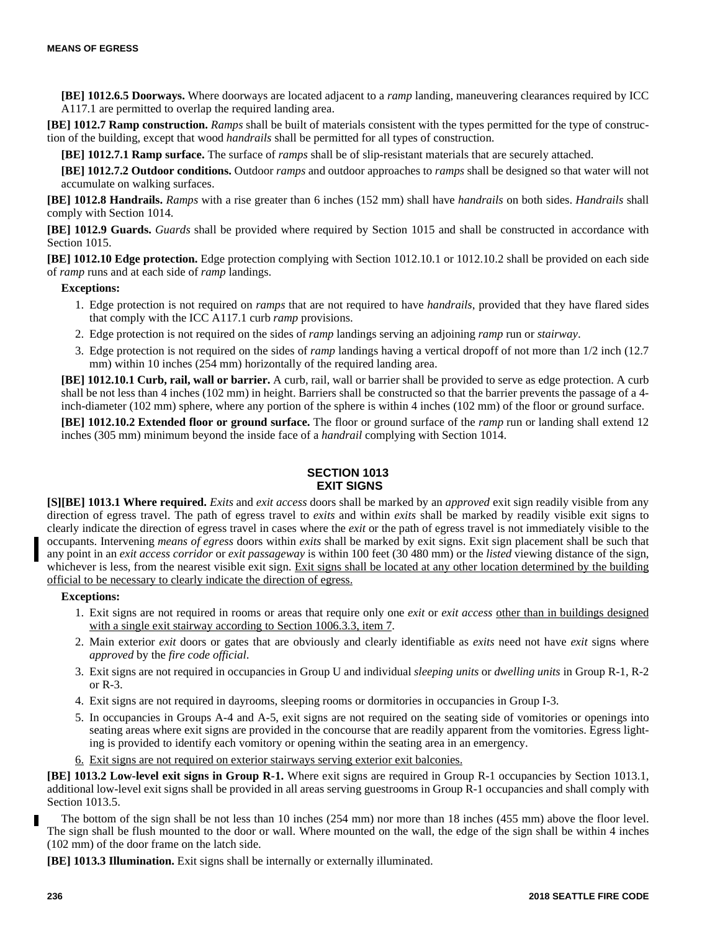**[BE] 1012.6.5 Doorways.** Where doorways are located adjacent to a *ramp* landing, maneuvering clearances required by ICC A117.1 are permitted to overlap the required landing area.

**[BE] 1012.7 Ramp construction.** *Ramps* shall be built of materials consistent with the types permitted for the type of construction of the building, except that wood *handrails* shall be permitted for all types of construction.

**[BE] 1012.7.1 Ramp surface.** The surface of *ramps* shall be of slip-resistant materials that are securely attached.

**[BE] 1012.7.2 Outdoor conditions.** Outdoor *ramps* and outdoor approaches to *ramps* shall be designed so that water will not accumulate on walking surfaces.

**[BE] 1012.8 Handrails.** *Ramps* with a rise greater than 6 inches (152 mm) shall have *handrails* on both sides. *Handrails* shall comply with Section 1014.

**[BE] 1012.9 Guards.** *Guards* shall be provided where required by Section 1015 and shall be constructed in accordance with Section 1015.

**[BE] 1012.10 Edge protection.** Edge protection complying with Section 1012.10.1 or 1012.10.2 shall be provided on each side of *ramp* runs and at each side of *ramp* landings.

#### **Exceptions:**

- 1. Edge protection is not required on *ramps* that are not required to have *handrails*, provided that they have flared sides that comply with the ICC A117.1 curb *ramp* provisions.
- 2. Edge protection is not required on the sides of *ramp* landings serving an adjoining *ramp* run or *stairway*.
- 3. Edge protection is not required on the sides of *ramp* landings having a vertical dropoff of not more than 1/2 inch (12.7 mm) within 10 inches (254 mm) horizontally of the required landing area.

**[BE] 1012.10.1 Curb, rail, wall or barrier.** A curb, rail, wall or barrier shall be provided to serve as edge protection. A curb shall be not less than 4 inches (102 mm) in height. Barriers shall be constructed so that the barrier prevents the passage of a 4 inch-diameter (102 mm) sphere, where any portion of the sphere is within 4 inches (102 mm) of the floor or ground surface.

**[BE] 1012.10.2 Extended floor or ground surface.** The floor or ground surface of the *ramp* run or landing shall extend 12 inches (305 mm) minimum beyond the inside face of a *handrail* complying with Section 1014.

# **SECTION 1013 EXIT SIGNS**

**[S][BE] 1013.1 Where required.** *Exits* and *exit access* doors shall be marked by an *approved* exit sign readily visible from any direction of egress travel. The path of egress travel to *exits* and within *exits* shall be marked by readily visible exit signs to clearly indicate the direction of egress travel in cases where the *exit* or the path of egress travel is not immediately visible to the occupants. Intervening *means of egress* doors within *exits* shall be marked by exit signs. Exit sign placement shall be such that any point in an *exit access corridor* or *exit passageway* is within 100 feet (30 480 mm) or the *listed* viewing distance of the sign, whichever is less, from the nearest visible exit sign. Exit signs shall be located at any other location determined by the building official to be necessary to clearly indicate the direction of egress.

### **Exceptions:**

- 1. Exit signs are not required in rooms or areas that require only one *exit* or *exit access* other than in buildings designed with a single exit stairway according to Section 1006.3.3, item 7.
- 2. Main exterior *exit* doors or gates that are obviously and clearly identifiable as *exits* need not have *exit* signs where *approved* by the *fire code official*.
- 3. Exit signs are not required in occupancies in Group U and individual *sleeping units* or *dwelling units* in Group R-1, R-2 or R-3.
- 4. Exit signs are not required in dayrooms, sleeping rooms or dormitories in occupancies in Group I-3.
- 5. In occupancies in Groups A-4 and A-5, exit signs are not required on the seating side of vomitories or openings into seating areas where exit signs are provided in the concourse that are readily apparent from the vomitories. Egress lighting is provided to identify each vomitory or opening within the seating area in an emergency.
- 6. Exit signs are not required on exterior stairways serving exterior exit balconies.

**[BE] 1013.2 Low-level exit signs in Group R-1.** Where exit signs are required in Group R-1 occupancies by Section 1013.1, additional low-level exit signs shall be provided in all areas serving guestrooms in Group R-1 occupancies and shall comply with Section 1013.5.

The bottom of the sign shall be not less than 10 inches (254 mm) nor more than 18 inches (455 mm) above the floor level. The sign shall be flush mounted to the door or wall. Where mounted on the wall, the edge of the sign shall be within 4 inches (102 mm) of the door frame on the latch side.

**[BE] 1013.3 Illumination.** Exit signs shall be internally or externally illuminated.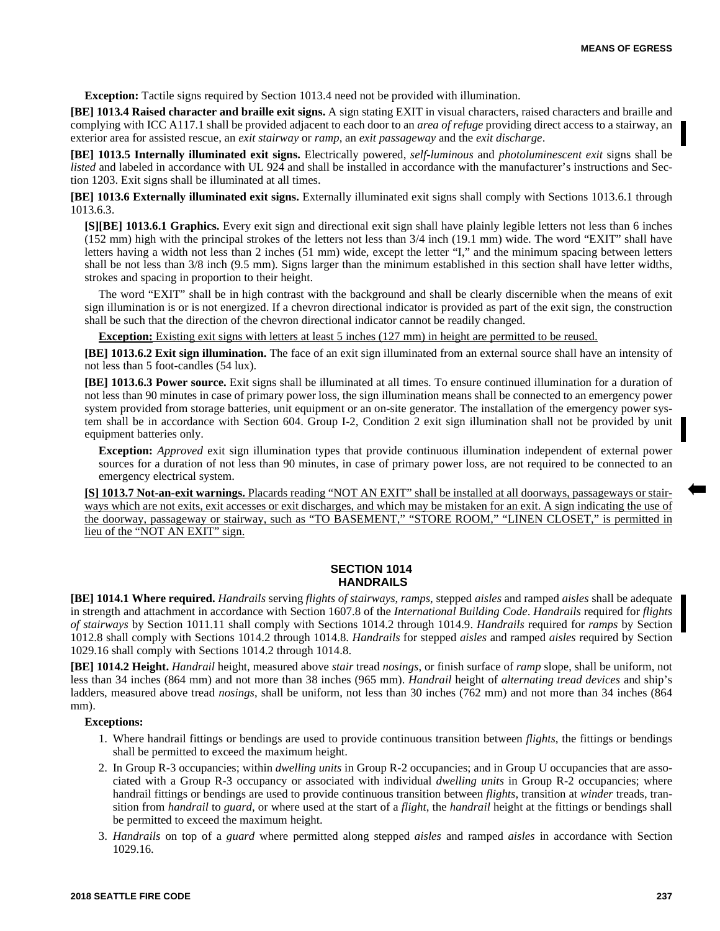**Exception:** Tactile signs required by Section 1013.4 need not be provided with illumination.

**[BE] 1013.4 Raised character and braille exit signs.** A sign stating EXIT in visual characters, raised characters and braille and complying with ICC A117.1 shall be provided adjacent to each door to an *area of refuge* providing direct access to a stairway, an exterior area for assisted rescue, an *exit stairway* or *ramp*, an *exit passageway* and the *exit discharge*.

**[BE] 1013.5 Internally illuminated exit signs.** Electrically powered, *self-luminous* and *photoluminescent exit* signs shall be *listed* and labeled in accordance with UL 924 and shall be installed in accordance with the manufacturer's instructions and Section 1203. Exit signs shall be illuminated at all times.

**[BE] 1013.6 Externally illuminated exit signs.** Externally illuminated exit signs shall comply with Sections 1013.6.1 through 1013.6.3.

**[S][BE] 1013.6.1 Graphics.** Every exit sign and directional exit sign shall have plainly legible letters not less than 6 inches (152 mm) high with the principal strokes of the letters not less than 3/4 inch (19.1 mm) wide. The word "EXIT" shall have letters having a width not less than 2 inches (51 mm) wide, except the letter "I," and the minimum spacing between letters shall be not less than 3/8 inch (9.5 mm). Signs larger than the minimum established in this section shall have letter widths, strokes and spacing in proportion to their height.

The word "EXIT" shall be in high contrast with the background and shall be clearly discernible when the means of exit sign illumination is or is not energized. If a chevron directional indicator is provided as part of the exit sign, the construction shall be such that the direction of the chevron directional indicator cannot be readily changed.

**Exception:** Existing exit signs with letters at least 5 inches (127 mm) in height are permitted to be reused.

**[BE] 1013.6.2 Exit sign illumination.** The face of an exit sign illuminated from an external source shall have an intensity of not less than 5 foot-candles (54 lux).

**[BE] 1013.6.3 Power source.** Exit signs shall be illuminated at all times. To ensure continued illumination for a duration of not less than 90 minutes in case of primary power loss, the sign illumination means shall be connected to an emergency power system provided from storage batteries, unit equipment or an on-site generator. The installation of the emergency power system shall be in accordance with Section 604. Group I-2, Condition 2 exit sign illumination shall not be provided by unit equipment batteries only.

**Exception:** *Approved* exit sign illumination types that provide continuous illumination independent of external power sources for a duration of not less than 90 minutes, in case of primary power loss, are not required to be connected to an emergency electrical system.

**[S] 1013.7 Not-an-exit warnings.** Placards reading "NOT AN EXIT" shall be installed at all doorways, passageways or stairways which are not exits, exit accesses or exit discharges, and which may be mistaken for an exit. A sign indicating the use of the doorway, passageway or stairway, such as "TO BASEMENT," "STORE ROOM," "LINEN CLOSET," is permitted in lieu of the "NOT AN EXIT" sign.

# **SECTION 1014 HANDRAILS**

**[BE] 1014.1 Where required.** *Handrails* serving *flights of stairways*, *ramps*, stepped *aisles* and ramped *aisles* shall be adequate in strength and attachment in accordance with Section 1607.8 of the *International Building Code*. *Handrails* required for *flights of stairways* by Section 1011.11 shall comply with Sections 1014.2 through 1014.9. *Handrails* required for *ramps* by Section 1012.8 shall comply with Sections 1014.2 through 1014.8. *Handrails* for stepped *aisles* and ramped *aisles* required by Section 1029.16 shall comply with Sections 1014.2 through 1014.8.

**[BE] 1014.2 Height.** *Handrail* height, measured above *stair* tread *nosings*, or finish surface of *ramp* slope, shall be uniform, not less than 34 inches (864 mm) and not more than 38 inches (965 mm). *Handrail* height of *alternating tread devices* and ship's ladders, measured above tread *nosings*, shall be uniform, not less than 30 inches (762 mm) and not more than 34 inches (864 mm).

- 1. Where handrail fittings or bendings are used to provide continuous transition between *flights*, the fittings or bendings shall be permitted to exceed the maximum height.
- 2. In Group R-3 occupancies; within *dwelling units* in Group R-2 occupancies; and in Group U occupancies that are associated with a Group R-3 occupancy or associated with individual *dwelling units* in Group R-2 occupancies; where handrail fittings or bendings are used to provide continuous transition between *flights*, transition at *winder* treads, transition from *handrail* to *guard*, or where used at the start of a *flight*, the *handrail* height at the fittings or bendings shall be permitted to exceed the maximum height.
- 3. *Handrails* on top of a *guard* where permitted along stepped *aisles* and ramped *aisles* in accordance with Section 1029.16.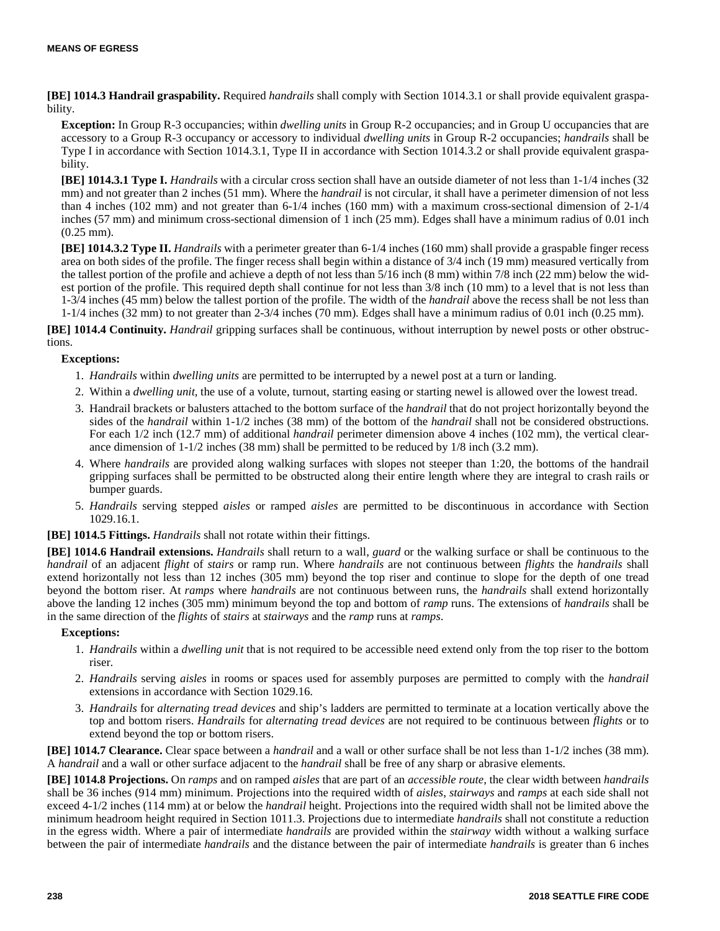**[BE] 1014.3 Handrail graspability.** Required *handrails* shall comply with Section 1014.3.1 or shall provide equivalent graspability.

**Exception:** In Group R-3 occupancies; within *dwelling units* in Group R-2 occupancies; and in Group U occupancies that are accessory to a Group R-3 occupancy or accessory to individual *dwelling units* in Group R-2 occupancies; *handrails* shall be Type I in accordance with Section 1014.3.1, Type II in accordance with Section 1014.3.2 or shall provide equivalent graspability.

**[BE] 1014.3.1 Type I.** *Handrails* with a circular cross section shall have an outside diameter of not less than 1-1/4 inches (32) mm) and not greater than 2 inches (51 mm). Where the *handrail* is not circular, it shall have a perimeter dimension of not less than 4 inches (102 mm) and not greater than 6-1/4 inches (160 mm) with a maximum cross-sectional dimension of 2-1/4 inches (57 mm) and minimum cross-sectional dimension of 1 inch (25 mm). Edges shall have a minimum radius of 0.01 inch (0.25 mm).

**[BE] 1014.3.2 Type II.** *Handrails* with a perimeter greater than 6-1/4 inches (160 mm) shall provide a graspable finger recess area on both sides of the profile. The finger recess shall begin within a distance of 3/4 inch (19 mm) measured vertically from the tallest portion of the profile and achieve a depth of not less than 5/16 inch (8 mm) within 7/8 inch (22 mm) below the widest portion of the profile. This required depth shall continue for not less than 3/8 inch (10 mm) to a level that is not less than 1-3/4 inches (45 mm) below the tallest portion of the profile. The width of the *handrail* above the recess shall be not less than 1-1/4 inches (32 mm) to not greater than 2-3/4 inches (70 mm). Edges shall have a minimum radius of 0.01 inch (0.25 mm).

**[BE] 1014.4 Continuity.** *Handrail* gripping surfaces shall be continuous, without interruption by newel posts or other obstructions.

# **Exceptions:**

- 1. *Handrails* within *dwelling units* are permitted to be interrupted by a newel post at a turn or landing.
- 2. Within a *dwelling unit*, the use of a volute, turnout, starting easing or starting newel is allowed over the lowest tread.
- 3. Handrail brackets or balusters attached to the bottom surface of the *handrail* that do not project horizontally beyond the sides of the *handrail* within 1-1/2 inches (38 mm) of the bottom of the *handrail* shall not be considered obstructions. For each 1/2 inch (12.7 mm) of additional *handrail* perimeter dimension above 4 inches (102 mm), the vertical clearance dimension of 1-1/2 inches (38 mm) shall be permitted to be reduced by 1/8 inch (3.2 mm).
- 4. Where *handrails* are provided along walking surfaces with slopes not steeper than 1:20, the bottoms of the handrail gripping surfaces shall be permitted to be obstructed along their entire length where they are integral to crash rails or bumper guards.
- 5. *Handrails* serving stepped *aisles* or ramped *aisles* are permitted to be discontinuous in accordance with Section 1029.16.1.

**[BE] 1014.5 Fittings.** *Handrails* shall not rotate within their fittings.

**[BE] 1014.6 Handrail extensions.** *Handrails* shall return to a wall, *guard* or the walking surface or shall be continuous to the *handrail* of an adjacent *flight* of *stairs* or ramp run. Where *handrails* are not continuous between *flights* the *handrails* shall extend horizontally not less than 12 inches (305 mm) beyond the top riser and continue to slope for the depth of one tread beyond the bottom riser. At *ramps* where *handrails* are not continuous between runs, the *handrails* shall extend horizontally above the landing 12 inches (305 mm) minimum beyond the top and bottom of *ramp* runs. The extensions of *handrails* shall be in the same direction of the *flights* of *stairs* at *stairways* and the *ramp* runs at *ramps*.

#### **Exceptions:**

- 1. *Handrails* within a *dwelling unit* that is not required to be accessible need extend only from the top riser to the bottom riser.
- 2. *Handrails* serving *aisles* in rooms or spaces used for assembly purposes are permitted to comply with the *handrail* extensions in accordance with Section 1029.16.
- 3. *Handrails* for *alternating tread devices* and ship's ladders are permitted to terminate at a location vertically above the top and bottom risers. *Handrails* for *alternating tread devices* are not required to be continuous between *flights* or to extend beyond the top or bottom risers.

**[BE] 1014.7 Clearance.** Clear space between a *handrail* and a wall or other surface shall be not less than 1-1/2 inches (38 mm). A *handrail* and a wall or other surface adjacent to the *handrail* shall be free of any sharp or abrasive elements.

**[BE] 1014.8 Projections.** On *ramps* and on ramped *aisles* that are part of an *accessible route*, the clear width between *handrails* shall be 36 inches (914 mm) minimum. Projections into the required width of *aisles*, *stairways* and *ramps* at each side shall not exceed 4-1/2 inches (114 mm) at or below the *handrail* height. Projections into the required width shall not be limited above the minimum headroom height required in Section 1011.3. Projections due to intermediate *handrails* shall not constitute a reduction in the egress width. Where a pair of intermediate *handrails* are provided within the *stairway* width without a walking surface between the pair of intermediate *handrails* and the distance between the pair of intermediate *handrails* is greater than 6 inches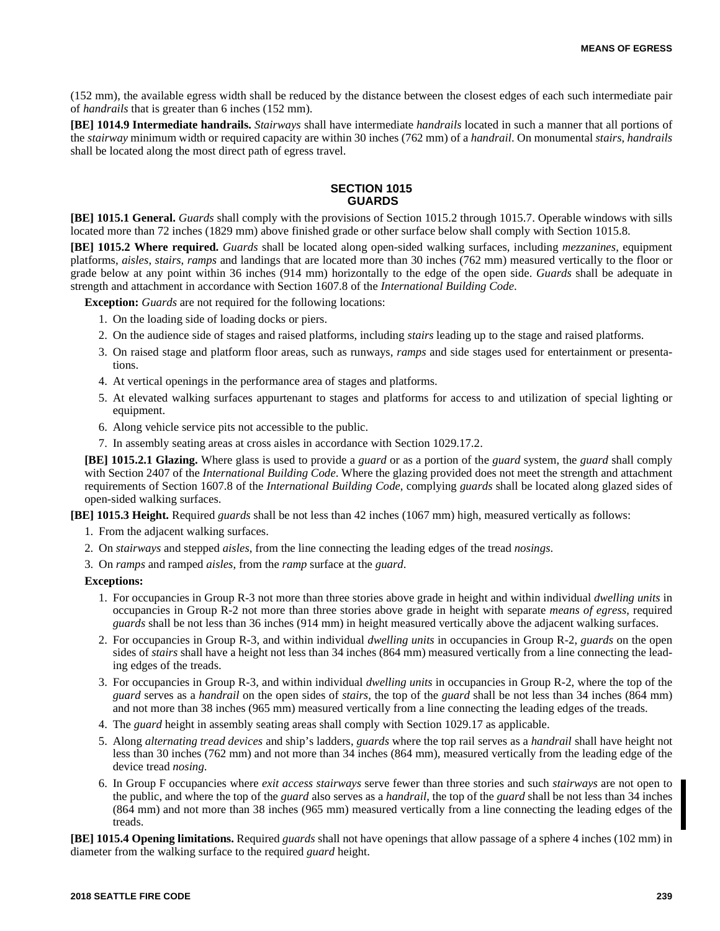(152 mm), the available egress width shall be reduced by the distance between the closest edges of each such intermediate pair of *handrails* that is greater than 6 inches (152 mm).

**[BE] 1014.9 Intermediate handrails.** *Stairways* shall have intermediate *handrails* located in such a manner that all portions of the *stairway* minimum width or required capacity are within 30 inches (762 mm) of a *handrail*. On monumental *stairs*, *handrails* shall be located along the most direct path of egress travel.

# **SECTION 1015 GUARDS**

**[BE] 1015.1 General.** *Guards* shall comply with the provisions of Section 1015.2 through 1015.7. Operable windows with sills located more than 72 inches (1829 mm) above finished grade or other surface below shall comply with Section 1015.8.

**[BE] 1015.2 Where required.** *Guards* shall be located along open-sided walking surfaces, including *mezzanines*, equipment platforms, *aisles*, *stairs*, *ramps* and landings that are located more than 30 inches (762 mm) measured vertically to the floor or grade below at any point within 36 inches (914 mm) horizontally to the edge of the open side. *Guards* shall be adequate in strength and attachment in accordance with Section 1607.8 of the *International Building Code*.

**Exception:** *Guards* are not required for the following locations:

- 1. On the loading side of loading docks or piers.
- 2. On the audience side of stages and raised platforms, including *stairs* leading up to the stage and raised platforms.
- 3. On raised stage and platform floor areas, such as runways, *ramps* and side stages used for entertainment or presentations.
- 4. At vertical openings in the performance area of stages and platforms.
- 5. At elevated walking surfaces appurtenant to stages and platforms for access to and utilization of special lighting or equipment.
- 6. Along vehicle service pits not accessible to the public.
- 7. In assembly seating areas at cross aisles in accordance with Section 1029.17.2.

**[BE] 1015.2.1 Glazing.** Where glass is used to provide a *guard* or as a portion of the *guard* system, the *guard* shall comply with Section 2407 of the *International Building Code*. Where the glazing provided does not meet the strength and attachment requirements of Section 1607.8 of the *International Building Code*, complying *guards* shall be located along glazed sides of open-sided walking surfaces.

**[BE] 1015.3 Height.** Required *guards* shall be not less than 42 inches (1067 mm) high, measured vertically as follows:

- 1. From the adjacent walking surfaces.
- 2. On *stairways* and stepped *aisles*, from the line connecting the leading edges of the tread *nosings*.

3. On *ramps* and ramped *aisles*, from the *ramp* surface at the *guard*.

#### **Exceptions:**

- 1. For occupancies in Group R-3 not more than three stories above grade in height and within individual *dwelling units* in occupancies in Group R-2 not more than three stories above grade in height with separate *means of egress*, required *guards* shall be not less than 36 inches (914 mm) in height measured vertically above the adjacent walking surfaces.
- 2. For occupancies in Group R-3, and within individual *dwelling units* in occupancies in Group R-2, *guards* on the open sides of *stairs* shall have a height not less than 34 inches (864 mm) measured vertically from a line connecting the leading edges of the treads.
- 3. For occupancies in Group R-3, and within individual *dwelling units* in occupancies in Group R-2, where the top of the *guard* serves as a *handrail* on the open sides of *stairs*, the top of the *guard* shall be not less than 34 inches (864 mm) and not more than 38 inches (965 mm) measured vertically from a line connecting the leading edges of the treads.
- 4. The *guard* height in assembly seating areas shall comply with Section 1029.17 as applicable.
- 5. Along *alternating tread devices* and ship's ladders, *guards* where the top rail serves as a *handrail* shall have height not less than 30 inches (762 mm) and not more than 34 inches (864 mm), measured vertically from the leading edge of the device tread *nosing*.
- 6. In Group F occupancies where *exit access stairways* serve fewer than three stories and such *stairways* are not open to the public, and where the top of the *guard* also serves as a *handrail*, the top of the *guard* shall be not less than 34 inches (864 mm) and not more than 38 inches (965 mm) measured vertically from a line connecting the leading edges of the treads.

**[BE] 1015.4 Opening limitations.** Required *guards* shall not have openings that allow passage of a sphere 4 inches (102 mm) in diameter from the walking surface to the required *guard* height.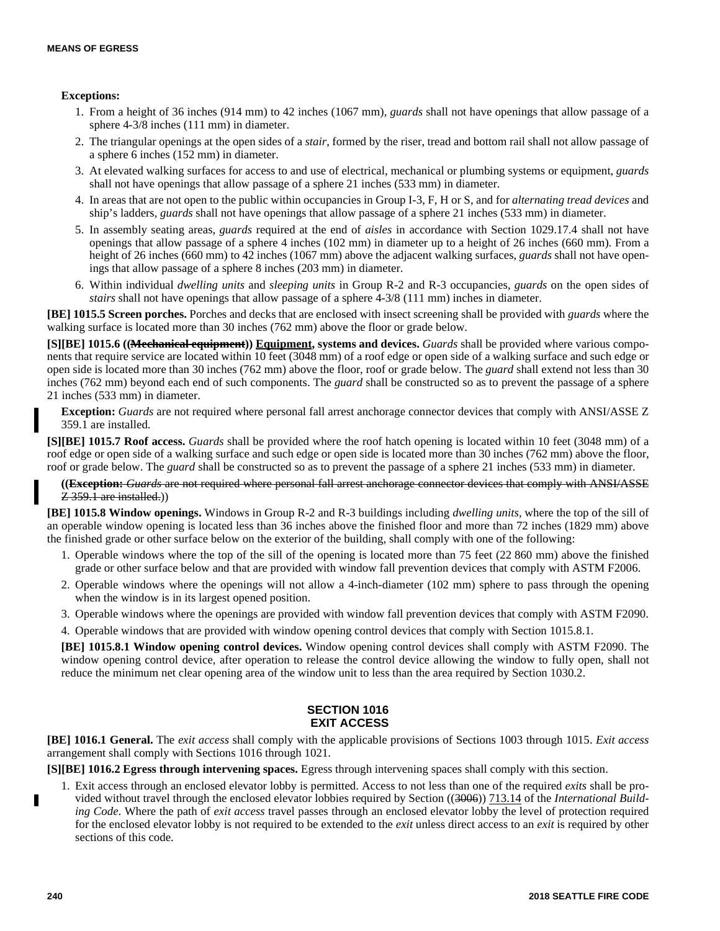# **Exceptions:**

- 1. From a height of 36 inches (914 mm) to 42 inches (1067 mm), *guards* shall not have openings that allow passage of a sphere 4-3/8 inches (111 mm) in diameter.
- 2. The triangular openings at the open sides of a *stair*, formed by the riser, tread and bottom rail shall not allow passage of a sphere 6 inches (152 mm) in diameter.
- 3. At elevated walking surfaces for access to and use of electrical, mechanical or plumbing systems or equipment, *guards* shall not have openings that allow passage of a sphere 21 inches (533 mm) in diameter.
- 4. In areas that are not open to the public within occupancies in Group I-3, F, H or S, and for *alternating tread devices* and ship's ladders, *guards* shall not have openings that allow passage of a sphere 21 inches (533 mm) in diameter.
- 5. In assembly seating areas, *guards* required at the end of *aisles* in accordance with Section 1029.17.4 shall not have openings that allow passage of a sphere 4 inches (102 mm) in diameter up to a height of 26 inches (660 mm). From a height of 26 inches (660 mm) to 42 inches (1067 mm) above the adjacent walking surfaces, *guards* shall not have openings that allow passage of a sphere 8 inches (203 mm) in diameter.
- 6. Within individual *dwelling units* and *sleeping units* in Group R-2 and R-3 occupancies, *guards* on the open sides of *stairs* shall not have openings that allow passage of a sphere 4-3/8 (111 mm) inches in diameter.

**[BE] 1015.5 Screen porches.** Porches and decks that are enclosed with insect screening shall be provided with *guards* where the walking surface is located more than 30 inches (762 mm) above the floor or grade below.

**[S][BE] 1015.6 ((Mechanical equipment)) Equipment, systems and devices.** *Guards* shall be provided where various components that require service are located within 10 feet (3048 mm) of a roof edge or open side of a walking surface and such edge or open side is located more than 30 inches (762 mm) above the floor, roof or grade below. The *guard* shall extend not less than 30 inches (762 mm) beyond each end of such components. The *guard* shall be constructed so as to prevent the passage of a sphere 21 inches (533 mm) in diameter.

**Exception:** *Guards* are not required where personal fall arrest anchorage connector devices that comply with ANSI/ASSE Z 359.1 are installed.

**[S][BE] 1015.7 Roof access.** *Guards* shall be provided where the roof hatch opening is located within 10 feet (3048 mm) of a roof edge or open side of a walking surface and such edge or open side is located more than 30 inches (762 mm) above the floor, roof or grade below. The *guard* shall be constructed so as to prevent the passage of a sphere 21 inches (533 mm) in diameter.

**((Exception:** *Guards* are not required where personal fall arrest anchorage connector devices that comply with ANSI/ASSE Z 359.1 are installed.))

**[BE] 1015.8 Window openings.** Windows in Group R-2 and R-3 buildings including *dwelling units*, where the top of the sill of an operable window opening is located less than 36 inches above the finished floor and more than 72 inches (1829 mm) above the finished grade or other surface below on the exterior of the building, shall comply with one of the following:

- 1. Operable windows where the top of the sill of the opening is located more than 75 feet (22 860 mm) above the finished grade or other surface below and that are provided with window fall prevention devices that comply with ASTM F2006.
- 2. Operable windows where the openings will not allow a 4-inch-diameter (102 mm) sphere to pass through the opening when the window is in its largest opened position.
- 3. Operable windows where the openings are provided with window fall prevention devices that comply with ASTM F2090.
- 4. Operable windows that are provided with window opening control devices that comply with Section 1015.8.1.

**[BE] 1015.8.1 Window opening control devices.** Window opening control devices shall comply with ASTM F2090. The window opening control device, after operation to release the control device allowing the window to fully open, shall not reduce the minimum net clear opening area of the window unit to less than the area required by Section 1030.2.

# **SECTION 1016 EXIT ACCESS**

**[BE] 1016.1 General.** The *exit access* shall comply with the applicable provisions of Sections 1003 through 1015. *Exit access* arrangement shall comply with Sections 1016 through 1021.

**[S][BE] 1016.2 Egress through intervening spaces.** Egress through intervening spaces shall comply with this section.

1. Exit access through an enclosed elevator lobby is permitted. Access to not less than one of the required *exits* shall be provided without travel through the enclosed elevator lobbies required by Section ((3006)) 713.14 of the *International Building Code*. Where the path of *exit access* travel passes through an enclosed elevator lobby the level of protection required for the enclosed elevator lobby is not required to be extended to the *exit* unless direct access to an *exit* is required by other sections of this code.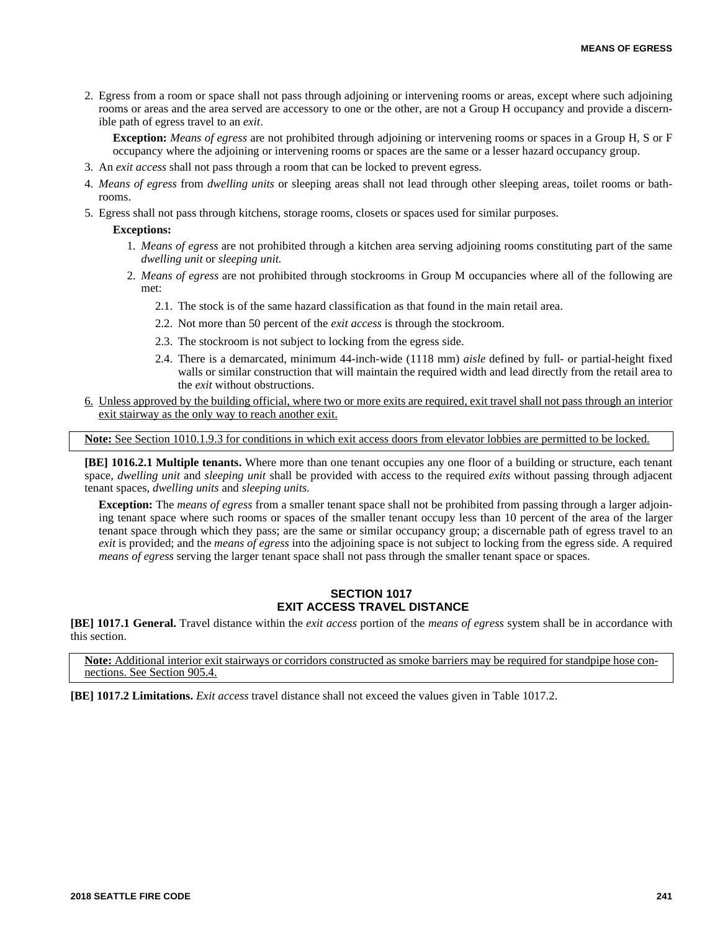2. Egress from a room or space shall not pass through adjoining or intervening rooms or areas, except where such adjoining rooms or areas and the area served are accessory to one or the other, are not a Group H occupancy and provide a discernible path of egress travel to an *exit*.

**Exception:** *Means of egress* are not prohibited through adjoining or intervening rooms or spaces in a Group H, S or F occupancy where the adjoining or intervening rooms or spaces are the same or a lesser hazard occupancy group.

- 3. An *exit access* shall not pass through a room that can be locked to prevent egress.
- 4. *Means of egress* from *dwelling units* or sleeping areas shall not lead through other sleeping areas, toilet rooms or bathrooms.
- 5. Egress shall not pass through kitchens, storage rooms, closets or spaces used for similar purposes.

#### **Exceptions:**

- 1. *Means of egress* are not prohibited through a kitchen area serving adjoining rooms constituting part of the same *dwelling unit* or *sleeping unit.*
- 2. *Means of egress* are not prohibited through stockrooms in Group M occupancies where all of the following are met:
	- 2.1. The stock is of the same hazard classification as that found in the main retail area.
	- 2.2. Not more than 50 percent of the *exit access* is through the stockroom.
	- 2.3. The stockroom is not subject to locking from the egress side.
	- 2.4. There is a demarcated, minimum 44-inch-wide (1118 mm) *aisle* defined by full- or partial-height fixed walls or similar construction that will maintain the required width and lead directly from the retail area to the *exit* without obstructions.
- 6. Unless approved by the building official, where two or more exits are required, exit travel shall not pass through an interior exit stairway as the only way to reach another exit.

**Note:** See Section 1010.1.9.3 for conditions in which exit access doors from elevator lobbies are permitted to be locked.

**[BE] 1016.2.1 Multiple tenants.** Where more than one tenant occupies any one floor of a building or structure, each tenant space, *dwelling unit* and *sleeping unit* shall be provided with access to the required *exits* without passing through adjacent tenant spaces, *dwelling units* and *sleeping units.*

**Exception:** The *means of egress* from a smaller tenant space shall not be prohibited from passing through a larger adjoining tenant space where such rooms or spaces of the smaller tenant occupy less than 10 percent of the area of the larger tenant space through which they pass; are the same or similar occupancy group; a discernable path of egress travel to an *exit* is provided; and the *means of egress* into the adjoining space is not subject to locking from the egress side. A required *means of egress* serving the larger tenant space shall not pass through the smaller tenant space or spaces.

# **SECTION 1017 EXIT ACCESS TRAVEL DISTANCE**

**[BE] 1017.1 General.** Travel distance within the *exit access* portion of the *means of egress* system shall be in accordance with this section.

**Note:** Additional interior exit stairways or corridors constructed as smoke barriers may be required for standpipe hose connections. See Section 905.4.

**[BE] 1017.2 Limitations.** *Exit access* travel distance shall not exceed the values given in Table 1017.2.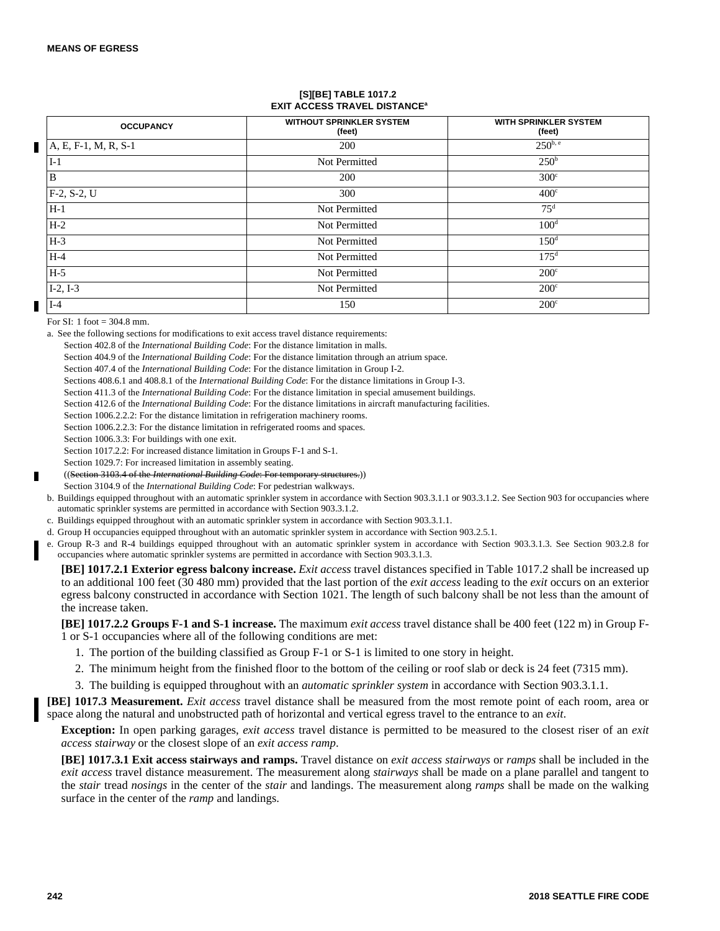#### **[S][BE] TABLE 1017.2 EXIT ACCESS TRAVEL DISTANCE<sup>a</sup>**

| <b>OCCUPANCY</b>         | <b>WITHOUT SPRINKLER SYSTEM</b><br>(feet) | <b>WITH SPRINKLER SYSTEM</b><br>(feet) |
|--------------------------|-------------------------------------------|----------------------------------------|
| $ A, E, F-1, M, R, S-1 $ | 200                                       | $250^{b, e}$                           |
| $I-1$                    | Not Permitted                             | 250 <sup>b</sup>                       |
| B                        | 200                                       | 300 <sup>c</sup>                       |
| $F-2, S-2, U$            | 300                                       | 400 <sup>c</sup>                       |
| $H-1$                    | Not Permitted                             | $75^{\rm d}$                           |
| $H-2$                    | Not Permitted                             | 100 <sup>d</sup>                       |
| $H-3$                    | Not Permitted                             | 150 <sup>d</sup>                       |
| $H-4$                    | Not Permitted                             | 175 <sup>d</sup>                       |
| $H-5$                    | Not Permitted                             | $200^{\circ}$                          |
| $I-2, I-3$               | Not Permitted                             | $200^{\circ}$                          |
| $I-4$                    | 150                                       | $200^{\circ}$                          |

For  $SI: 1$  foot = 304.8 mm.

a. See the following sections for modifications to exit access travel distance requirements:

Section 402.8 of the *International Building Code*: For the distance limitation in malls.

Section 404.9 of the *International Building Code*: For the distance limitation through an atrium space.

Section 407.4 of the *International Building Code*: For the distance limitation in Group I-2.

Sections 408.6.1 and 408.8.1 of the *International Building Code*: For the distance limitations in Group I-3.

Section 411.3 of the *International Building Code*: For the distance limitation in special amusement buildings.

Section 412.6 of the *International Building Code*: For the distance limitations in aircraft manufacturing facilities.

Section 1006.2.2.2: For the distance limitation in refrigeration machinery rooms.

Section 1006.2.2.3: For the distance limitation in refrigerated rooms and spaces.

Section 1006.3.3: For buildings with one exit.

Section 1017.2.2: For increased distance limitation in Groups F-1 and S-1.

Section 1029.7: For increased limitation in assembly seating.

((Section 3103.4 of the *International Building Code*: For temporary structures.))

Section 3104.9 of the *International Building Code*: For pedestrian walkways.

b. Buildings equipped throughout with an automatic sprinkler system in accordance with Section 903.3.1.1 or 903.3.1.2. See Section 903 for occupancies where automatic sprinkler systems are permitted in accordance with Section 903.3.1.2.

c. Buildings equipped throughout with an automatic sprinkler system in accordance with Section 903.3.1.1.

d. Group H occupancies equipped throughout with an automatic sprinkler system in accordance with Section 903.2.5.1.

e. Group R-3 and R-4 buildings equipped throughout with an automatic sprinkler system in accordance with Section 903.3.1.3. See Section 903.2.8 for occupancies where automatic sprinkler systems are permitted in accordance with Section 903.3.1.3.

**[BE] 1017.2.1 Exterior egress balcony increase.** *Exit access* travel distances specified in Table 1017.2 shall be increased up to an additional 100 feet (30 480 mm) provided that the last portion of the *exit access* leading to the *exit* occurs on an exterior egress balcony constructed in accordance with Section 1021. The length of such balcony shall be not less than the amount of the increase taken.

**[BE] 1017.2.2 Groups F-1 and S-1 increase.** The maximum *exit access* travel distance shall be 400 feet (122 m) in Group F-1 or S-1 occupancies where all of the following conditions are met:

- 1. The portion of the building classified as Group F-1 or S-1 is limited to one story in height.
- 2. The minimum height from the finished floor to the bottom of the ceiling or roof slab or deck is 24 feet (7315 mm).
- 3. The building is equipped throughout with an *automatic sprinkler system* in accordance with Section 903.3.1.1.

**[BE] 1017.3 Measurement.** *Exit access* travel distance shall be measured from the most remote point of each room, area or space along the natural and unobstructed path of horizontal and vertical egress travel to the entrance to an *exit*.

**Exception:** In open parking garages, *exit access* travel distance is permitted to be measured to the closest riser of an *exit access stairway* or the closest slope of an *exit access ramp*.

**[BE] 1017.3.1 Exit access stairways and ramps.** Travel distance on *exit access stairways* or *ramps* shall be included in the *exit access* travel distance measurement. The measurement along *stairways* shall be made on a plane parallel and tangent to the *stair* tread *nosings* in the center of the *stair* and landings. The measurement along *ramps* shall be made on the walking surface in the center of the *ramp* and landings.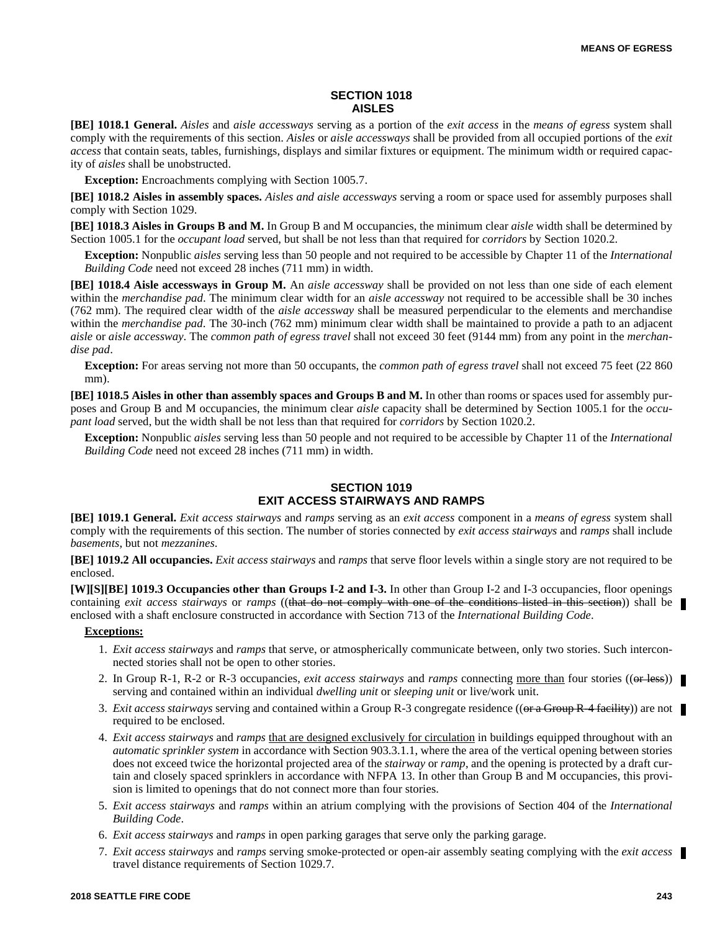# **SECTION 1018 AISLES**

**[BE] 1018.1 General.** *Aisles* and *aisle accessways* serving as a portion of the *exit access* in the *means of egress* system shall comply with the requirements of this section. *Aisles* or *aisle accessways* shall be provided from all occupied portions of the *exit access* that contain seats, tables, furnishings, displays and similar fixtures or equipment. The minimum width or required capacity of *aisles* shall be unobstructed.

**Exception:** Encroachments complying with Section 1005.7.

**[BE] 1018.2 Aisles in assembly spaces.** *Aisles and aisle accessways* serving a room or space used for assembly purposes shall comply with Section 1029.

**[BE] 1018.3 Aisles in Groups B and M.** In Group B and M occupancies, the minimum clear *aisle* width shall be determined by Section 1005.1 for the *occupant load* served, but shall be not less than that required for *corridors* by Section 1020.2.

**Exception:** Nonpublic *aisles* serving less than 50 people and not required to be accessible by Chapter 11 of the *International Building Code* need not exceed 28 inches (711 mm) in width.

**[BE] 1018.4 Aisle accessways in Group M.** An *aisle accessway* shall be provided on not less than one side of each element within the *merchandise pad*. The minimum clear width for an *aisle accessway* not required to be accessible shall be 30 inches (762 mm). The required clear width of the *aisle accessway* shall be measured perpendicular to the elements and merchandise within the *merchandise pad*. The 30-inch (762 mm) minimum clear width shall be maintained to provide a path to an adjacent *aisle* or *aisle accessway*. The *common path of egress travel* shall not exceed 30 feet (9144 mm) from any point in the *merchandise pad*.

**Exception:** For areas serving not more than 50 occupants, the *common path of egress travel* shall not exceed 75 feet (22 860 mm).

**[BE] 1018.5 Aisles in other than assembly spaces and Groups B and M.** In other than rooms or spaces used for assembly purposes and Group B and M occupancies, the minimum clear *aisle* capacity shall be determined by Section 1005.1 for the *occupant load* served, but the width shall be not less than that required for *corridors* by Section 1020.2.

**Exception:** Nonpublic *aisles* serving less than 50 people and not required to be accessible by Chapter 11 of the *International Building Code* need not exceed 28 inches (711 mm) in width.

# **SECTION 1019 EXIT ACCESS STAIRWAYS AND RAMPS**

**[BE] 1019.1 General.** *Exit access stairways* and *ramps* serving as an *exit access* component in a *means of egress* system shall comply with the requirements of this section. The number of stories connected by *exit access stairways* and *ramps* shall include *basements*, but not *mezzanines*.

**[BE] 1019.2 All occupancies.** *Exit access stairways* and *ramps* that serve floor levels within a single story are not required to be enclosed.

**[W][S][BE] 1019.3 Occupancies other than Groups I-2 and I-3.** In other than Group I-2 and I-3 occupancies, floor openings containing *exit access stairways* or *ramps* ((that do not comply with one of the conditions listed in this section)) shall be enclosed with a shaft enclosure constructed in accordance with Section 713 of the *International Building Code*.

- 1. *Exit access stairways* and *ramps* that serve, or atmospherically communicate between, only two stories. Such interconnected stories shall not be open to other stories.
- 2. In Group R-1, R-2 or R-3 occupancies, *exit access stairways* and *ramps* connecting <u>more than</u> four stories ((or less)) serving and contained within an individual *dwelling unit* or *sleeping unit* or live/work unit.
- 3. *Exit access stairways* serving and contained within a Group R-3 congregate residence ((or a Group R-4 facility)) are not required to be enclosed.
- 4. *Exit access stairways* and *ramps* that are designed exclusively for circulation in buildings equipped throughout with an *automatic sprinkler system* in accordance with Section 903.3.1.1, where the area of the vertical opening between stories does not exceed twice the horizontal projected area of the *stairway* or *ramp*, and the opening is protected by a draft curtain and closely spaced sprinklers in accordance with NFPA 13. In other than Group B and M occupancies, this provision is limited to openings that do not connect more than four stories.
- 5. *Exit access stairways* and *ramps* within an atrium complying with the provisions of Section 404 of the *International Building Code*.
- 6. *Exit access stairways* and *ramps* in open parking garages that serve only the parking garage.
- 7. *Exit access stairways* and *ramps* serving smoke-protected or open-air assembly seating complying with the *exit access* travel distance requirements of Section 1029.7.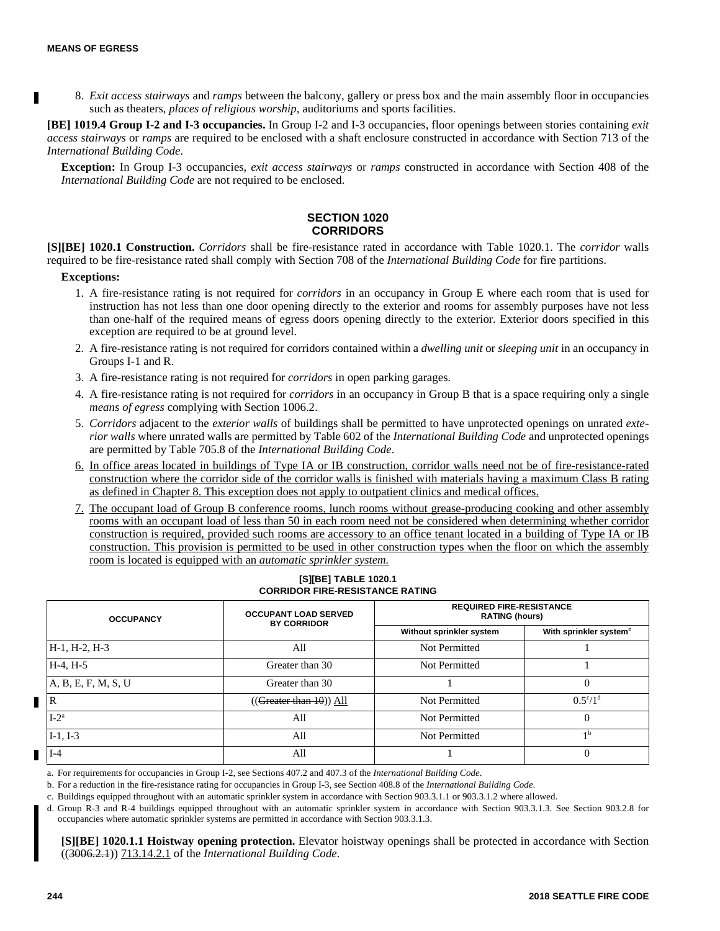Ш

8. *Exit access stairways* and *ramps* between the balcony, gallery or press box and the main assembly floor in occupancies such as theaters, *places of religious worship*, auditoriums and sports facilities.

**[BE] 1019.4 Group I-2 and I-3 occupancies.** In Group I-2 and I-3 occupancies, floor openings between stories containing *exit access stairways* or *ramps* are required to be enclosed with a shaft enclosure constructed in accordance with Section 713 of the *International Building Code*.

**Exception:** In Group I-3 occupancies, *exit access stairways* or *ramps* constructed in accordance with Section 408 of the *International Building Code* are not required to be enclosed.

#### **SECTION 1020 CORRIDORS**

**[S][BE] 1020.1 Construction.** *Corridors* shall be fire-resistance rated in accordance with Table 1020.1. The *corridor* walls required to be fire-resistance rated shall comply with Section 708 of the *International Building Code* for fire partitions.

#### **Exceptions:**

- 1. A fire-resistance rating is not required for *corridors* in an occupancy in Group E where each room that is used for instruction has not less than one door opening directly to the exterior and rooms for assembly purposes have not less than one-half of the required means of egress doors opening directly to the exterior. Exterior doors specified in this exception are required to be at ground level.
- 2. A fire-resistance rating is not required for corridors contained within a *dwelling unit* or *sleeping unit* in an occupancy in Groups I-1 and R.
- 3. A fire-resistance rating is not required for *corridors* in open parking garages.
- 4. A fire-resistance rating is not required for *corridors* in an occupancy in Group B that is a space requiring only a single *means of egress* complying with Section 1006.2.
- 5. *Corridors* adjacent to the *exterior walls* of buildings shall be permitted to have unprotected openings on unrated *exterior walls* where unrated walls are permitted by Table 602 of the *International Building Code* and unprotected openings are permitted by Table 705.8 of the *International Building Code*.
- 6. In office areas located in buildings of Type IA or IB construction, corridor walls need not be of fire-resistance-rated construction where the corridor side of the corridor walls is finished with materials having a maximum Class B rating as defined in Chapter 8. This exception does not apply to outpatient clinics and medical offices.
- 7. The occupant load of Group B conference rooms, lunch rooms without grease-producing cooking and other assembly rooms with an occupant load of less than 50 in each room need not be considered when determining whether corridor construction is required, provided such rooms are accessory to an office tenant located in a building of Type IA or IB construction. This provision is permitted to be used in other construction types when the floor on which the assembly room is located is equipped with an *automatic sprinkler system.*

#### **[S][BE] TABLE 1020.1 CORRIDOR FIRE-RESISTANCE RATING**

|                | <b>OCCUPANCY</b>    | <b>OCCUPANT LOAD SERVED</b><br><b>BY CORRIDOR</b> | <b>REQUIRED FIRE-RESISTANCE</b><br><b>RATING (hours)</b> |                                    |  |
|----------------|---------------------|---------------------------------------------------|----------------------------------------------------------|------------------------------------|--|
|                |                     |                                                   | Without sprinkler system                                 | With sprinkler system <sup>c</sup> |  |
|                | H-1, H-2, H-3       | All                                               | Not Permitted                                            |                                    |  |
|                | $H-4, H-5$          | Greater than 30                                   | Not Permitted                                            |                                    |  |
|                | A, B, E, F, M, S, U | Greater than 30                                   |                                                          |                                    |  |
| $\blacksquare$ |                     | (( <del>Greater than 10</del> )) All              | Not Permitted                                            | $0.5^{\circ}/1^{\circ}$            |  |
|                | $I-2^a$             | All                                               | Not Permitted                                            |                                    |  |
|                | $I-1, I-3$          | All                                               | Not Permitted                                            | Ιb                                 |  |
|                | $I-4$               | All                                               |                                                          |                                    |  |

a. For requirements for occupancies in Group I-2, see Sections 407.2 and 407.3 of the *International Building Code*.

b. For a reduction in the fire-resistance rating for occupancies in Group I-3, see Section 408.8 of the *International Building Code*.

c. Buildings equipped throughout with an automatic sprinkler system in accordance with Section 903.3.1.1 or 903.3.1.2 where allowed.

d. Group R-3 and R-4 buildings equipped throughout with an automatic sprinkler system in accordance with Section 903.3.1.3. See Section 903.2.8 for occupancies where automatic sprinkler systems are permitted in accordance with Section 903.3.1.3.

**[S][BE] 1020.1.1 Hoistway opening protection.** Elevator hoistway openings shall be protected in accordance with Section ((3006.2.1)) 713.14.2.1 of the *International Building Code*.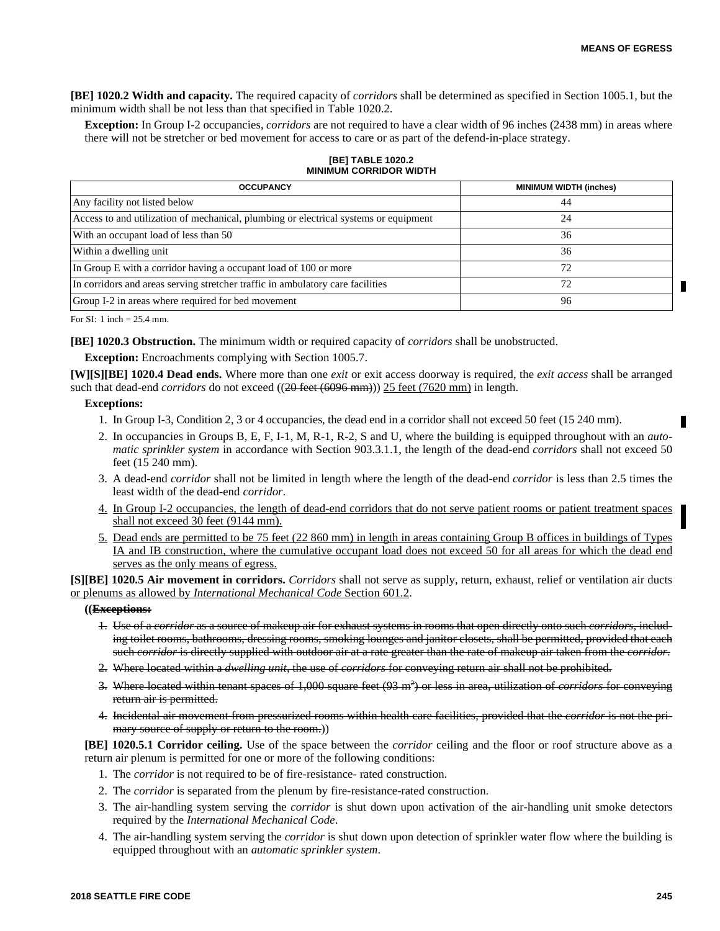П

**[BE] 1020.2 Width and capacity.** The required capacity of *corridors* shall be determined as specified in Section 1005.1, but the minimum width shall be not less than that specified in Table 1020.2.

**Exception:** In Group I-2 occupancies, *corridors* are not required to have a clear width of 96 inches (2438 mm) in areas where there will not be stretcher or bed movement for access to care or as part of the defend-in-place strategy.

| <b>MINIMUM CORRIDOR WIDTH</b>                                                        |                               |  |  |  |
|--------------------------------------------------------------------------------------|-------------------------------|--|--|--|
| <b>OCCUPANCY</b>                                                                     | <b>MINIMUM WIDTH (inches)</b> |  |  |  |
| Any facility not listed below                                                        | 44                            |  |  |  |
| Access to and utilization of mechanical, plumbing or electrical systems or equipment | 24                            |  |  |  |
| With an occupant load of less than 50                                                | 36                            |  |  |  |
| Within a dwelling unit                                                               | 36                            |  |  |  |
| In Group E with a corridor having a occupant load of 100 or more                     | 72                            |  |  |  |
| In corridors and areas serving stretcher traffic in ambulatory care facilities       | 72                            |  |  |  |
| Group I-2 in areas where required for bed movement                                   | 96                            |  |  |  |

#### **[BE] TABLE 1020.2 MINIMUM CORRIDOR WIDTH**

For SI: 1 inch = 25.4 mm.

**[BE] 1020.3 Obstruction.** The minimum width or required capacity of *corridors* shall be unobstructed.

**Exception:** Encroachments complying with Section 1005.7.

**[W][S][BE] 1020.4 Dead ends.** Where more than one *exit* or exit access doorway is required, the *exit access* shall be arranged such that dead-end *corridors* do not exceed ((20 feet (6096 mm))) 25 feet (7620 mm) in length.

#### **Exceptions:**

- 1. In Group I-3, Condition 2, 3 or 4 occupancies, the dead end in a corridor shall not exceed 50 feet (15 240 mm).
- 2. In occupancies in Groups B, E, F, I-1, M, R-1, R-2, S and U, where the building is equipped throughout with an *automatic sprinkler system* in accordance with Section 903.3.1.1, the length of the dead-end *corridors* shall not exceed 50 feet (15 240 mm).
- 3. A dead-end *corridor* shall not be limited in length where the length of the dead-end *corridor* is less than 2.5 times the least width of the dead-end *corridor*.
- 4. In Group I-2 occupancies, the length of dead-end corridors that do not serve patient rooms or patient treatment spaces shall not exceed 30 feet (9144 mm).
- 5. Dead ends are permitted to be 75 feet (22 860 mm) in length in areas containing Group B offices in buildings of Types IA and IB construction, where the cumulative occupant load does not exceed 50 for all areas for which the dead end serves as the only means of egress.

**[S][BE] 1020.5 Air movement in corridors.** *Corridors* shall not serve as supply, return, exhaust, relief or ventilation air ducts or plenums as allowed by *International Mechanical Code* Section 601.2.

#### **((Exceptions:**

- 1. Use of a *corridor* as a source of makeup air for exhaust systems in rooms that open directly onto such *corridors*, including toilet rooms, bathrooms, dressing rooms, smoking lounges and janitor closets, shall be permitted, provided that each such *corridor* is directly supplied with outdoor air at a rate greater than the rate of makeup air taken from the *corridor*.
- 2. Where located within a *dwelling unit*, the use of *corridors* for conveying return air shall not be prohibited.
- 3. Where located within tenant spaces of 1,000 square feet (93 m<sup>2</sup> ) or less in area, utilization of *corridors* for conveying return air is permitted.
- 4. Incidental air movement from pressurized rooms within health care facilities, provided that the *corridor* is not the primary source of supply or return to the room.))

**[BE] 1020.5.1 Corridor ceiling.** Use of the space between the *corridor* ceiling and the floor or roof structure above as a return air plenum is permitted for one or more of the following conditions:

- 1. The *corridor* is not required to be of fire-resistance- rated construction.
- 2. The *corridor* is separated from the plenum by fire-resistance-rated construction.
- 3. The air-handling system serving the *corridor* is shut down upon activation of the air-handling unit smoke detectors required by the *International Mechanical Code*.
- 4. The air-handling system serving the *corridor* is shut down upon detection of sprinkler water flow where the building is equipped throughout with an *automatic sprinkler system*.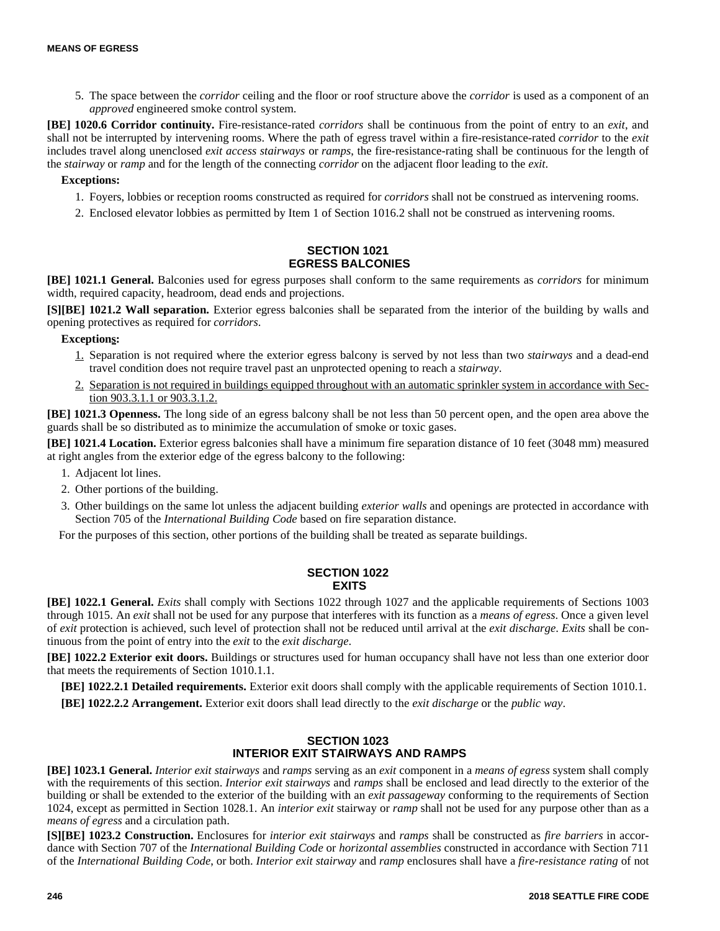5. The space between the *corridor* ceiling and the floor or roof structure above the *corridor* is used as a component of an *approved* engineered smoke control system.

**[BE] 1020.6 Corridor continuity.** Fire-resistance-rated *corridors* shall be continuous from the point of entry to an *exit*, and shall not be interrupted by intervening rooms. Where the path of egress travel within a fire-resistance-rated *corridor* to the *exit* includes travel along unenclosed *exit access stairways* or *ramps*, the fire-resistance-rating shall be continuous for the length of the *stairway* or *ramp* and for the length of the connecting *corridor* on the adjacent floor leading to the *exit*.

#### **Exceptions:**

- 1. Foyers, lobbies or reception rooms constructed as required for *corridors* shall not be construed as intervening rooms.
- 2. Enclosed elevator lobbies as permitted by Item 1 of Section 1016.2 shall not be construed as intervening rooms.

# **SECTION 1021 EGRESS BALCONIES**

**[BE] 1021.1 General.** Balconies used for egress purposes shall conform to the same requirements as *corridors* for minimum width, required capacity, headroom, dead ends and projections.

**[S][BE] 1021.2 Wall separation.** Exterior egress balconies shall be separated from the interior of the building by walls and opening protectives as required for *corridors*.

# **Exceptions:**

- 1. Separation is not required where the exterior egress balcony is served by not less than two *stairways* and a dead-end travel condition does not require travel past an unprotected opening to reach a *stairway*.
- 2. Separation is not required in buildings equipped throughout with an automatic sprinkler system in accordance with Section 903.3.1.1 or 903.3.1.2.

**[BE] 1021.3 Openness.** The long side of an egress balcony shall be not less than 50 percent open, and the open area above the guards shall be so distributed as to minimize the accumulation of smoke or toxic gases.

**[BE] 1021.4 Location.** Exterior egress balconies shall have a minimum fire separation distance of 10 feet (3048 mm) measured at right angles from the exterior edge of the egress balcony to the following:

- 1. Adjacent lot lines.
- 2. Other portions of the building.
- 3. Other buildings on the same lot unless the adjacent building *exterior walls* and openings are protected in accordance with Section 705 of the *International Building Code* based on fire separation distance.

For the purposes of this section, other portions of the building shall be treated as separate buildings.

# **SECTION 1022 EXITS**

**[BE] 1022.1 General.** *Exits* shall comply with Sections 1022 through 1027 and the applicable requirements of Sections 1003 through 1015. An *exit* shall not be used for any purpose that interferes with its function as a *means of egress*. Once a given level of *exit* protection is achieved, such level of protection shall not be reduced until arrival at the *exit discharge*. *Exits* shall be continuous from the point of entry into the *exit* to the *exit discharge*.

**[BE] 1022.2 Exterior exit doors.** Buildings or structures used for human occupancy shall have not less than one exterior door that meets the requirements of Section 1010.1.1.

**[BE] 1022.2.1 Detailed requirements.** Exterior exit doors shall comply with the applicable requirements of Section 1010.1.

**[BE] 1022.2.2 Arrangement.** Exterior exit doors shall lead directly to the *exit discharge* or the *public way*.

# **SECTION 1023 INTERIOR EXIT STAIRWAYS AND RAMPS**

**[BE] 1023.1 General.** *Interior exit stairways* and *ramps* serving as an *exit* component in a *means of egress* system shall comply with the requirements of this section. *Interior exit stairways* and *ramps* shall be enclosed and lead directly to the exterior of the building or shall be extended to the exterior of the building with an *exit passageway* conforming to the requirements of Section 1024, except as permitted in Section 1028.1. An *interior exit* stairway or *ramp* shall not be used for any purpose other than as a *means of egress* and a circulation path.

**[S][BE] 1023.2 Construction.** Enclosures for *interior exit stairways* and *ramps* shall be constructed as *fire barriers* in accordance with Section 707 of the *International Building Code* or *horizontal assemblies* constructed in accordance with Section 711 of the *International Building Code*, or both. *Interior exit stairway* and *ramp* enclosures shall have a *fire-resistance rating* of not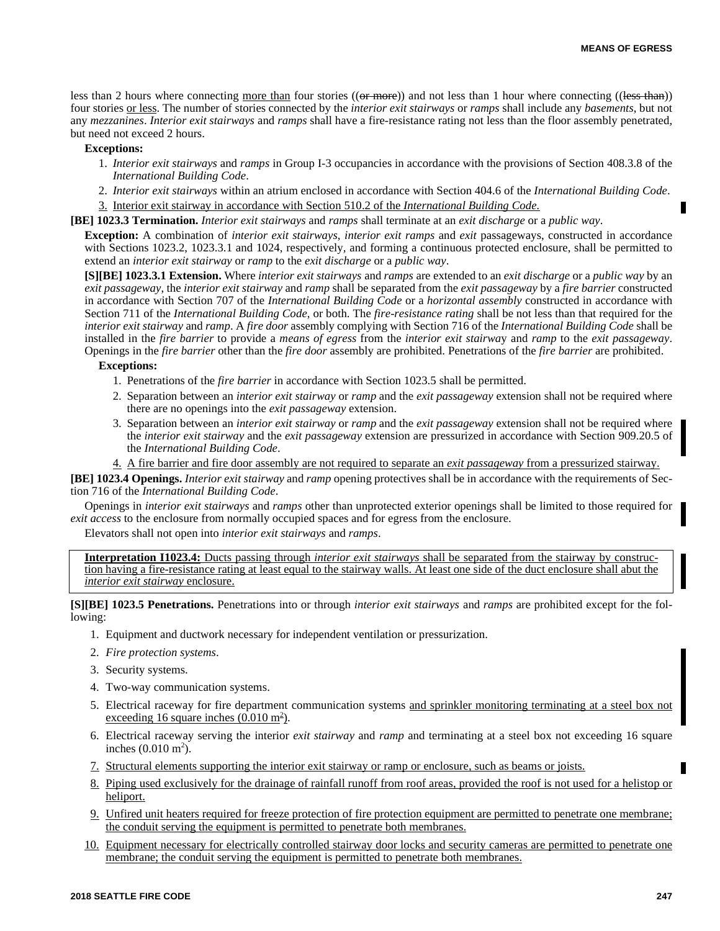П

less than 2 hours where connecting more than four stories ((or more)) and not less than 1 hour where connecting ((less than)) four stories or less. The number of stories connected by the *interior exit stairways* or *ramps* shall include any *basements*, but not any *mezzanines*. *Interior exit stairways* and *ramps* shall have a fire-resistance rating not less than the floor assembly penetrated, but need not exceed 2 hours.

#### **Exceptions:**

- 1. *Interior exit stairways* and *ramps* in Group I-3 occupancies in accordance with the provisions of Section 408.3.8 of the *International Building Code*.
- 2. *Interior exit stairways* within an atrium enclosed in accordance with Section 404.6 of the *International Building Code*.
- 3. Interior exit stairway in accordance with Section 510.2 of the *International Building Code.*

**[BE] 1023.3 Termination.** *Interior exit stairways* and *ramps* shall terminate at an *exit discharge* or a *public way*.

**Exception:** A combination of *interior exit stairways*, *interior exit ramps* and *exit* passageways, constructed in accordance with Sections 1023.2, 1023.3.1 and 1024, respectively, and forming a continuous protected enclosure, shall be permitted to extend an *interior exit stairway* or *ramp* to the *exit discharge* or a *public way*.

**[S][BE] 1023.3.1 Extension.** Where *interior exit stairways* and *ramps* are extended to an *exit discharge* or a *public way* by an *exit passageway*, the *interior exit stairway* and *ramp* shall be separated from the *exit passageway* by a *fire barrier* constructed in accordance with Section 707 of the *International Building Code* or a *horizontal assembly* constructed in accordance with Section 711 of the *International Building Code*, or both. The *fire-resistance rating* shall be not less than that required for the *interior exit stairway* and *ramp*. A *fire door* assembly complying with Section 716 of the *International Building Code* shall be installed in the *fire barrier* to provide a *means of egress* from the *interior exit stairwa*y and *ramp* to the *exit passageway*. Openings in the *fire barrier* other than the *fire door* assembly are prohibited. Penetrations of the *fire barrier* are prohibited.

#### **Exceptions:**

- 1. Penetrations of the *fire barrier* in accordance with Section 1023.5 shall be permitted.
- 2. Separation between an *interior exit stairway* or *ramp* and the *exit passageway* extension shall not be required where there are no openings into the *exit passageway* extension.
- 3. Separation between an *interior exit stairway* or *ramp* and the *exit passageway* extension shall not be required where the *interior exit stairway* and the *exit passageway* extension are pressurized in accordance with Section 909.20.5 of the *International Building Code*.
- 4. A fire barrier and fire door assembly are not required to separate an *exit passageway* from a pressurized stairway.

**[BE] 1023.4 Openings.** *Interior exit stairway* and *ramp* opening protectives shall be in accordance with the requirements of Section 716 of the *International Building Code*.

Openings in *interior exit stairways* and *ramps* other than unprotected exterior openings shall be limited to those required for *exit access* to the enclosure from normally occupied spaces and for egress from the enclosure.

Elevators shall not open into *interior exit stairways* and *ramps*.

**Interpretation I1023.4:** Ducts passing through *interior exit stairways* shall be separated from the stairway by construction having a fire-resistance rating at least equal to the stairway walls. At least one side of the duct enclosure shall abut the *interior exit stairway* enclosure.

**[S][BE] 1023.5 Penetrations.** Penetrations into or through *interior exit stairways* and *ramps* are prohibited except for the following:

- 1. Equipment and ductwork necessary for independent ventilation or pressurization.
- 2. *Fire protection systems*.
- 3. Security systems.
- 4. Two-way communication systems.
- 5. Electrical raceway for fire department communication systems and sprinkler monitoring terminating at a steel box not exceeding 16 square inches  $(0.010 \text{ m}^2)$ .
- 6. Electrical raceway serving the interior *exit stairway* and *ramp* and terminating at a steel box not exceeding 16 square inches  $(0.010 \text{ m}^2)$ .
- 7. Structural elements supporting the interior exit stairway or ramp or enclosure, such as beams or joists.
- 8. Piping used exclusively for the drainage of rainfall runoff from roof areas, provided the roof is not used for a helistop or heliport.
- 9. Unfired unit heaters required for freeze protection of fire protection equipment are permitted to penetrate one membrane; the conduit serving the equipment is permitted to penetrate both membranes.
- 10. Equipment necessary for electrically controlled stairway door locks and security cameras are permitted to penetrate one membrane; the conduit serving the equipment is permitted to penetrate both membranes.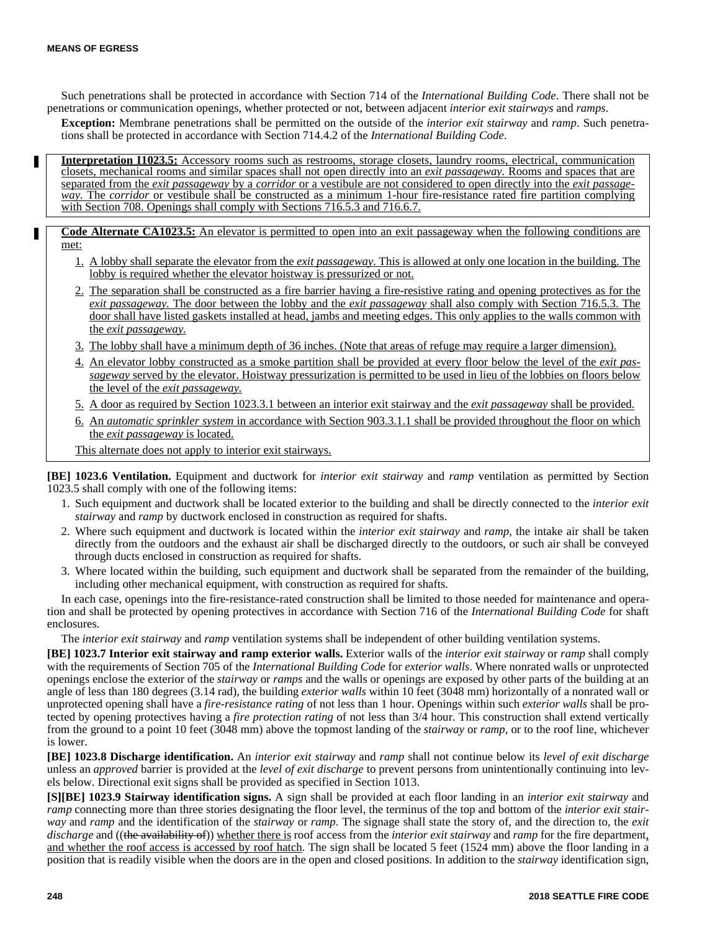Г

Such penetrations shall be protected in accordance with Section 714 of the *International Building Code*. There shall not be penetrations or communication openings, whether protected or not, between adjacent *interior exit stairways* and *ramps*.

**Exception:** Membrane penetrations shall be permitted on the outside of the *interior exit stairway* and *ramp*. Such penetrations shall be protected in accordance with Section 714.4.2 of the *International Building Code*.

**Interpretation I1023.5:** Accessory rooms such as restrooms, storage closets, laundry rooms, electrical, communication closets, mechanical rooms and similar spaces shall not open directly into an *exit passageway.* Rooms and spaces that are separated from the *exit passageway* by a *corridor* or a vestibule are not considered to open directly into the *exit passageway.* The *corridor* or vestibule shall be constructed as a minimum 1-hour fire-resistance rated fire partition complying with Section 708. Openings shall comply with Sections 716.5.3 and 716.6.7.

- **Code Alternate CA1023.5:** An elevator is permitted to open into an exit passageway when the following conditions are met:
	- 1. A lobby shall separate the elevator from the *exit passageway.* This is allowed at only one location in the building. The lobby is required whether the elevator hoistway is pressurized or not.
	- 2. The separation shall be constructed as a fire barrier having a fire-resistive rating and opening protectives as for the *exit passageway.* The door between the lobby and the *exit passageway* shall also comply with Section 716.5.3. The door shall have listed gaskets installed at head, jambs and meeting edges. This only applies to the walls common with the *exit passageway.*
	- 3. The lobby shall have a minimum depth of 36 inches. (Note that areas of refuge may require a larger dimension).
	- 4. An elevator lobby constructed as a smoke partition shall be provided at every floor below the level of the *exit passageway* served by the elevator. Hoistway pressurization is permitted to be used in lieu of the lobbies on floors below the level of the *exit passageway.*
	- 5. A door as required by Section 1023.3.1 between an interior exit stairway and the *exit passageway* shall be provided.
	- 6. An *automatic sprinkler system* in accordance with Section 903.3.1.1 shall be provided throughout the floor on which the *exit passageway* is located.
	- This alternate does not apply to interior exit stairways.

**[BE] 1023.6 Ventilation.** Equipment and ductwork for *interior exit stairway* and *ramp* ventilation as permitted by Section 1023.5 shall comply with one of the following items:

- 1. Such equipment and ductwork shall be located exterior to the building and shall be directly connected to the *interior exit stairway* and *ramp* by ductwork enclosed in construction as required for shafts.
- 2. Where such equipment and ductwork is located within the *interior exit stairway* and *ramp*, the intake air shall be taken directly from the outdoors and the exhaust air shall be discharged directly to the outdoors, or such air shall be conveyed through ducts enclosed in construction as required for shafts.
- 3. Where located within the building, such equipment and ductwork shall be separated from the remainder of the building, including other mechanical equipment, with construction as required for shafts.

In each case, openings into the fire-resistance-rated construction shall be limited to those needed for maintenance and operation and shall be protected by opening protectives in accordance with Section 716 of the *International Building Code* for shaft enclosures.

The *interior exit stairway* and *ramp* ventilation systems shall be independent of other building ventilation systems.

**[BE] 1023.7 Interior exit stairway and ramp exterior walls.** Exterior walls of the *interior exit stairway* or *ramp* shall comply with the requirements of Section 705 of the *International Building Code* for *exterior walls*. Where nonrated walls or unprotected openings enclose the exterior of the *stairway* or *ramps* and the walls or openings are exposed by other parts of the building at an angle of less than 180 degrees (3.14 rad), the building *exterior walls* within 10 feet (3048 mm) horizontally of a nonrated wall or unprotected opening shall have a *fire-resistance rating* of not less than 1 hour. Openings within such *exterior walls* shall be protected by opening protectives having a *fire protection rating* of not less than 3/4 hour. This construction shall extend vertically from the ground to a point 10 feet (3048 mm) above the topmost landing of the *stairway* or *ramp*, or to the roof line, whichever is lower.

**[BE] 1023.8 Discharge identification.** An *interior exit stairway* and *ramp* shall not continue below its *level of exit discharge* unless an *approved* barrier is provided at the *level of exit discharge* to prevent persons from unintentionally continuing into levels below. Directional exit signs shall be provided as specified in Section 1013.

**[S][BE] 1023.9 Stairway identification signs.** A sign shall be provided at each floor landing in an *interior exit stairway* and *ramp* connecting more than three stories designating the floor level, the terminus of the top and bottom of the *interior exit stairway* and *ramp* and the identification of the *stairway* or *ramp*. The signage shall state the story of, and the direction to, the *exit discharge* and ((the availability of)) whether there is roof access from the *interior exit stairway* and *ramp* for the fire department, and whether the roof access is accessed by roof hatch. The sign shall be located 5 feet (1524 mm) above the floor landing in a position that is readily visible when the doors are in the open and closed positions. In addition to the *stairway* identification sign,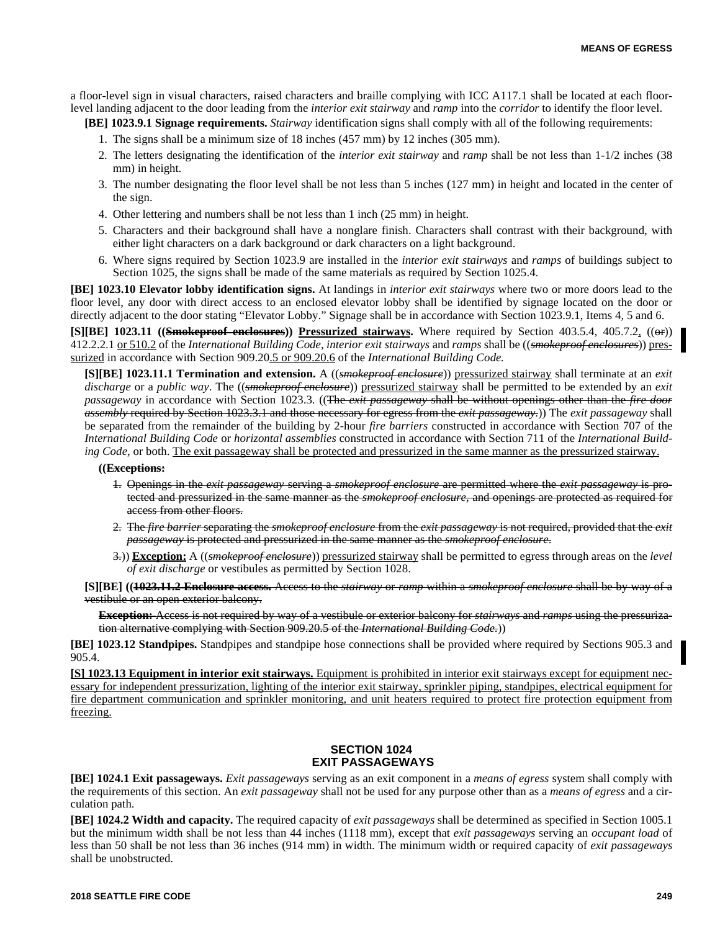a floor-level sign in visual characters, raised characters and braille complying with ICC A117.1 shall be located at each floorlevel landing adjacent to the door leading from the *interior exit stairway* and *ramp* into the *corridor* to identify the floor level.

**[BE] 1023.9.1 Signage requirements.** *Stairway* identification signs shall comply with all of the following requirements:

- 1. The signs shall be a minimum size of 18 inches (457 mm) by 12 inches (305 mm).
- 2. The letters designating the identification of the *interior exit stairway* and *ramp* shall be not less than 1-1/2 inches (38 mm) in height.
- 3. The number designating the floor level shall be not less than 5 inches (127 mm) in height and located in the center of the sign.
- 4. Other lettering and numbers shall be not less than 1 inch (25 mm) in height.
- 5. Characters and their background shall have a nonglare finish. Characters shall contrast with their background, with either light characters on a dark background or dark characters on a light background.
- 6. Where signs required by Section 1023.9 are installed in the *interior exit stairways* and *ramps* of buildings subject to Section 1025, the signs shall be made of the same materials as required by Section 1025.4.

**[BE] 1023.10 Elevator lobby identification signs.** At landings in *interior exit stairways* where two or more doors lead to the floor level, any door with direct access to an enclosed elevator lobby shall be identified by signage located on the door or directly adjacent to the door stating "Elevator Lobby." Signage shall be in accordance with Section 1023.9.1, Items 4, 5 and 6.

**[S][BE] 1023.11 ((Smokeproof enclosures)) Pressurized stairways.** Where required by Section 403.5.4, 405.7.2, ((or)) 412.2.2.1 or 510.2 of the *International Building Code, interior exit stairways* and *ramps* shall be ((*smokeproof enclosures*)) pressurized in accordance with Section 909.20.5 or 909.20.6 of the *International Building Code.*

**[S][BE] 1023.11.1 Termination and extension.** A ((*smokeproof enclosure*)) pressurized stairway shall terminate at an *exit discharge* or a *public way*. The ((*smokeproof enclosure*)) pressurized stairway shall be permitted to be extended by an *exit passageway* in accordance with Section 1023.3. ((The *exit passageway* shall be without openings other than the *fire door assembly* required by Section 1023.3.1 and those necessary for egress from the *exit passageway*.)) The *exit passageway* shall be separated from the remainder of the building by 2-hour *fire barriers* constructed in accordance with Section 707 of the *International Building Code* or *horizontal assemblies* constructed in accordance with Section 711 of the *International Building Code*, or both. The exit passageway shall be protected and pressurized in the same manner as the pressurized stairway.

**((Exceptions:**

- 1. Openings in the *exit passageway* serving a *smokeproof enclosure* are permitted where the *exit passageway* is protected and pressurized in the same manner as the *smokeproof enclosure*, and openings are protected as required for access from other floors.
- 2. The *fire barrier* separating the *smokeproof enclosure* from the *exit passageway* is not required, provided that the *exit passageway* is protected and pressurized in the same manner as the *smokeproof enclosure*.
- 3.)) **Exception:** A ((*smokeproof enclosure*)) pressurized stairway shall be permitted to egress through areas on the *level of exit discharge* or vestibules as permitted by Section 1028.

**[S][BE] ((1023.11.2 Enclosure access.** Access to the *stairway* or *ramp* within a *smokeproof enclosure* shall be by way of a vestibule or an open exterior balcony.

**Exception:** Access is not required by way of a vestibule or exterior balcony for *stairways* and *ramps* using the pressurization alternative complying with Section 909.20.5 of the *International Building Code.*))

**[BE] 1023.12 Standpipes.** Standpipes and standpipe hose connections shall be provided where required by Sections 905.3 and 905.4.

**[S] 1023.13 Equipment in interior exit stairways.** Equipment is prohibited in interior exit stairways except for equipment necessary for independent pressurization, lighting of the interior exit stairway, sprinkler piping, standpipes, electrical equipment for fire department communication and sprinkler monitoring, and unit heaters required to protect fire protection equipment from freezing.

# **SECTION 1024 EXIT PASSAGEWAYS**

**[BE] 1024.1 Exit passageways.** *Exit passageways* serving as an exit component in a *means of egress* system shall comply with the requirements of this section. An *exit passageway* shall not be used for any purpose other than as a *means of egress* and a circulation path.

**[BE] 1024.2 Width and capacity.** The required capacity of *exit passageways* shall be determined as specified in Section 1005.1 but the minimum width shall be not less than 44 inches (1118 mm), except that *exit passageways* serving an *occupant load* of less than 50 shall be not less than 36 inches (914 mm) in width. The minimum width or required capacity of *exit passageways* shall be unobstructed.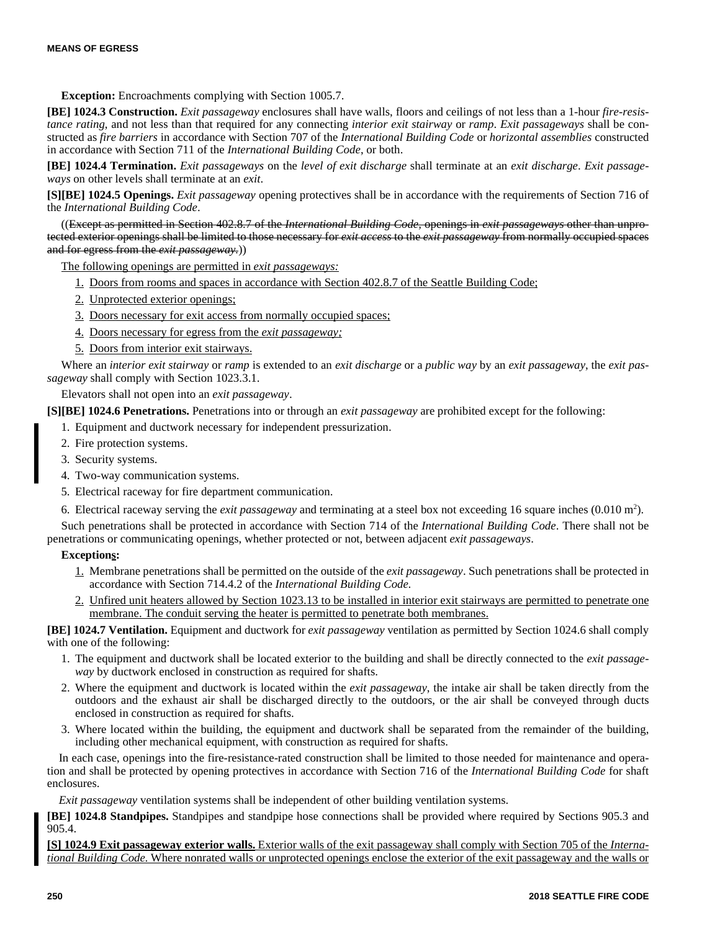**Exception:** Encroachments complying with Section 1005.7.

**[BE] 1024.3 Construction.** *Exit passageway* enclosures shall have walls, floors and ceilings of not less than a 1-hour *fire-resistance rating*, and not less than that required for any connecting *interior exit stairway* or *ramp*. *Exit passageways* shall be constructed as *fire barriers* in accordance with Section 707 of the *International Building Code* or *horizontal assemblies* constructed in accordance with Section 711 of the *International Building Code*, or both.

**[BE] 1024.4 Termination.** *Exit passageways* on the *level of exit discharge* shall terminate at an *exit discharge*. *Exit passageways* on other levels shall terminate at an *exit*.

**[S][BE] 1024.5 Openings.** *Exit passageway* opening protectives shall be in accordance with the requirements of Section 716 of the *International Building Code*.

((Except as permitted in Section 402.8.7 of the *International Building Code,* openings in *exit passageways* other than unprotected exterior openings shall be limited to those necessary for *exit access* to the *exit passageway* from normally occupied spaces and for egress from the *exit passageway.*))

The following openings are permitted in *exit passageways:*

- 1. Doors from rooms and spaces in accordance with Section 402.8.7 of the Seattle Building Code;
- 2. Unprotected exterior openings;
- 3. Doors necessary for exit access from normally occupied spaces;
- 4. Doors necessary for egress from the *exit passageway;*
- 5. Doors from interior exit stairways.

Where an *interior exit stairway* or *ramp* is extended to an *exit discharge* or a *public way* by an *exit passageway*, the *exit passageway* shall comply with Section 1023.3.1.

Elevators shall not open into an *exit passageway*.

**[S][BE] 1024.6 Penetrations.** Penetrations into or through an *exit passageway* are prohibited except for the following:

- 1. Equipment and ductwork necessary for independent pressurization.
- 2. Fire protection systems.
- 3. Security systems.
- 4. Two-way communication systems.
- 5. Electrical raceway for fire department communication.
- 6. Electrical raceway serving the *exit passageway* and terminating at a steel box not exceeding 16 square inches (0.010 m<sup>2</sup>).

Such penetrations shall be protected in accordance with Section 714 of the *International Building Code*. There shall not be penetrations or communicating openings, whether protected or not, between adjacent *exit passageways*.

#### **Exceptions:**

- 1. Membrane penetrations shall be permitted on the outside of the *exit passageway*. Such penetrations shall be protected in accordance with Section 714.4.2 of the *International Building Code.*
- 2. Unfired unit heaters allowed by Section 1023.13 to be installed in interior exit stairways are permitted to penetrate one membrane. The conduit serving the heater is permitted to penetrate both membranes.

**[BE] 1024.7 Ventilation.** Equipment and ductwork for *exit passageway* ventilation as permitted by Section 1024.6 shall comply with one of the following:

- 1. The equipment and ductwork shall be located exterior to the building and shall be directly connected to the *exit passageway* by ductwork enclosed in construction as required for shafts.
- 2. Where the equipment and ductwork is located within the *exit passageway*, the intake air shall be taken directly from the outdoors and the exhaust air shall be discharged directly to the outdoors, or the air shall be conveyed through ducts enclosed in construction as required for shafts.
- 3. Where located within the building, the equipment and ductwork shall be separated from the remainder of the building, including other mechanical equipment, with construction as required for shafts.

In each case, openings into the fire-resistance-rated construction shall be limited to those needed for maintenance and operation and shall be protected by opening protectives in accordance with Section 716 of the *International Building Code* for shaft enclosures.

*Exit passageway* ventilation systems shall be independent of other building ventilation systems.

**[BE] 1024.8 Standpipes.** Standpipes and standpipe hose connections shall be provided where required by Sections 905.3 and 905.4.

**[S] 1024.9 Exit passageway exterior walls.** Exterior walls of the exit passageway shall comply with Section 705 of the *International Building Code.* Where nonrated walls or unprotected openings enclose the exterior of the exit passageway and the walls or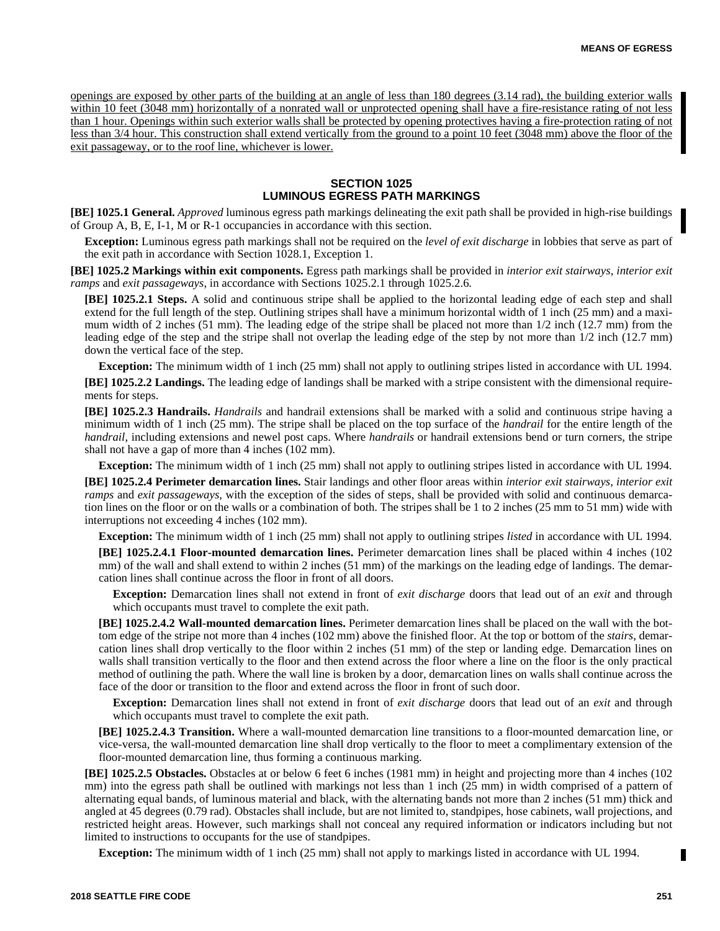openings are exposed by other parts of the building at an angle of less than 180 degrees (3.14 rad), the building exterior walls within 10 feet (3048 mm) horizontally of a nonrated wall or unprotected opening shall have a fire-resistance rating of not less than 1 hour. Openings within such exterior walls shall be protected by opening protectives having a fire-protection rating of not less than 3/4 hour. This construction shall extend vertically from the ground to a point 10 feet (3048 mm) above the floor of the exit passageway, or to the roof line, whichever is lower.

# **SECTION 1025 LUMINOUS EGRESS PATH MARKINGS**

**[BE] 1025.1 General.** *Approved* luminous egress path markings delineating the exit path shall be provided in high-rise buildings of Group A, B, E, I-1, M or R-1 occupancies in accordance with this section.

**Exception:** Luminous egress path markings shall not be required on the *level of exit discharge* in lobbies that serve as part of the exit path in accordance with Section 1028.1, Exception 1.

**[BE] 1025.2 Markings within exit components.** Egress path markings shall be provided in *interior exit stairways*, *interior exit ramps* and *exit passageways*, in accordance with Sections 1025.2.1 through 1025.2.6.

**[BE] 1025.2.1 Steps.** A solid and continuous stripe shall be applied to the horizontal leading edge of each step and shall extend for the full length of the step. Outlining stripes shall have a minimum horizontal width of 1 inch (25 mm) and a maximum width of 2 inches (51 mm). The leading edge of the stripe shall be placed not more than 1/2 inch (12.7 mm) from the leading edge of the step and the stripe shall not overlap the leading edge of the step by not more than 1/2 inch (12.7 mm) down the vertical face of the step.

**Exception:** The minimum width of 1 inch (25 mm) shall not apply to outlining stripes listed in accordance with UL 1994. **[BE] 1025.2.2 Landings.** The leading edge of landings shall be marked with a stripe consistent with the dimensional requirements for steps.

**[BE] 1025.2.3 Handrails.** *Handrails* and handrail extensions shall be marked with a solid and continuous stripe having a minimum width of 1 inch (25 mm). The stripe shall be placed on the top surface of the *handrail* for the entire length of the *handrail*, including extensions and newel post caps. Where *handrails* or handrail extensions bend or turn corners, the stripe shall not have a gap of more than 4 inches (102 mm).

**Exception:** The minimum width of 1 inch (25 mm) shall not apply to outlining stripes listed in accordance with UL 1994.

**[BE] 1025.2.4 Perimeter demarcation lines.** Stair landings and other floor areas within *interior exit stairways*, *interior exit ramps* and *exit passageways*, with the exception of the sides of steps, shall be provided with solid and continuous demarcation lines on the floor or on the walls or a combination of both. The stripes shall be 1 to 2 inches (25 mm to 51 mm) wide with interruptions not exceeding 4 inches (102 mm).

**Exception:** The minimum width of 1 inch (25 mm) shall not apply to outlining stripes *listed* in accordance with UL 1994.

**[BE] 1025.2.4.1 Floor-mounted demarcation lines.** Perimeter demarcation lines shall be placed within 4 inches (102 mm) of the wall and shall extend to within 2 inches (51 mm) of the markings on the leading edge of landings. The demarcation lines shall continue across the floor in front of all doors.

**Exception:** Demarcation lines shall not extend in front of *exit discharge* doors that lead out of an *exit* and through which occupants must travel to complete the exit path.

**[BE] 1025.2.4.2 Wall-mounted demarcation lines.** Perimeter demarcation lines shall be placed on the wall with the bottom edge of the stripe not more than 4 inches (102 mm) above the finished floor. At the top or bottom of the *stairs*, demarcation lines shall drop vertically to the floor within 2 inches (51 mm) of the step or landing edge. Demarcation lines on walls shall transition vertically to the floor and then extend across the floor where a line on the floor is the only practical method of outlining the path. Where the wall line is broken by a door, demarcation lines on walls shall continue across the face of the door or transition to the floor and extend across the floor in front of such door.

**Exception:** Demarcation lines shall not extend in front of *exit discharge* doors that lead out of an *exit* and through which occupants must travel to complete the exit path.

**[BE] 1025.2.4.3 Transition.** Where a wall-mounted demarcation line transitions to a floor-mounted demarcation line, or vice-versa, the wall-mounted demarcation line shall drop vertically to the floor to meet a complimentary extension of the floor-mounted demarcation line, thus forming a continuous marking.

**[BE] 1025.2.5 Obstacles.** Obstacles at or below 6 feet 6 inches (1981 mm) in height and projecting more than 4 inches (102 mm) into the egress path shall be outlined with markings not less than 1 inch (25 mm) in width comprised of a pattern of alternating equal bands, of luminous material and black, with the alternating bands not more than 2 inches (51 mm) thick and angled at 45 degrees (0.79 rad). Obstacles shall include, but are not limited to, standpipes, hose cabinets, wall projections, and restricted height areas. However, such markings shall not conceal any required information or indicators including but not limited to instructions to occupants for the use of standpipes.

**Exception:** The minimum width of 1 inch (25 mm) shall not apply to markings listed in accordance with UL 1994.

П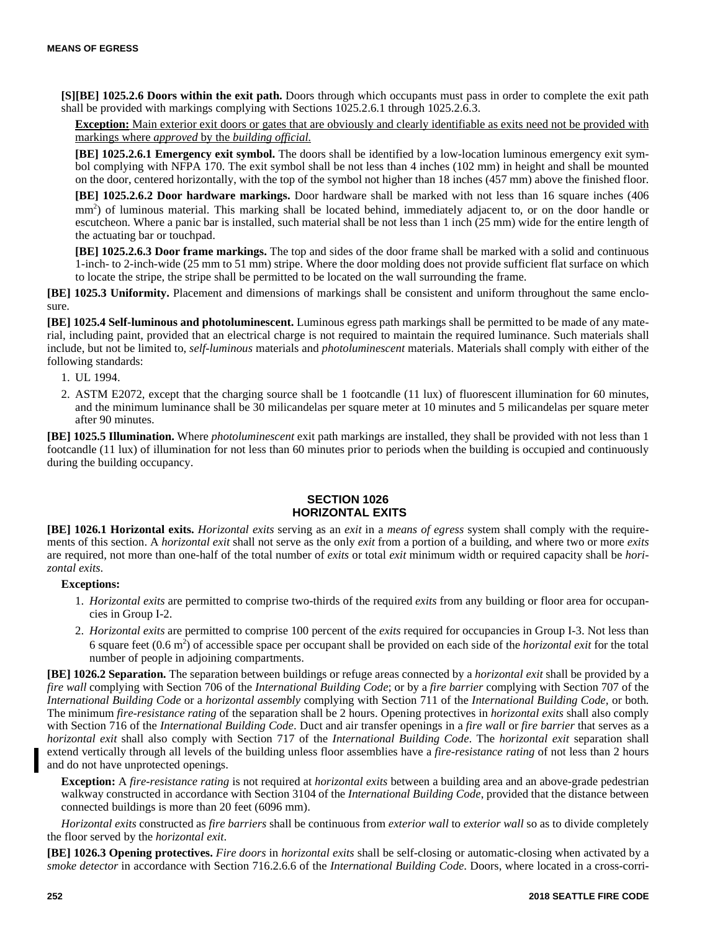**[S][BE] 1025.2.6 Doors within the exit path.** Doors through which occupants must pass in order to complete the exit path shall be provided with markings complying with Sections 1025.2.6.1 through 1025.2.6.3.

**Exception:** Main exterior exit doors or gates that are obviously and clearly identifiable as exits need not be provided with markings where *approved* by the *building official.*

**[BE] 1025.2.6.1 Emergency exit symbol.** The doors shall be identified by a low-location luminous emergency exit symbol complying with NFPA 170. The exit symbol shall be not less than 4 inches (102 mm) in height and shall be mounted on the door, centered horizontally, with the top of the symbol not higher than 18 inches (457 mm) above the finished floor.

**[BE] 1025.2.6.2 Door hardware markings.** Door hardware shall be marked with not less than 16 square inches (406 mm<sup>2</sup>) of luminous material. This marking shall be located behind, immediately adjacent to, or on the door handle or escutcheon. Where a panic bar is installed, such material shall be not less than 1 inch (25 mm) wide for the entire length of the actuating bar or touchpad.

**[BE] 1025.2.6.3 Door frame markings.** The top and sides of the door frame shall be marked with a solid and continuous 1-inch- to 2-inch-wide (25 mm to 51 mm) stripe. Where the door molding does not provide sufficient flat surface on which to locate the stripe, the stripe shall be permitted to be located on the wall surrounding the frame.

**[BE] 1025.3 Uniformity.** Placement and dimensions of markings shall be consistent and uniform throughout the same enclosure.

**[BE] 1025.4 Self-luminous and photoluminescent.** Luminous egress path markings shall be permitted to be made of any material, including paint, provided that an electrical charge is not required to maintain the required luminance. Such materials shall include, but not be limited to, *self-luminous* materials and *photoluminescent* materials. Materials shall comply with either of the following standards:

- 1. UL 1994.
- 2. ASTM E2072, except that the charging source shall be 1 footcandle (11 lux) of fluorescent illumination for 60 minutes, and the minimum luminance shall be 30 milicandelas per square meter at 10 minutes and 5 milicandelas per square meter after 90 minutes.

**[BE] 1025.5 Illumination.** Where *photoluminescent* exit path markings are installed, they shall be provided with not less than 1 footcandle (11 lux) of illumination for not less than 60 minutes prior to periods when the building is occupied and continuously during the building occupancy.

# **SECTION 1026 HORIZONTAL EXITS**

**[BE] 1026.1 Horizontal exits.** *Horizontal exits* serving as an *exit* in a *means of egress* system shall comply with the requirements of this section. A *horizontal exit* shall not serve as the only *exit* from a portion of a building, and where two or more *exits* are required, not more than one-half of the total number of *exits* or total *exit* minimum width or required capacity shall be *horizontal exits*.

# **Exceptions:**

- 1. *Horizontal exits* are permitted to comprise two-thirds of the required *exits* from any building or floor area for occupancies in Group I-2.
- 2. *Horizontal exits* are permitted to comprise 100 percent of the *exits* required for occupancies in Group I-3. Not less than 6 square feet  $(0.6 \text{ m}^2)$  of accessible space per occupant shall be provided on each side of the *horizontal exit* for the total number of people in adjoining compartments.

**[BE] 1026.2 Separation.** The separation between buildings or refuge areas connected by a *horizontal exit* shall be provided by a *fire wall* complying with Section 706 of the *International Building Code*; or by a *fire barrier* complying with Section 707 of the *International Building Code* or a *horizontal assembly* complying with Section 711 of the *International Building Code,* or both. The minimum *fire-resistance rating* of the separation shall be 2 hours. Opening protectives in *horizontal exits* shall also comply with Section 716 of the *International Building Code*. Duct and air transfer openings in a *fire wall* or *fire barrier* that serves as a *horizontal exit* shall also comply with Section 717 of the *International Building Code*. The *horizontal exit* separation shall extend vertically through all levels of the building unless floor assemblies have a *fire-resistance rating* of not less than 2 hours and do not have unprotected openings.

**Exception:** A *fire-resistance rating* is not required at *horizontal exits* between a building area and an above-grade pedestrian walkway constructed in accordance with Section 3104 of the *International Building Code*, provided that the distance between connected buildings is more than 20 feet (6096 mm).

*Horizontal exits* constructed as *fire barriers* shall be continuous from *exterior wall* to *exterior wall* so as to divide completely the floor served by the *horizontal exit*.

**[BE] 1026.3 Opening protectives.** *Fire doors* in *horizontal exits* shall be self-closing or automatic-closing when activated by a *smoke detector* in accordance with Section 716.2.6.6 of the *International Building Code*. Doors, where located in a cross-corri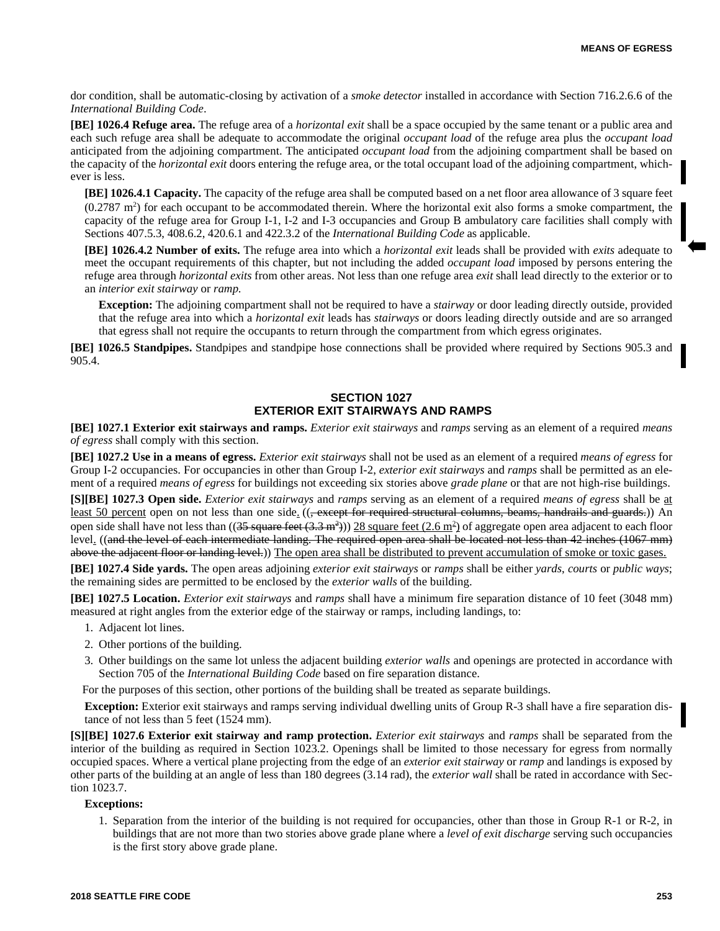dor condition, shall be automatic-closing by activation of a *smoke detector* installed in accordance with Section 716.2.6.6 of the *International Building Code*.

**[BE] 1026.4 Refuge area.** The refuge area of a *horizontal exit* shall be a space occupied by the same tenant or a public area and each such refuge area shall be adequate to accommodate the original *occupant load* of the refuge area plus the *occupant load* anticipated from the adjoining compartment. The anticipated *occupant load* from the adjoining compartment shall be based on the capacity of the *horizontal exit* doors entering the refuge area, or the total occupant load of the adjoining compartment, whichever is less.

**[BE] 1026.4.1 Capacity.** The capacity of the refuge area shall be computed based on a net floor area allowance of 3 square feet  $(0.2787 \text{ m}^2)$  for each occupant to be accommodated therein. Where the horizontal exit also forms a smoke compartment, the capacity of the refuge area for Group I-1, I-2 and I-3 occupancies and Group B ambulatory care facilities shall comply with Sections 407.5.3, 408.6.2, 420.6.1 and 422.3.2 of the *International Building Code* as applicable.

**[BE] 1026.4.2 Number of exits.** The refuge area into which a *horizontal exit* leads shall be provided with *exits* adequate to meet the occupant requirements of this chapter, but not including the added *occupant load* imposed by persons entering the refuge area through *horizontal exits* from other areas. Not less than one refuge area *exit* shall lead directly to the exterior or to an *interior exit stairway* or *ramp*.

**Exception:** The adjoining compartment shall not be required to have a *stairway* or door leading directly outside, provided that the refuge area into which a *horizontal exit* leads has *stairways* or doors leading directly outside and are so arranged that egress shall not require the occupants to return through the compartment from which egress originates.

**[BE] 1026.5 Standpipes.** Standpipes and standpipe hose connections shall be provided where required by Sections 905.3 and 905.4.

# **SECTION 1027 EXTERIOR EXIT STAIRWAYS AND RAMPS**

**[BE] 1027.1 Exterior exit stairways and ramps.** *Exterior exit stairways* and *ramps* serving as an element of a required *means of egress* shall comply with this section.

**[BE] 1027.2 Use in a means of egress.** *Exterior exit stairways* shall not be used as an element of a required *means of egress* for Group I-2 occupancies. For occupancies in other than Group I-2, *exterior exit stairways* and *ramps* shall be permitted as an element of a required *means of egress* for buildings not exceeding six stories above *grade plane* or that are not high-rise buildings.

**[S][BE] 1027.3 Open side.** *Exterior exit stairways* and *ramps* serving as an element of a required *means of egress* shall be at least 50 percent open on not less than one side. ((<del>, except for required structural columns, beams, handrails and guards.</del>)) An open side shall have not less than  $((35 \text{ square feet } (3.3 \text{ m}^2))$  28 square feet  $(2.6 \text{ m}^2)$  of aggregate open area adjacent to each floor level. ((and the level of each intermediate landing. The required open area shall be located not less than 42 inches (1067 mm) above the adjacent floor or landing level.)) The open area shall be distributed to prevent accumulation of smoke or toxic gases.

**[BE] 1027.4 Side yards.** The open areas adjoining *exterior exit stairways* or *ramps* shall be either *yards*, *courts* or *public ways*; the remaining sides are permitted to be enclosed by the *exterior walls* of the building.

**[BE] 1027.5 Location.** *Exterior exit stairways* and *ramps* shall have a minimum fire separation distance of 10 feet (3048 mm) measured at right angles from the exterior edge of the stairway or ramps, including landings, to:

- 1. Adjacent lot lines.
- 2. Other portions of the building.
- 3. Other buildings on the same lot unless the adjacent building *exterior walls* and openings are protected in accordance with Section 705 of the *International Building Code* based on fire separation distance.

For the purposes of this section, other portions of the building shall be treated as separate buildings.

**Exception:** Exterior exit stairways and ramps serving individual dwelling units of Group R-3 shall have a fire separation distance of not less than 5 feet (1524 mm).

**[S][BE] 1027.6 Exterior exit stairway and ramp protection.** *Exterior exit stairways* and *ramps* shall be separated from the interior of the building as required in Section 1023.2. Openings shall be limited to those necessary for egress from normally occupied spaces. Where a vertical plane projecting from the edge of an *exterior exit stairway* or *ramp* and landings is exposed by other parts of the building at an angle of less than 180 degrees (3.14 rad), the *exterior wall* shall be rated in accordance with Section 1023.7.

#### **Exceptions:**

1. Separation from the interior of the building is not required for occupancies, other than those in Group R-1 or R-2, in buildings that are not more than two stories above grade plane where a *level of exit discharge* serving such occupancies is the first story above grade plane.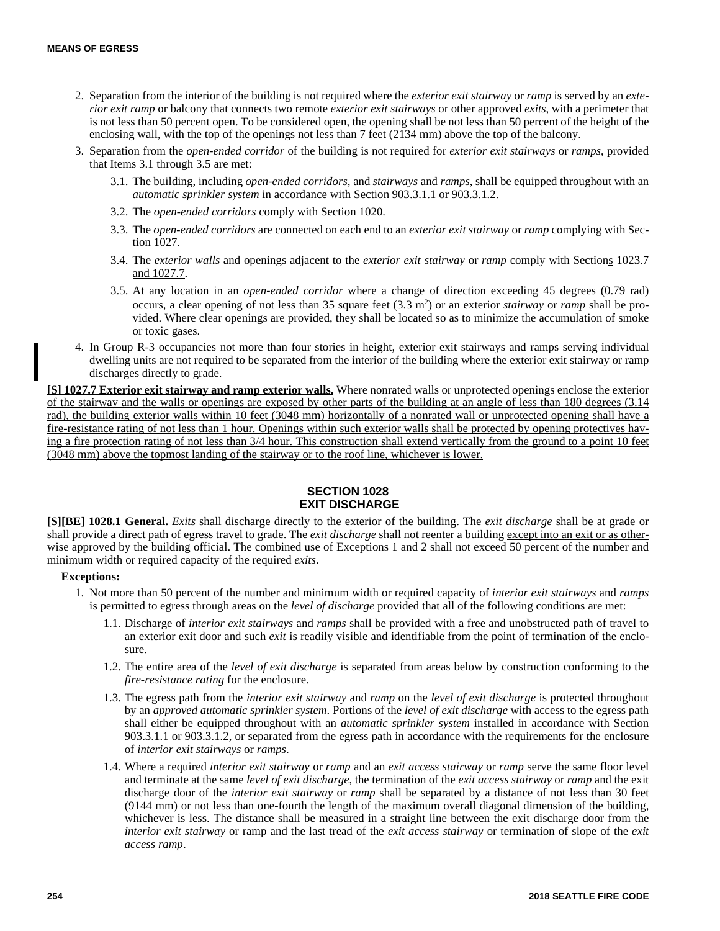- 2. Separation from the interior of the building is not required where the *exterior exit stairway* or *ramp* is served by an *exterior exit ramp* or balcony that connects two remote *exterior exit stairways* or other approved *exits*, with a perimeter that is not less than 50 percent open. To be considered open, the opening shall be not less than 50 percent of the height of the enclosing wall, with the top of the openings not less than 7 feet (2134 mm) above the top of the balcony.
- 3. Separation from the *open-ended corridor* of the building is not required for *exterior exit stairways* or *ramps*, provided that Items 3.1 through 3.5 are met:
	- 3.1. The building, including *open-ended corridors*, and *stairways* and *ramps*, shall be equipped throughout with an *automatic sprinkler system* in accordance with Section 903.3.1.1 or 903.3.1.2.
	- 3.2. The *open-ended corridors* comply with Section 1020.
	- 3.3. The *open-ended corridors* are connected on each end to an *exterior exit stairway* or *ramp* complying with Section 1027.
	- 3.4. The *exterior walls* and openings adjacent to the *exterior exit stairway* or *ramp* comply with Sections 1023.7 and 1027.7.
	- 3.5. At any location in an *open-ended corridor* where a change of direction exceeding 45 degrees (0.79 rad) occurs, a clear opening of not less than 35 square feet  $(3.3 \text{ m}^2)$  or an exterior *stairway* or *ramp* shall be provided. Where clear openings are provided, they shall be located so as to minimize the accumulation of smoke or toxic gases.
- 4. In Group R-3 occupancies not more than four stories in height, exterior exit stairways and ramps serving individual dwelling units are not required to be separated from the interior of the building where the exterior exit stairway or ramp discharges directly to grade.

**[S] 1027.7 Exterior exit stairway and ramp exterior walls.** Where nonrated walls or unprotected openings enclose the exterior of the stairway and the walls or openings are exposed by other parts of the building at an angle of less than 180 degrees (3.14 rad), the building exterior walls within 10 feet (3048 mm) horizontally of a nonrated wall or unprotected opening shall have a fire-resistance rating of not less than 1 hour. Openings within such exterior walls shall be protected by opening protectives having a fire protection rating of not less than 3/4 hour. This construction shall extend vertically from the ground to a point 10 feet (3048 mm) above the topmost landing of the stairway or to the roof line, whichever is lower.

# **SECTION 1028 EXIT DISCHARGE**

**[S][BE] 1028.1 General.** *Exits* shall discharge directly to the exterior of the building. The *exit discharge* shall be at grade or shall provide a direct path of egress travel to grade. The *exit discharge* shall not reenter a building except into an exit or as otherwise approved by the building official. The combined use of Exceptions 1 and 2 shall not exceed 50 percent of the number and minimum width or required capacity of the required *exits*.

- 1. Not more than 50 percent of the number and minimum width or required capacity of *interior exit stairways* and *ramps* is permitted to egress through areas on the *level of discharge* provided that all of the following conditions are met:
	- 1.1. Discharge of *interior exit stairways* and *ramps* shall be provided with a free and unobstructed path of travel to an exterior exit door and such *exit* is readily visible and identifiable from the point of termination of the enclosure.
	- 1.2. The entire area of the *level of exit discharge* is separated from areas below by construction conforming to the *fire-resistance rating* for the enclosure.
	- 1.3. The egress path from the *interior exit stairway* and *ramp* on the *level of exit discharge* is protected throughout by an *approved automatic sprinkler system*. Portions of the *level of exit discharge* with access to the egress path shall either be equipped throughout with an *automatic sprinkler system* installed in accordance with Section 903.3.1.1 or 903.3.1.2, or separated from the egress path in accordance with the requirements for the enclosure of *interior exit stairways* or *ramps*.
	- 1.4. Where a required *interior exit stairway* or *ramp* and an *exit access stairway* or *ramp* serve the same floor level and terminate at the same *level of exit discharge*, the termination of the *exit access stairway* or *ramp* and the exit discharge door of the *interior exit stairway* or *ramp* shall be separated by a distance of not less than 30 feet (9144 mm) or not less than one-fourth the length of the maximum overall diagonal dimension of the building, whichever is less. The distance shall be measured in a straight line between the exit discharge door from the *interior exit stairway* or ramp and the last tread of the *exit access stairway* or termination of slope of the *exit access ramp*.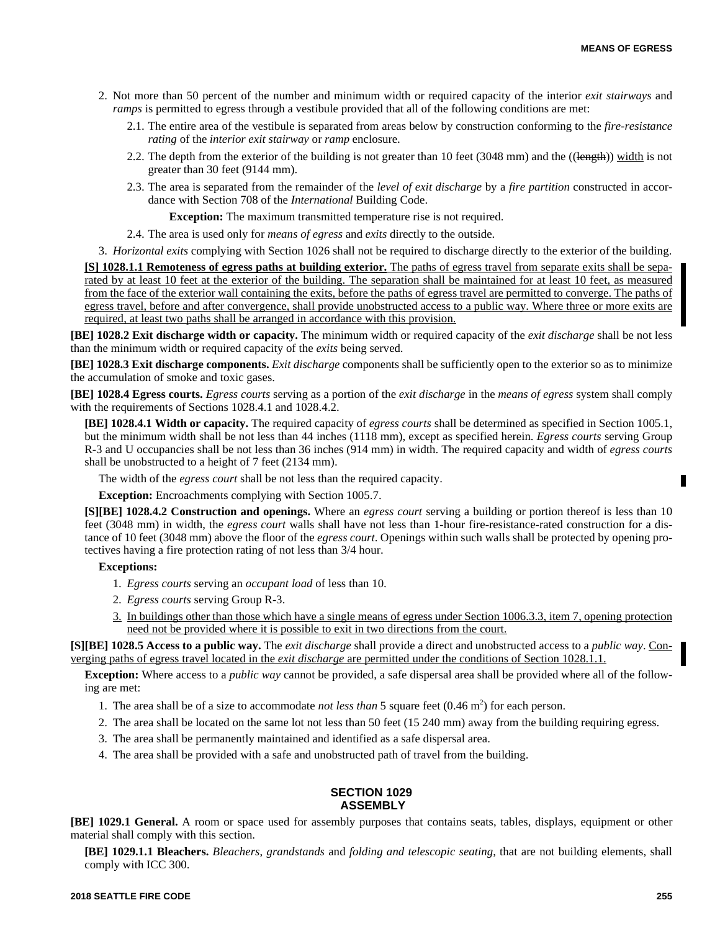- 2. Not more than 50 percent of the number and minimum width or required capacity of the interior *exit stairways* and *ramps* is permitted to egress through a vestibule provided that all of the following conditions are met:
	- 2.1. The entire area of the vestibule is separated from areas below by construction conforming to the *fire-resistance rating* of the *interior exit stairway* or *ramp* enclosure.
	- 2.2. The depth from the exterior of the building is not greater than 10 feet (3048 mm) and the ((length)) width is not greater than 30 feet (9144 mm).
	- 2.3. The area is separated from the remainder of the *level of exit discharge* by a *fire partition* constructed in accordance with Section 708 of the *International* Building Code.

**Exception:** The maximum transmitted temperature rise is not required.

2.4. The area is used only for *means of egress* and *exits* directly to the outside.

3. *Horizontal exits* complying with Section 1026 shall not be required to discharge directly to the exterior of the building.

**[S] 1028.1.1 Remoteness of egress paths at building exterior.** The paths of egress travel from separate exits shall be separated by at least 10 feet at the exterior of the building. The separation shall be maintained for at least 10 feet, as measured from the face of the exterior wall containing the exits, before the paths of egress travel are permitted to converge. The paths of egress travel, before and after convergence, shall provide unobstructed access to a public way. Where three or more exits are required, at least two paths shall be arranged in accordance with this provision.

**[BE] 1028.2 Exit discharge width or capacity.** The minimum width or required capacity of the *exit discharge* shall be not less than the minimum width or required capacity of the *exits* being served.

**[BE] 1028.3 Exit discharge components.** *Exit discharge* components shall be sufficiently open to the exterior so as to minimize the accumulation of smoke and toxic gases.

**[BE] 1028.4 Egress courts.** *Egress courts* serving as a portion of the *exit discharge* in the *means of egress* system shall comply with the requirements of Sections 1028.4.1 and 1028.4.2.

**[BE] 1028.4.1 Width or capacity.** The required capacity of *egress courts* shall be determined as specified in Section 1005.1, but the minimum width shall be not less than 44 inches (1118 mm), except as specified herein. *Egress courts* serving Group R-3 and U occupancies shall be not less than 36 inches (914 mm) in width. The required capacity and width of *egress courts* shall be unobstructed to a height of 7 feet (2134 mm).

The width of the *egress court* shall be not less than the required capacity.

**Exception:** Encroachments complying with Section 1005.7.

**[S][BE] 1028.4.2 Construction and openings.** Where an *egress court* serving a building or portion thereof is less than 10 feet (3048 mm) in width, the *egress court* walls shall have not less than 1-hour fire-resistance-rated construction for a distance of 10 feet (3048 mm) above the floor of the *egress court*. Openings within such walls shall be protected by opening protectives having a fire protection rating of not less than 3/4 hour.

# **Exceptions:**

- 1. *Egress courts* serving an *occupant load* of less than 10.
- 2. *Egress courts* serving Group R-3.
- 3. In buildings other than those which have a single means of egress under Section 1006.3.3, item 7, opening protection need not be provided where it is possible to exit in two directions from the court.

**[S][BE] 1028.5 Access to a public way.** The *exit discharge* shall provide a direct and unobstructed access to a *public way*. Converging paths of egress travel located in the *exit discharge* are permitted under the conditions of Section 1028.1.1.

**Exception:** Where access to a *public way* cannot be provided, a safe dispersal area shall be provided where all of the following are met:

- 1. The area shall be of a size to accommodate *not less than* 5 square feet (0.46 m<sup>2</sup>) for each person.
- 2. The area shall be located on the same lot not less than 50 feet (15 240 mm) away from the building requiring egress.
- 3. The area shall be permanently maintained and identified as a safe dispersal area.
- 4. The area shall be provided with a safe and unobstructed path of travel from the building.

#### **SECTION 1029 ASSEMBLY**

**[BE] 1029.1 General.** A room or space used for assembly purposes that contains seats, tables, displays, equipment or other material shall comply with this section.

**[BE] 1029.1.1 Bleachers.** *Bleachers*, *grandstands* and *folding and telescopic seating*, that are not building elements, shall comply with ICC 300.

Π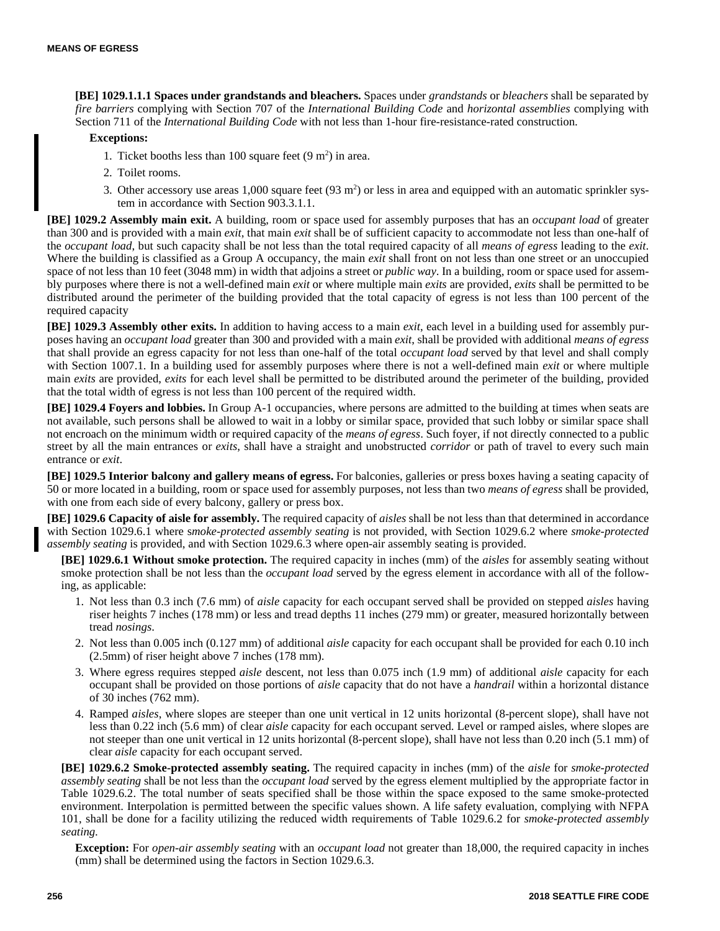**[BE] 1029.1.1.1 Spaces under grandstands and bleachers.** Spaces under *grandstands* or *bleachers* shall be separated by *fire barriers* complying with Section 707 of the *International Building Code* and *horizontal assemblies* complying with Section 711 of the *International Building Code* with not less than 1-hour fire-resistance-rated construction.

#### **Exceptions:**

- 1. Ticket booths less than 100 square feet  $(9 \text{ m}^2)$  in area.
- 2. Toilet rooms.
- 3. Other accessory use areas  $1,000$  square feet (93 m<sup>2</sup>) or less in area and equipped with an automatic sprinkler system in accordance with Section 903.3.1.1.

**[BE] 1029.2 Assembly main exit.** A building, room or space used for assembly purposes that has an *occupant load* of greater than 300 and is provided with a main *exit*, that main *exit* shall be of sufficient capacity to accommodate not less than one-half of the *occupant load*, but such capacity shall be not less than the total required capacity of all *means of egress* leading to the *exit*. Where the building is classified as a Group A occupancy, the main *exit* shall front on not less than one street or an unoccupied space of not less than 10 feet (3048 mm) in width that adjoins a street or *public way*. In a building, room or space used for assembly purposes where there is not a well-defined main *exit* or where multiple main *exits* are provided, *exits* shall be permitted to be distributed around the perimeter of the building provided that the total capacity of egress is not less than 100 percent of the required capacity

**[BE] 1029.3 Assembly other exits.** In addition to having access to a main *exit*, each level in a building used for assembly purposes having an *occupant load* greater than 300 and provided with a main *exit*, shall be provided with additional *means of egress* that shall provide an egress capacity for not less than one-half of the total *occupant load* served by that level and shall comply with Section 1007.1. In a building used for assembly purposes where there is not a well-defined main *exit* or where multiple main *exits* are provided, *exits* for each level shall be permitted to be distributed around the perimeter of the building, provided that the total width of egress is not less than 100 percent of the required width.

**[BE] 1029.4 Foyers and lobbies.** In Group A-1 occupancies, where persons are admitted to the building at times when seats are not available, such persons shall be allowed to wait in a lobby or similar space, provided that such lobby or similar space shall not encroach on the minimum width or required capacity of the *means of egress*. Such foyer, if not directly connected to a public street by all the main entrances or *exits*, shall have a straight and unobstructed *corridor* or path of travel to every such main entrance or *exit*.

**[BE] 1029.5 Interior balcony and gallery means of egress.** For balconies, galleries or press boxes having a seating capacity of 50 or more located in a building, room or space used for assembly purposes, not less than two *means of egress* shall be provided, with one from each side of every balcony, gallery or press box.

**[BE] 1029.6 Capacity of aisle for assembly.** The required capacity of *aisles* shall be not less than that determined in accordance with Section 1029.6.1 where s*moke-protected assembly seating* is not provided, with Section 1029.6.2 where *smoke-protected assembly seating* is provided, and with Section 1029.6.3 where open-air assembly seating is provided.

**[BE] 1029.6.1 Without smoke protection.** The required capacity in inches (mm) of the *aisles* for assembly seating without smoke protection shall be not less than the *occupant load* served by the egress element in accordance with all of the following, as applicable:

- 1. Not less than 0.3 inch (7.6 mm) of *aisle* capacity for each occupant served shall be provided on stepped *aisles* having riser heights 7 inches (178 mm) or less and tread depths 11 inches (279 mm) or greater, measured horizontally between tread *nosings*.
- 2. Not less than 0.005 inch (0.127 mm) of additional *aisle* capacity for each occupant shall be provided for each 0.10 inch (2.5mm) of riser height above 7 inches (178 mm).
- 3. Where egress requires stepped *aisle* descent, not less than 0.075 inch (1.9 mm) of additional *aisle* capacity for each occupant shall be provided on those portions of *aisle* capacity that do not have a *handrail* within a horizontal distance of 30 inches (762 mm).
- 4. Ramped *aisles*, where slopes are steeper than one unit vertical in 12 units horizontal (8-percent slope), shall have not less than 0.22 inch (5.6 mm) of clear *aisle* capacity for each occupant served. Level or ramped aisles, where slopes are not steeper than one unit vertical in 12 units horizontal (8-percent slope), shall have not less than 0.20 inch (5.1 mm) of clear *aisle* capacity for each occupant served.

**[BE] 1029.6.2 Smoke-protected assembly seating.** The required capacity in inches (mm) of the *aisle* for *smoke-protected assembly seating* shall be not less than the *occupant load* served by the egress element multiplied by the appropriate factor in Table 1029.6.2. The total number of seats specified shall be those within the space exposed to the same smoke-protected environment. Interpolation is permitted between the specific values shown. A life safety evaluation, complying with NFPA 101, shall be done for a facility utilizing the reduced width requirements of Table 1029.6.2 for *smoke-protected assembly seating*.

**Exception:** For *open-air assembly seating* with an *occupant load* not greater than 18,000, the required capacity in inches (mm) shall be determined using the factors in Section 1029.6.3.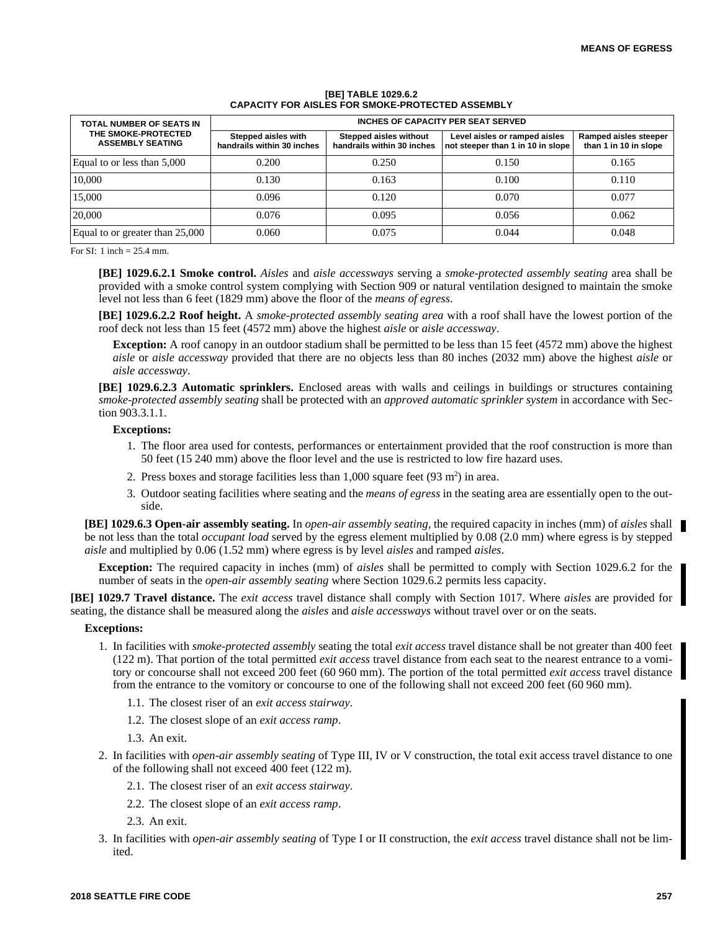| TOTAL NUMBER OF SEATS IN<br>THE SMOKE-PROTECTED<br><b>ASSEMBLY SEATING</b> | INCHES OF CAPACITY PER SEAT SERVED                |                                                      |                                                                    |                                                |  |
|----------------------------------------------------------------------------|---------------------------------------------------|------------------------------------------------------|--------------------------------------------------------------------|------------------------------------------------|--|
|                                                                            | Stepped aisles with<br>handrails within 30 inches | Stepped aisles without<br>handrails within 30 inches | Level aisles or ramped aisles<br>not steeper than 1 in 10 in slope | Ramped aisles steeper<br>than 1 in 10 in slope |  |
| Equal to or less than 5,000                                                | 0.200                                             | 0.250                                                | 0.150                                                              | 0.165                                          |  |
| 10.000                                                                     | 0.130                                             | 0.163                                                | 0.100                                                              | 0.110                                          |  |
| 15,000                                                                     | 0.096                                             | 0.120                                                | 0.070                                                              | 0.077                                          |  |
| 20,000                                                                     | 0.076                                             | 0.095                                                | 0.056                                                              | 0.062                                          |  |
| Equal to or greater than 25,000                                            | 0.060                                             | 0.075                                                | 0.044                                                              | 0.048                                          |  |

#### **[BE] TABLE 1029.6.2 CAPACITY FOR AISLES FOR SMOKE-PROTECTED ASSEMBLY**

For SI: 1 inch = 25.4 mm.

**[BE] 1029.6.2.1 Smoke control.** *Aisles* and *aisle accessways* serving a *smoke-protected assembly seating* area shall be provided with a smoke control system complying with Section 909 or natural ventilation designed to maintain the smoke level not less than 6 feet (1829 mm) above the floor of the *means of egress*.

**[BE] 1029.6.2.2 Roof height.** A *smoke-protected assembly seating area* with a roof shall have the lowest portion of the roof deck not less than 15 feet (4572 mm) above the highest *aisle* or *aisle accessway*.

**Exception:** A roof canopy in an outdoor stadium shall be permitted to be less than 15 feet (4572 mm) above the highest *aisle* or *aisle accessway* provided that there are no objects less than 80 inches (2032 mm) above the highest *aisle* or *aisle accessway*.

**[BE] 1029.6.2.3 Automatic sprinklers.** Enclosed areas with walls and ceilings in buildings or structures containing *smoke-protected assembly seating* shall be protected with an *approved automatic sprinkler system* in accordance with Section 903.3.1.1.

#### **Exceptions:**

- 1. The floor area used for contests, performances or entertainment provided that the roof construction is more than 50 feet (15 240 mm) above the floor level and the use is restricted to low fire hazard uses.
- 2. Press boxes and storage facilities less than  $1,000$  square feet  $(93 \text{ m}^2)$  in area.
- 3. Outdoor seating facilities where seating and the *means of egress* in the seating area are essentially open to the outside.

**[BE] 1029.6.3 Open-air assembly seating.** In *open-air assembly seating,* the required capacity in inches (mm) of *aisles* shall be not less than the total *occupant load* served by the egress element multiplied by 0.08 (2.0 mm) where egress is by stepped *aisle* and multiplied by 0.06 (1.52 mm) where egress is by level *aisles* and ramped *aisles*.

**Exception:** The required capacity in inches (mm) of *aisles* shall be permitted to comply with Section 1029.6.2 for the number of seats in the *open-air assembly seating* where Section 1029.6.2 permits less capacity.

**[BE] 1029.7 Travel distance.** The *exit access* travel distance shall comply with Section 1017. Where *aisles* are provided for seating, the distance shall be measured along the *aisles* and *aisle accessways* without travel over or on the seats.

- 1. In facilities with *smoke-protected assembly* seating the total *exit access* travel distance shall be not greater than 400 feet (122 m). That portion of the total permitted *exit access* travel distance from each seat to the nearest entrance to a vomitory or concourse shall not exceed 200 feet (60 960 mm). The portion of the total permitted *exit access* travel distance from the entrance to the vomitory or concourse to one of the following shall not exceed 200 feet (60 960 mm).
	- 1.1. The closest riser of an *exit access stairway*.
	- 1.2. The closest slope of an *exit access ramp*.
	- 1.3. An exit.
- 2. In facilities with *open-air assembly seating* of Type III, IV or V construction, the total exit access travel distance to one of the following shall not exceed 400 feet (122 m).
	- 2.1. The closest riser of an *exit access stairway*.
	- 2.2. The closest slope of an *exit access ramp*.
	- 2.3. An exit.
- 3. In facilities with *open-air assembly seating* of Type I or II construction, the *exit access* travel distance shall not be limited.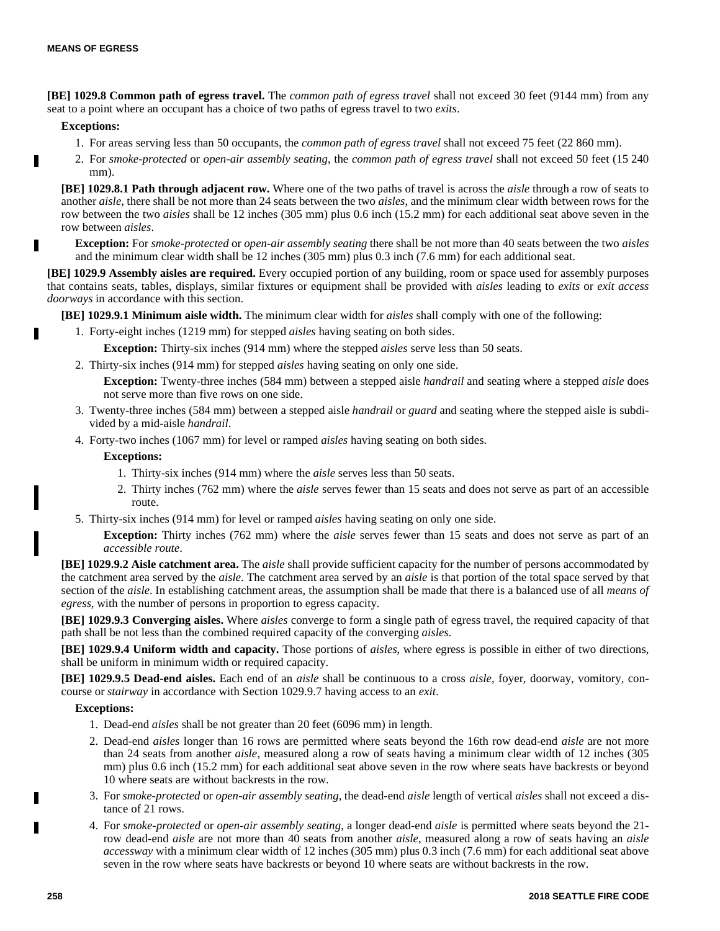**[BE] 1029.8 Common path of egress travel.** The *common path of egress travel* shall not exceed 30 feet (9144 mm) from any seat to a point where an occupant has a choice of two paths of egress travel to two *exits*.

#### **Exceptions:**

H

- 1. For areas serving less than 50 occupants, the *common path of egress travel* shall not exceed 75 feet (22 860 mm).
- 2. For *smoke-protected* or *open-air assembly seating*, the *common path of egress travel* shall not exceed 50 feet (15 240 mm).

**[BE] 1029.8.1 Path through adjacent row.** Where one of the two paths of travel is across the *aisle* through a row of seats to another *aisle*, there shall be not more than 24 seats between the two *aisles*, and the minimum clear width between rows for the row between the two *aisles* shall be 12 inches (305 mm) plus 0.6 inch (15.2 mm) for each additional seat above seven in the row between *aisles*.

**Exception:** For *smoke-protected* or *open-air assembly seating* there shall be not more than 40 seats between the two *aisles* and the minimum clear width shall be 12 inches (305 mm) plus 0.3 inch (7.6 mm) for each additional seat.

**[BE] 1029.9 Assembly aisles are required.** Every occupied portion of any building, room or space used for assembly purposes that contains seats, tables, displays, similar fixtures or equipment shall be provided with *aisles* leading to *exits* or *exit access doorways* in accordance with this section.

**[BE] 1029.9.1 Minimum aisle width.** The minimum clear width for *aisles* shall comply with one of the following:

1. Forty-eight inches (1219 mm) for stepped *aisles* having seating on both sides.

**Exception:** Thirty-six inches (914 mm) where the stepped *aisles* serve less than 50 seats.

2. Thirty-six inches (914 mm) for stepped *aisles* having seating on only one side.

**Exception:** Twenty-three inches (584 mm) between a stepped aisle *handrail* and seating where a stepped *aisle* does not serve more than five rows on one side.

- 3. Twenty-three inches (584 mm) between a stepped aisle *handrail* or *guard* and seating where the stepped aisle is subdivided by a mid-aisle *handrail*.
- 4. Forty-two inches (1067 mm) for level or ramped *aisles* having seating on both sides.

#### **Exceptions:**

- 1. Thirty-six inches (914 mm) where the *aisle* serves less than 50 seats.
- 2. Thirty inches (762 mm) where the *aisle* serves fewer than 15 seats and does not serve as part of an accessible route.
- 5. Thirty-six inches (914 mm) for level or ramped *aisles* having seating on only one side.

**Exception:** Thirty inches (762 mm) where the *aisle* serves fewer than 15 seats and does not serve as part of an *accessible route*.

**[BE] 1029.9.2 Aisle catchment area.** The *aisle* shall provide sufficient capacity for the number of persons accommodated by the catchment area served by the *aisle*. The catchment area served by an *aisle* is that portion of the total space served by that section of the *aisle*. In establishing catchment areas, the assumption shall be made that there is a balanced use of all *means of egress*, with the number of persons in proportion to egress capacity.

**[BE] 1029.9.3 Converging aisles.** Where *aisles* converge to form a single path of egress travel, the required capacity of that path shall be not less than the combined required capacity of the converging *aisles*.

**[BE] 1029.9.4 Uniform width and capacity.** Those portions of *aisles*, where egress is possible in either of two directions, shall be uniform in minimum width or required capacity.

**[BE] 1029.9.5 Dead-end aisles.** Each end of an *aisle* shall be continuous to a cross *aisle*, foyer, doorway, vomitory, concourse or *stairway* in accordance with Section 1029.9.7 having access to an *exit*.

- 1. Dead-end *aisles* shall be not greater than 20 feet (6096 mm) in length.
- 2. Dead-end *aisles* longer than 16 rows are permitted where seats beyond the 16th row dead-end *aisle* are not more than 24 seats from another *aisle*, measured along a row of seats having a minimum clear width of 12 inches (305 mm) plus 0.6 inch (15.2 mm) for each additional seat above seven in the row where seats have backrests or beyond 10 where seats are without backrests in the row.
- 3. For *smoke-protected* or *open-air assembly seating*, the dead-end *aisle* length of vertical *aisles* shall not exceed a distance of 21 rows.
- 4. For *smoke-protected* or *open-air assembly seating*, a longer dead-end *aisle* is permitted where seats beyond the 21 row dead-end *aisle* are not more than 40 seats from another *aisle*, measured along a row of seats having an *aisle accessway* with a minimum clear width of 12 inches (305 mm) plus 0.3 inch (7.6 mm) for each additional seat above seven in the row where seats have backrests or beyond 10 where seats are without backrests in the row.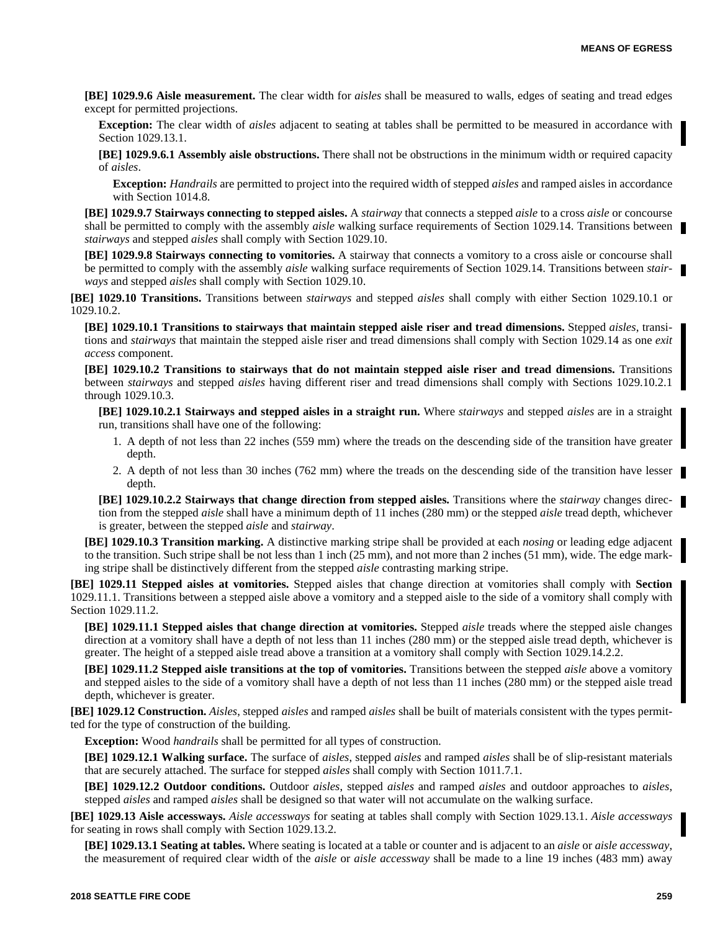**[BE] 1029.9.6 Aisle measurement.** The clear width for *aisles* shall be measured to walls, edges of seating and tread edges except for permitted projections.

**Exception:** The clear width of *aisles* adjacent to seating at tables shall be permitted to be measured in accordance with Section 1029.13.1.

**[BE] 1029.9.6.1 Assembly aisle obstructions.** There shall not be obstructions in the minimum width or required capacity of *aisles*.

**Exception:** *Handrails* are permitted to project into the required width of stepped *aisles* and ramped aisles in accordance with Section 1014.8.

**[BE] 1029.9.7 Stairways connecting to stepped aisles.** A *stairway* that connects a stepped *aisle* to a cross *aisle* or concourse shall be permitted to comply with the assembly *aisle* walking surface requirements of Section 1029.14. Transitions between *stairways* and stepped *aisles* shall comply with Section 1029.10.

**[BE] 1029.9.8 Stairways connecting to vomitories.** A stairway that connects a vomitory to a cross aisle or concourse shall be permitted to comply with the assembly *aisle* walking surface requirements of Section 1029.14. Transitions between *stairways* and stepped *aisles* shall comply with Section 1029.10.

**[BE] 1029.10 Transitions.** Transitions between *stairways* and stepped *aisles* shall comply with either Section 1029.10.1 or 1029.10.2.

**[BE] 1029.10.1 Transitions to stairways that maintain stepped aisle riser and tread dimensions.** Stepped *aisles*, transitions and *stairways* that maintain the stepped aisle riser and tread dimensions shall comply with Section 1029.14 as one *exit access* component.

**[BE] 1029.10.2 Transitions to stairways that do not maintain stepped aisle riser and tread dimensions.** Transitions between *stairways* and stepped *aisles* having different riser and tread dimensions shall comply with Sections 1029.10.2.1 through 1029.10.3.

**[BE] 1029.10.2.1 Stairways and stepped aisles in a straight run.** Where *stairways* and stepped *aisles* are in a straight run, transitions shall have one of the following:

- 1. A depth of not less than 22 inches (559 mm) where the treads on the descending side of the transition have greater depth.
- 2. A depth of not less than 30 inches (762 mm) where the treads on the descending side of the transition have lesser depth.

**[BE] 1029.10.2.2 Stairways that change direction from stepped aisles.** Transitions where the *stairway* changes direction from the stepped *aisle* shall have a minimum depth of 11 inches (280 mm) or the stepped *aisle* tread depth, whichever is greater, between the stepped *aisle* and *stairway*.

**[BE] 1029.10.3 Transition marking.** A distinctive marking stripe shall be provided at each *nosing* or leading edge adjacent to the transition. Such stripe shall be not less than 1 inch (25 mm), and not more than 2 inches (51 mm), wide. The edge marking stripe shall be distinctively different from the stepped *aisle* contrasting marking stripe.

**[BE] 1029.11 Stepped aisles at vomitories.** Stepped aisles that change direction at vomitories shall comply with **Section** 1029.11.1. Transitions between a stepped aisle above a vomitory and a stepped aisle to the side of a vomitory shall comply with Section 1029.11.2.

**[BE] 1029.11.1 Stepped aisles that change direction at vomitories.** Stepped *aisle* treads where the stepped aisle changes direction at a vomitory shall have a depth of not less than 11 inches (280 mm) or the stepped aisle tread depth, whichever is greater. The height of a stepped aisle tread above a transition at a vomitory shall comply with Section 1029.14.2.2.

**[BE] 1029.11.2 Stepped aisle transitions at the top of vomitories.** Transitions between the stepped *aisle* above a vomitory and stepped aisles to the side of a vomitory shall have a depth of not less than 11 inches (280 mm) or the stepped aisle tread depth, whichever is greater.

**[BE] 1029.12 Construction.** *Aisles*, stepped *aisles* and ramped *aisles* shall be built of materials consistent with the types permitted for the type of construction of the building.

**Exception:** Wood *handrails* shall be permitted for all types of construction.

**[BE] 1029.12.1 Walking surface.** The surface of *aisles*, stepped *aisles* and ramped *aisles* shall be of slip-resistant materials that are securely attached. The surface for stepped *aisles* shall comply with Section 1011.7.1.

**[BE] 1029.12.2 Outdoor conditions.** Outdoor *aisles*, stepped *aisles* and ramped *aisles* and outdoor approaches to *aisles*, stepped *aisles* and ramped *aisles* shall be designed so that water will not accumulate on the walking surface.

**[BE] 1029.13 Aisle accessways.** *Aisle accessways* for seating at tables shall comply with Section 1029.13.1. *Aisle accessways* for seating in rows shall comply with Section 1029.13.2.

**[BE] 1029.13.1 Seating at tables.** Where seating is located at a table or counter and is adjacent to an *aisle* or *aisle accessway*, the measurement of required clear width of the *aisle* or *aisle accessway* shall be made to a line 19 inches (483 mm) away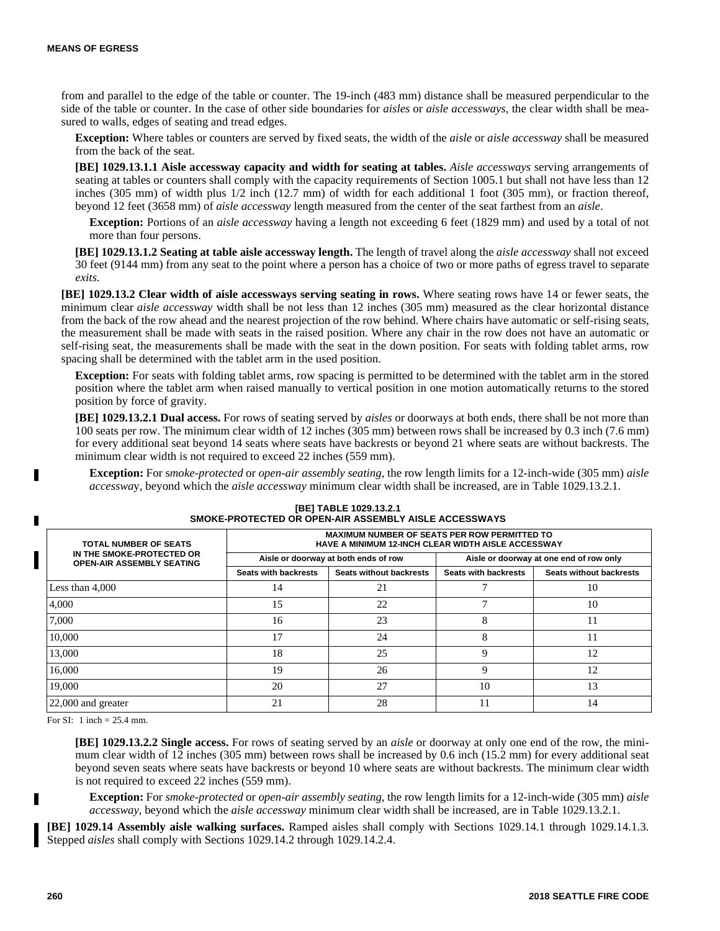from and parallel to the edge of the table or counter. The 19-inch (483 mm) distance shall be measured perpendicular to the side of the table or counter. In the case of other side boundaries for *aisles* or *aisle accessways*, the clear width shall be measured to walls, edges of seating and tread edges.

**Exception:** Where tables or counters are served by fixed seats, the width of the *aisle* or *aisle accessway* shall be measured from the back of the seat.

**[BE] 1029.13.1.1 Aisle accessway capacity and width for seating at tables.** *Aisle accessways* serving arrangements of seating at tables or counters shall comply with the capacity requirements of Section 1005.1 but shall not have less than 12 inches (305 mm) of width plus 1/2 inch (12.7 mm) of width for each additional 1 foot (305 mm), or fraction thereof, beyond 12 feet (3658 mm) of *aisle accessway* length measured from the center of the seat farthest from an *aisle*.

**Exception:** Portions of an *aisle accessway* having a length not exceeding 6 feet (1829 mm) and used by a total of not more than four persons.

**[BE] 1029.13.1.2 Seating at table aisle accessway length.** The length of travel along the *aisle accessway* shall not exceed 30 feet (9144 mm) from any seat to the point where a person has a choice of two or more paths of egress travel to separate *exits*.

**[BE] 1029.13.2 Clear width of aisle accessways serving seating in rows.** Where seating rows have 14 or fewer seats, the minimum clear *aisle accessway* width shall be not less than 12 inches (305 mm) measured as the clear horizontal distance from the back of the row ahead and the nearest projection of the row behind. Where chairs have automatic or self-rising seats, the measurement shall be made with seats in the raised position. Where any chair in the row does not have an automatic or self-rising seat, the measurements shall be made with the seat in the down position. For seats with folding tablet arms, row spacing shall be determined with the tablet arm in the used position.

**Exception:** For seats with folding tablet arms, row spacing is permitted to be determined with the tablet arm in the stored position where the tablet arm when raised manually to vertical position in one motion automatically returns to the stored position by force of gravity.

**[BE] 1029.13.2.1 Dual access.** For rows of seating served by *aisles* or doorways at both ends, there shall be not more than 100 seats per row. The minimum clear width of 12 inches (305 mm) between rows shall be increased by 0.3 inch (7.6 mm) for every additional seat beyond 14 seats where seats have backrests or beyond 21 where seats are without backrests. The minimum clear width is not required to exceed 22 inches (559 mm).

**Exception:** For s*moke-protected* or *open-air assembly seating*, the row length limits for a 12-inch-wide (305 mm) *aisle accesswa*y, beyond which the *aisle accessway* minimum clear width shall be increased, are in Table 1029.13.2.1.

| <b>TOTAL NUMBER OF SEATS</b>                                  | <b>MAXIMUM NUMBER OF SEATS PER ROW PERMITTED TO</b><br><b>HAVE A MINIMUM 12-INCH CLEAR WIDTH AISLE ACCESSWAY</b> |                                      |                                         |                         |  |
|---------------------------------------------------------------|------------------------------------------------------------------------------------------------------------------|--------------------------------------|-----------------------------------------|-------------------------|--|
| IN THE SMOKE-PROTECTED OR<br><b>OPEN-AIR ASSEMBLY SEATING</b> |                                                                                                                  | Aisle or doorway at both ends of row | Aisle or doorway at one end of row only |                         |  |
|                                                               | Seats with backrests                                                                                             | <b>Seats without backrests</b>       | <b>Seats with backrests</b>             | Seats without backrests |  |
| Less than $4,000$                                             | 14                                                                                                               | 21                                   |                                         | 10                      |  |
| 4.000                                                         | 15                                                                                                               | 22                                   | 7                                       | 10                      |  |
| 7,000                                                         | 16                                                                                                               | 23                                   | 8                                       | 11                      |  |
| 10.000                                                        | 17                                                                                                               | 24                                   | 8                                       | 11                      |  |
| 13,000                                                        | 18                                                                                                               | 25                                   | 9                                       | 12                      |  |
| 16,000                                                        | 19                                                                                                               | 26                                   | 9                                       | 12                      |  |
| 19.000                                                        | 20                                                                                                               | 27                                   | 10                                      | 13                      |  |
| $22,000$ and greater                                          | 21                                                                                                               | 28                                   | 11                                      | 14                      |  |

# **[BE] TABLE 1029.13.2.1 SMOKE-PROTECTED OR OPEN-AIR ASSEMBLY AISLE ACCESSWAYS**

For SI: 1 inch  $= 25.4$  mm.

**[BE] 1029.13.2.2 Single access.** For rows of seating served by an *aisle* or doorway at only one end of the row, the minimum clear width of 12 inches (305 mm) between rows shall be increased by 0.6 inch (15.2 mm) for every additional seat beyond seven seats where seats have backrests or beyond 10 where seats are without backrests. The minimum clear width is not required to exceed 22 inches (559 mm).

**Exception:** For *smoke-protected* or *open-air assembly seating*, the row length limits for a 12-inch-wide (305 mm) *aisle accessway*, beyond which the *aisle accessway* minimum clear width shall be increased, are in Table 1029.13.2.1.

**[BE] 1029.14 Assembly aisle walking surfaces.** Ramped aisles shall comply with Sections 1029.14.1 through 1029.14.1.3. Stepped *aisles* shall comply with Sections 1029.14.2 through 1029.14.2.4.

П

П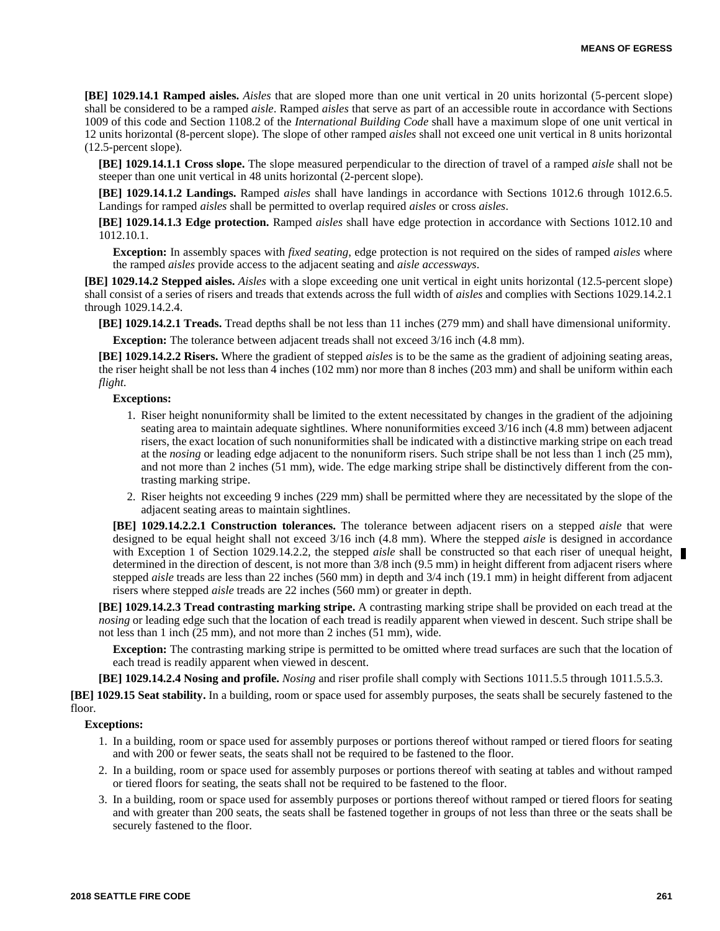**[BE] 1029.14.1 Ramped aisles.** *Aisles* that are sloped more than one unit vertical in 20 units horizontal (5-percent slope) shall be considered to be a ramped *aisle*. Ramped *aisles* that serve as part of an accessible route in accordance with Sections 1009 of this code and Section 1108.2 of the *International Building Code* shall have a maximum slope of one unit vertical in 12 units horizontal (8-percent slope). The slope of other ramped *aisles* shall not exceed one unit vertical in 8 units horizontal (12.5-percent slope).

**[BE] 1029.14.1.1 Cross slope.** The slope measured perpendicular to the direction of travel of a ramped *aisle* shall not be steeper than one unit vertical in 48 units horizontal (2-percent slope).

**[BE] 1029.14.1.2 Landings.** Ramped *aisles* shall have landings in accordance with Sections 1012.6 through 1012.6.5. Landings for ramped *aisles* shall be permitted to overlap required *aisles* or cross *aisles*.

**[BE] 1029.14.1.3 Edge protection.** Ramped *aisles* shall have edge protection in accordance with Sections 1012.10 and 1012.10.1.

**Exception:** In assembly spaces with *fixed seating*, edge protection is not required on the sides of ramped *aisles* where the ramped *aisles* provide access to the adjacent seating and *aisle accessways*.

**[BE] 1029.14.2 Stepped aisles.** *Aisles* with a slope exceeding one unit vertical in eight units horizontal (12.5-percent slope) shall consist of a series of risers and treads that extends across the full width of *aisles* and complies with Sections 1029.14.2.1 through 1029.14.2.4.

**[BE] 1029.14.2.1 Treads.** Tread depths shall be not less than 11 inches (279 mm) and shall have dimensional uniformity.

**Exception:** The tolerance between adjacent treads shall not exceed  $3/16$  inch (4.8 mm).

**[BE] 1029.14.2.2 Risers.** Where the gradient of stepped *aisles* is to be the same as the gradient of adjoining seating areas, the riser height shall be not less than 4 inches (102 mm) nor more than 8 inches (203 mm) and shall be uniform within each *flight*.

#### **Exceptions:**

- 1. Riser height nonuniformity shall be limited to the extent necessitated by changes in the gradient of the adjoining seating area to maintain adequate sightlines. Where nonuniformities exceed 3/16 inch (4.8 mm) between adjacent risers, the exact location of such nonuniformities shall be indicated with a distinctive marking stripe on each tread at the *nosing* or leading edge adjacent to the nonuniform risers. Such stripe shall be not less than 1 inch (25 mm), and not more than 2 inches (51 mm), wide. The edge marking stripe shall be distinctively different from the contrasting marking stripe.
- 2. Riser heights not exceeding 9 inches (229 mm) shall be permitted where they are necessitated by the slope of the adjacent seating areas to maintain sightlines.

**[BE] 1029.14.2.2.1 Construction tolerances.** The tolerance between adjacent risers on a stepped *aisle* that were designed to be equal height shall not exceed 3/16 inch (4.8 mm). Where the stepped *aisle* is designed in accordance with Exception 1 of Section 1029.14.2.2, the stepped *aisle* shall be constructed so that each riser of unequal height, determined in the direction of descent, is not more than 3/8 inch (9.5 mm) in height different from adjacent risers where stepped *aisle* treads are less than 22 inches (560 mm) in depth and 3/4 inch (19.1 mm) in height different from adjacent risers where stepped *aisle* treads are 22 inches (560 mm) or greater in depth.

**[BE] 1029.14.2.3 Tread contrasting marking stripe.** A contrasting marking stripe shall be provided on each tread at the *nosing* or leading edge such that the location of each tread is readily apparent when viewed in descent. Such stripe shall be not less than 1 inch (25 mm), and not more than 2 inches (51 mm), wide.

**Exception:** The contrasting marking stripe is permitted to be omitted where tread surfaces are such that the location of each tread is readily apparent when viewed in descent.

**[BE] 1029.14.2.4 Nosing and profile.** *Nosing* and riser profile shall comply with Sections 1011.5.5 through 1011.5.5.3.

**[BE] 1029.15 Seat stability.** In a building, room or space used for assembly purposes, the seats shall be securely fastened to the floor.

- 1. In a building, room or space used for assembly purposes or portions thereof without ramped or tiered floors for seating and with 200 or fewer seats, the seats shall not be required to be fastened to the floor.
- 2. In a building, room or space used for assembly purposes or portions thereof with seating at tables and without ramped or tiered floors for seating, the seats shall not be required to be fastened to the floor.
- 3. In a building, room or space used for assembly purposes or portions thereof without ramped or tiered floors for seating and with greater than 200 seats, the seats shall be fastened together in groups of not less than three or the seats shall be securely fastened to the floor.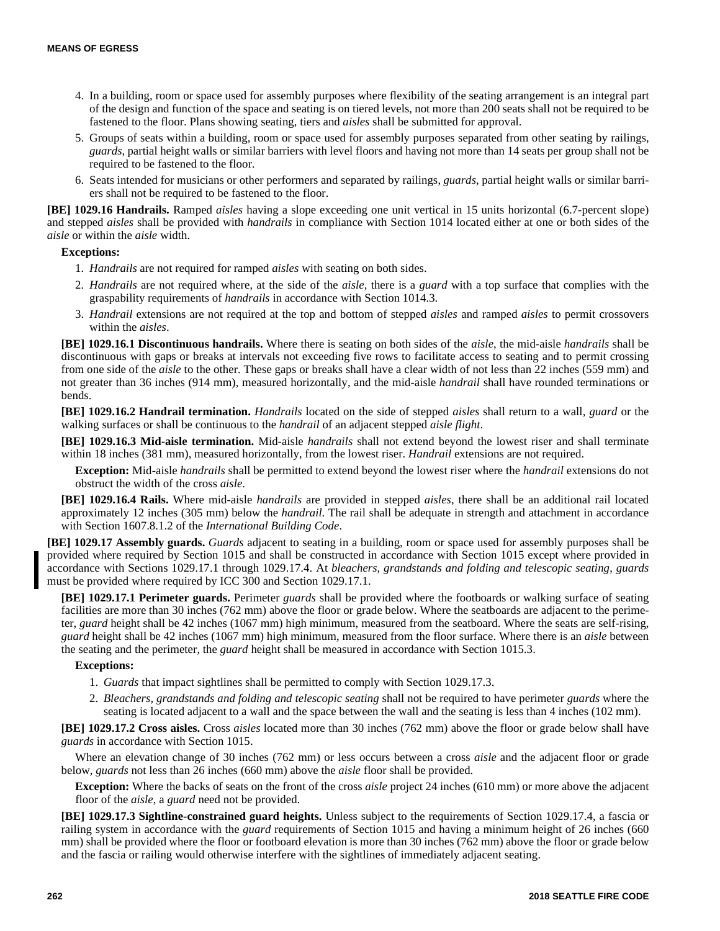- 4. In a building, room or space used for assembly purposes where flexibility of the seating arrangement is an integral part of the design and function of the space and seating is on tiered levels, not more than 200 seats shall not be required to be fastened to the floor. Plans showing seating, tiers and *aisles* shall be submitted for approval.
- 5. Groups of seats within a building, room or space used for assembly purposes separated from other seating by railings, *guards*, partial height walls or similar barriers with level floors and having not more than 14 seats per group shall not be required to be fastened to the floor.
- 6. Seats intended for musicians or other performers and separated by railings, *guards*, partial height walls or similar barriers shall not be required to be fastened to the floor.

**[BE] 1029.16 Handrails.** Ramped *aisles* having a slope exceeding one unit vertical in 15 units horizontal (6.7-percent slope) and stepped *aisles* shall be provided with *handrails* in compliance with Section 1014 located either at one or both sides of the *aisle* or within the *aisle* width.

# **Exceptions:**

- 1. *Handrails* are not required for ramped *aisles* with seating on both sides.
- 2. *Handrails* are not required where, at the side of the *aisle*, there is a *guard* with a top surface that complies with the graspability requirements of *handrails* in accordance with Section 1014.3.
- 3. *Handrail* extensions are not required at the top and bottom of stepped *aisles* and ramped *aisles* to permit crossovers within the *aisles*.

**[BE] 1029.16.1 Discontinuous handrails.** Where there is seating on both sides of the *aisle*, the mid-aisle *handrails* shall be discontinuous with gaps or breaks at intervals not exceeding five rows to facilitate access to seating and to permit crossing from one side of the *aisle* to the other. These gaps or breaks shall have a clear width of not less than 22 inches (559 mm) and not greater than 36 inches (914 mm), measured horizontally, and the mid-aisle *handrail* shall have rounded terminations or bends.

**[BE] 1029.16.2 Handrail termination.** *Handrails* located on the side of stepped *aisles* shall return to a wall, *guard* or the walking surfaces or shall be continuous to the *handrail* of an adjacent stepped *aisle flight*.

**[BE] 1029.16.3 Mid-aisle termination.** Mid-aisle *handrails* shall not extend beyond the lowest riser and shall terminate within 18 inches (381 mm), measured horizontally, from the lowest riser. *Handrail* extensions are not required.

**Exception:** Mid-aisle *handrails* shall be permitted to extend beyond the lowest riser where the *handrail* extensions do not obstruct the width of the cross *aisle*.

**[BE] 1029.16.4 Rails.** Where mid-aisle *handrails* are provided in stepped *aisles*, there shall be an additional rail located approximately 12 inches (305 mm) below the *handrail*. The rail shall be adequate in strength and attachment in accordance with Section 1607.8.1.2 of the *International Building Code*.

**[BE] 1029.17 Assembly guards.** *Guards* adjacent to seating in a building, room or space used for assembly purposes shall be provided where required by Section 1015 and shall be constructed in accordance with Section 1015 except where provided in accordance with Sections 1029.17.1 through 1029.17.4. At *bleachers, grandstands and folding and telescopic seating*, *guards* must be provided where required by ICC 300 and Section 1029.17.1.

**[BE] 1029.17.1 Perimeter guards.** Perimeter *guards* shall be provided where the footboards or walking surface of seating facilities are more than 30 inches (762 mm) above the floor or grade below. Where the seatboards are adjacent to the perimeter, *guard* height shall be 42 inches (1067 mm) high minimum, measured from the seatboard. Where the seats are self-rising, *guard* height shall be 42 inches (1067 mm) high minimum, measured from the floor surface. Where there is an *aisle* between the seating and the perimeter, the *guard* height shall be measured in accordance with Section 1015.3.

# **Exceptions:**

- 1. *Guards* that impact sightlines shall be permitted to comply with Section 1029.17.3.
- 2. *Bleachers, grandstands and folding and telescopic seating* shall not be required to have perimeter *guards* where the seating is located adjacent to a wall and the space between the wall and the seating is less than 4 inches (102 mm).

**[BE] 1029.17.2 Cross aisles.** Cross *aisles* located more than 30 inches (762 mm) above the floor or grade below shall have *guards* in accordance with Section 1015.

Where an elevation change of 30 inches (762 mm) or less occurs between a cross *aisle* and the adjacent floor or grade below, *guards* not less than 26 inches (660 mm) above the *aisle* floor shall be provided.

**Exception:** Where the backs of seats on the front of the cross *aisle* project 24 inches (610 mm) or more above the adjacent floor of the *aisle*, a *guard* need not be provided.

**[BE] 1029.17.3 Sightline-constrained guard heights.** Unless subject to the requirements of Section 1029.17.4, a fascia or railing system in accordance with the *guard* requirements of Section 1015 and having a minimum height of 26 inches (660 mm) shall be provided where the floor or footboard elevation is more than 30 inches (762 mm) above the floor or grade below and the fascia or railing would otherwise interfere with the sightlines of immediately adjacent seating.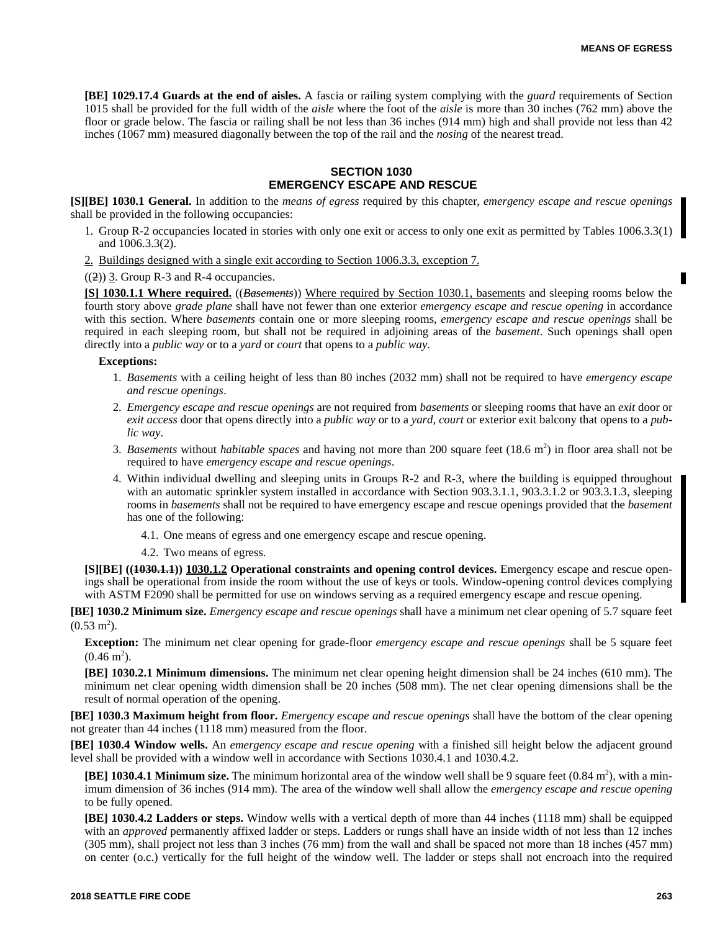**[BE] 1029.17.4 Guards at the end of aisles.** A fascia or railing system complying with the *guard* requirements of Section 1015 shall be provided for the full width of the *aisle* where the foot of the *aisle* is more than 30 inches (762 mm) above the floor or grade below. The fascia or railing shall be not less than 36 inches (914 mm) high and shall provide not less than 42 inches (1067 mm) measured diagonally between the top of the rail and the *nosing* of the nearest tread.

# **SECTION 1030 EMERGENCY ESCAPE AND RESCUE**

**[S][BE] 1030.1 General.** In addition to the *means of egress* required by this chapter, *emergency escape and rescue openings* shall be provided in the following occupancies:

- 1. Group R-2 occupancies located in stories with only one exit or access to only one exit as permitted by Tables 1006.3.3(1) and 1006.3.3(2).
- 2. Buildings designed with a single exit according to Section 1006.3.3, exception 7.

 $((2))$  3. Group R-3 and R-4 occupancies.

**[S] 1030.1.1 Where required.** ((*Basements*)) Where required by Section 1030.1, basements and sleeping rooms below the fourth story above *grade plane* shall have not fewer than one exterior *emergency escape and rescue opening* in accordance with this section. Where *basements* contain one or more sleeping rooms, *emergency escape and rescue openings* shall be required in each sleeping room, but shall not be required in adjoining areas of the *basement*. Such openings shall open directly into a *public way* or to a *yard* or *court* that opens to a *public way*.

# **Exceptions:**

- 1. *Basements* with a ceiling height of less than 80 inches (2032 mm) shall not be required to have *emergency escape and rescue openings*.
- 2. *Emergency escape and rescue openings* are not required from *basements* or sleeping rooms that have an *exit* door or *exit access* door that opens directly into a *public way* or to a *yard*, *court* or exterior exit balcony that opens to a *public way*.
- 3. *Basements* without *habitable spaces* and having not more than 200 square feet (18.6 m<sup>2</sup>) in floor area shall not be required to have *emergency escape and rescue openings*.
- 4. Within individual dwelling and sleeping units in Groups R-2 and R-3, where the building is equipped throughout with an automatic sprinkler system installed in accordance with Section 903.3.1.1, 903.3.1.2 or 903.3.1.3, sleeping rooms in *basements* shall not be required to have emergency escape and rescue openings provided that the *basement* has one of the following:
	- 4.1. One means of egress and one emergency escape and rescue opening.
	- 4.2. Two means of egress.

**[S][BE] ((1030.1.1)) 1030.1.2 Operational constraints and opening control devices.** Emergency escape and rescue openings shall be operational from inside the room without the use of keys or tools. Window-opening control devices complying with ASTM F2090 shall be permitted for use on windows serving as a required emergency escape and rescue opening.

**[BE] 1030.2 Minimum size.** *Emergency escape and rescue openings* shall have a minimum net clear opening of 5.7 square feet  $(0.53 \text{ m}^2)$ .

**Exception:** The minimum net clear opening for grade-floor *emergency escape and rescue openings* shall be 5 square feet  $(0.46 \text{ m}^2).$ 

**[BE] 1030.2.1 Minimum dimensions.** The minimum net clear opening height dimension shall be 24 inches (610 mm). The minimum net clear opening width dimension shall be 20 inches (508 mm). The net clear opening dimensions shall be the result of normal operation of the opening.

**[BE] 1030.3 Maximum height from floor.** *Emergency escape and rescue openings* shall have the bottom of the clear opening not greater than 44 inches (1118 mm) measured from the floor.

**[BE] 1030.4 Window wells.** An *emergency escape and rescue opening* with a finished sill height below the adjacent ground level shall be provided with a window well in accordance with Sections 1030.4.1 and 1030.4.2.

**[BE] 1030.4.1 Minimum size.** The minimum horizontal area of the window well shall be 9 square feet (0.84 m<sup>2</sup>), with a minimum dimension of 36 inches (914 mm). The area of the window well shall allow the *emergency escape and rescue opening* to be fully opened.

**[BE] 1030.4.2 Ladders or steps.** Window wells with a vertical depth of more than 44 inches (1118 mm) shall be equipped with an *approved* permanently affixed ladder or steps. Ladders or rungs shall have an inside width of not less than 12 inches (305 mm), shall project not less than 3 inches (76 mm) from the wall and shall be spaced not more than 18 inches (457 mm) on center (o.c.) vertically for the full height of the window well. The ladder or steps shall not encroach into the required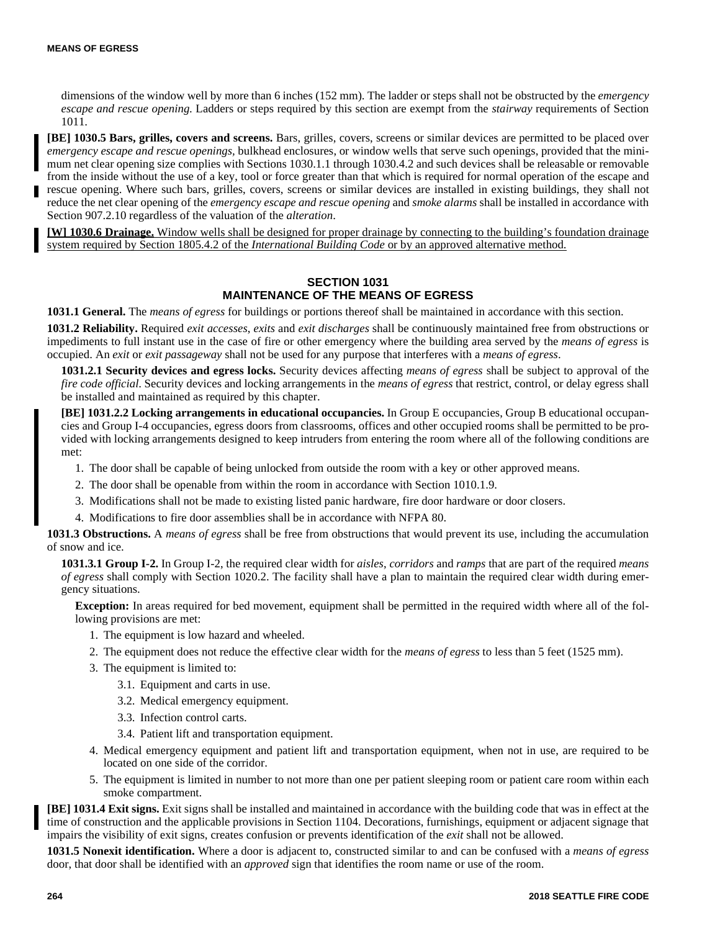dimensions of the window well by more than 6 inches (152 mm). The ladder or steps shall not be obstructed by the *emergency escape and rescue opening*. Ladders or steps required by this section are exempt from the *stairway* requirements of Section 1011.

**[BE] 1030.5 Bars, grilles, covers and screens.** Bars, grilles, covers, screens or similar devices are permitted to be placed over *emergency escape and rescue openings,* bulkhead enclosures, or window wells that serve such openings, provided that the minimum net clear opening size complies with Sections 1030.1.1 through 1030.4.2 and such devices shall be releasable or removable from the inside without the use of a key, tool or force greater than that which is required for normal operation of the escape and rescue opening. Where such bars, grilles, covers, screens or similar devices are installed in existing buildings, they shall not reduce the net clear opening of the *emergency escape and rescue opening* and *smoke alarms* shall be installed in accordance with Section 907.2.10 regardless of the valuation of the *alteration*.

**[W] 1030.6 Drainage.** Window wells shall be designed for proper drainage by connecting to the building's foundation drainage system required by Section 1805.4.2 of the *International Building Code* or by an approved alternative method.

# **SECTION 1031 MAINTENANCE OF THE MEANS OF EGRESS**

**1031.1 General.** The *means of egress* for buildings or portions thereof shall be maintained in accordance with this section.

**1031.2 Reliability.** Required *exit accesses*, *exits* and *exit discharges* shall be continuously maintained free from obstructions or impediments to full instant use in the case of fire or other emergency where the building area served by the *means of egress* is occupied. An *exit* or *exit passageway* shall not be used for any purpose that interferes with a *means of egress*.

**1031.2.1 Security devices and egress locks.** Security devices affecting *means of egress* shall be subject to approval of the *fire code official*. Security devices and locking arrangements in the *means of egress* that restrict, control, or delay egress shall be installed and maintained as required by this chapter.

**[BE] 1031.2.2 Locking arrangements in educational occupancies.** In Group E occupancies, Group B educational occupancies and Group I-4 occupancies, egress doors from classrooms, offices and other occupied rooms shall be permitted to be provided with locking arrangements designed to keep intruders from entering the room where all of the following conditions are met:

- 1. The door shall be capable of being unlocked from outside the room with a key or other approved means.
- 2. The door shall be openable from within the room in accordance with Section 1010.1.9.
- 3. Modifications shall not be made to existing listed panic hardware, fire door hardware or door closers.
- 4. Modifications to fire door assemblies shall be in accordance with NFPA 80.

**1031.3 Obstructions.** A *means of egress* shall be free from obstructions that would prevent its use, including the accumulation of snow and ice.

**1031.3.1 Group I-2.** In Group I-2, the required clear width for *aisles*, *corridors* and *ramps* that are part of the required *means of egress* shall comply with Section 1020.2. The facility shall have a plan to maintain the required clear width during emergency situations.

**Exception:** In areas required for bed movement, equipment shall be permitted in the required width where all of the following provisions are met:

- 1. The equipment is low hazard and wheeled.
- 2. The equipment does not reduce the effective clear width for the *means of egress* to less than 5 feet (1525 mm).
- 3. The equipment is limited to:
	- 3.1. Equipment and carts in use.
	- 3.2. Medical emergency equipment.
	- 3.3. Infection control carts.
	- 3.4. Patient lift and transportation equipment.
- 4. Medical emergency equipment and patient lift and transportation equipment, when not in use, are required to be located on one side of the corridor.
- 5. The equipment is limited in number to not more than one per patient sleeping room or patient care room within each smoke compartment.

**[BE] 1031.4 Exit signs.** Exit signs shall be installed and maintained in accordance with the building code that was in effect at the time of construction and the applicable provisions in Section 1104. Decorations, furnishings, equipment or adjacent signage that impairs the visibility of exit signs, creates confusion or prevents identification of the *exit* shall not be allowed.

**1031.5 Nonexit identification.** Where a door is adjacent to, constructed similar to and can be confused with a *means of egress* door, that door shall be identified with an *approved* sign that identifies the room name or use of the room.